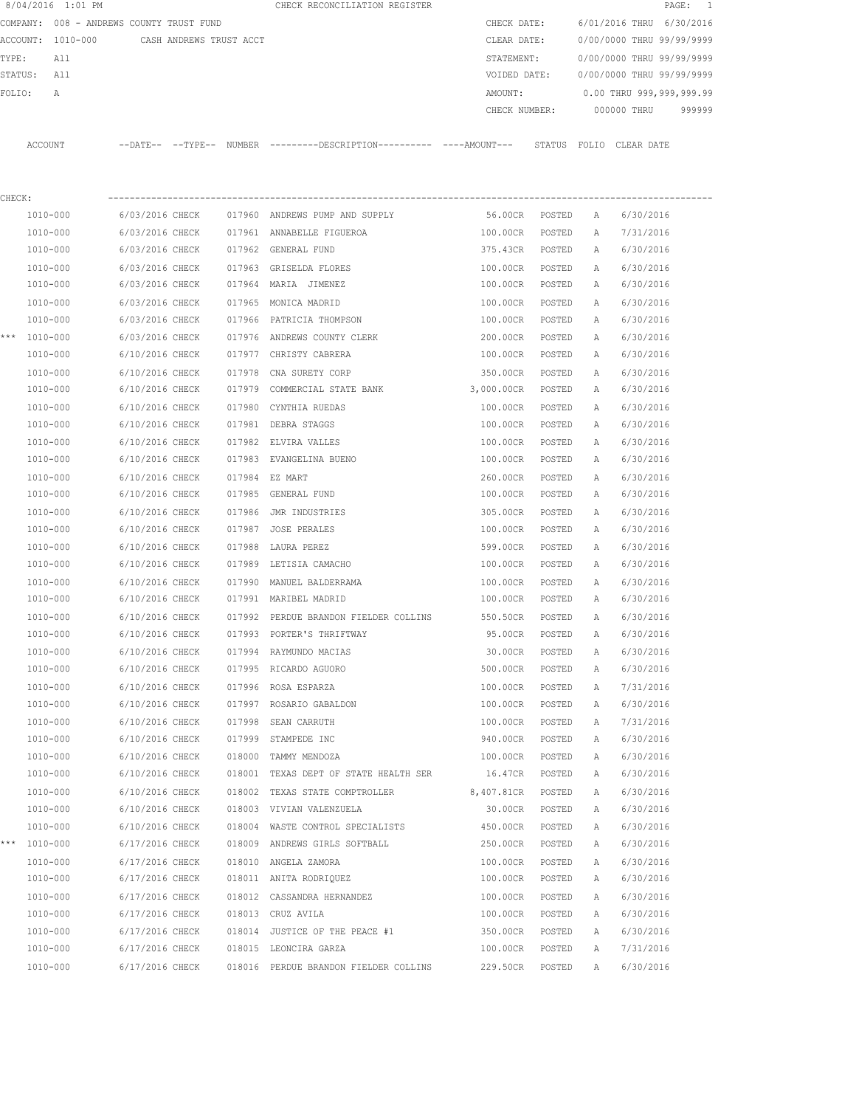|         | 8/04/2016 1:01 PM                        |                 |                         |        | CHECK RECONCILIATION REGISTER                                                                 |                          |        |   | $\mathtt{PAGE}$ :<br>$\overline{\phantom{0}}$     |
|---------|------------------------------------------|-----------------|-------------------------|--------|-----------------------------------------------------------------------------------------------|--------------------------|--------|---|---------------------------------------------------|
|         | COMPANY: 008 - ANDREWS COUNTY TRUST FUND |                 |                         |        |                                                                                               | CHECK DATE:              |        |   | 6/01/2016 THRU 6/30/2016                          |
|         | ACCOUNT: 1010-000                        |                 | CASH ANDREWS TRUST ACCT |        |                                                                                               | CLEAR DATE:              |        |   | 0/00/0000 THRU 99/99/9999                         |
| TYPE:   | All                                      |                 |                         |        |                                                                                               | STATEMENT:               |        |   | 0/00/0000 THRU 99/99/9999                         |
| STATUS: | All                                      |                 |                         |        |                                                                                               | VOIDED DATE:             |        |   | 0/00/0000 THRU 99/99/9999                         |
| FOLIO:  | Α                                        |                 |                         |        |                                                                                               | AMOUNT:<br>CHECK NUMBER: |        |   | 0.00 THRU 999,999,999.99<br>000000 THRU<br>999999 |
|         | <b>ACCOUNT</b>                           |                 |                         |        | --DATE-- --TYPE-- NUMBER ---------DESCRIPTION---------- ----AMOUNT--- STATUS FOLIO CLEAR DATE |                          |        |   |                                                   |
| CHECK:  |                                          |                 |                         |        |                                                                                               |                          |        |   |                                                   |
|         | 1010-000                                 | 6/03/2016 CHECK |                         |        | 017960 ANDREWS PUMP AND SUPPLY                                                                | 56.00CR                  | POSTED | A | 6/30/2016                                         |
|         | 1010-000                                 | 6/03/2016 CHECK |                         |        | 017961 ANNABELLE FIGUEROA                                                                     | 100.00CR                 | POSTED | Α | 7/31/2016                                         |
|         | 1010-000                                 | 6/03/2016 CHECK |                         |        | 017962 GENERAL FUND                                                                           | 375.43CR                 | POSTED | A | 6/30/2016                                         |
|         | 1010-000                                 | 6/03/2016 CHECK |                         | 017963 | GRISELDA FLORES                                                                               | 100.00CR                 | POSTED | А | 6/30/2016                                         |
|         | 1010-000                                 | 6/03/2016 CHECK |                         |        | 017964 MARIA JIMENEZ                                                                          | 100.00CR                 | POSTED | А | 6/30/2016                                         |
|         | 1010-000                                 | 6/03/2016 CHECK |                         |        | 017965 MONICA MADRID                                                                          | 100.00CR                 | POSTED | Α | 6/30/2016                                         |
|         | 1010-000                                 | 6/03/2016 CHECK |                         |        | 017966 PATRICIA THOMPSON                                                                      | 100.00CR                 | POSTED | Α | 6/30/2016                                         |
| ***     | 1010-000                                 | 6/03/2016 CHECK |                         |        | 017976 ANDREWS COUNTY CLERK                                                                   | 200.00CR                 | POSTED | Α | 6/30/2016                                         |
|         | 1010-000                                 | 6/10/2016 CHECK |                         | 017977 | CHRISTY CABRERA                                                                               | 100.00CR                 | POSTED | Α | 6/30/2016                                         |
|         | 1010-000                                 | 6/10/2016 CHECK |                         | 017978 | CNA SURETY CORP                                                                               | 350.00CR                 | POSTED | Α | 6/30/2016                                         |
|         | 1010-000                                 | 6/10/2016 CHECK |                         | 017979 | COMMERCIAL STATE BANK                                                                         | 3,000.00CR               | POSTED | А | 6/30/2016                                         |
|         | 1010-000                                 | 6/10/2016 CHECK |                         | 017980 | CYNTHIA RUEDAS                                                                                | 100.00CR                 | POSTED | Α | 6/30/2016                                         |
|         | 1010-000                                 | 6/10/2016 CHECK |                         |        | 017981 DEBRA STAGGS                                                                           | 100.00CR                 | POSTED | Α | 6/30/2016                                         |
|         | 1010-000                                 | 6/10/2016 CHECK |                         |        | 017982 ELVIRA VALLES                                                                          | 100.00CR                 | POSTED | Α | 6/30/2016                                         |
|         | 1010-000                                 | 6/10/2016 CHECK |                         |        | 017983 EVANGELINA BUENO                                                                       | 100.00CR                 | POSTED | A | 6/30/2016                                         |
|         | 1010-000                                 | 6/10/2016 CHECK |                         |        | 017984 EZ MART                                                                                | 260.00CR                 | POSTED | Α | 6/30/2016                                         |
|         | 1010-000                                 | 6/10/2016 CHECK |                         | 017985 | GENERAL FUND                                                                                  | 100.00CR                 | POSTED | Α | 6/30/2016                                         |
|         | 1010-000                                 | 6/10/2016 CHECK |                         | 017986 | JMR INDUSTRIES                                                                                | 305.00CR                 | POSTED | Α | 6/30/2016                                         |
|         | 1010-000                                 | 6/10/2016 CHECK |                         | 017987 | <b>JOSE PERALES</b>                                                                           | 100.00CR                 | POSTED | Α | 6/30/2016                                         |
|         | 1010-000                                 | 6/10/2016 CHECK |                         | 017988 | LAURA PEREZ                                                                                   | 599.00CR                 | POSTED | Α | 6/30/2016                                         |
|         | 1010-000                                 | 6/10/2016 CHECK |                         |        | 017989 LETISIA CAMACHO                                                                        | 100.00CR                 | POSTED | Α | 6/30/2016                                         |
|         | 1010-000                                 | 6/10/2016 CHECK |                         | 017990 | MANUEL BALDERRAMA                                                                             | 100.00CR                 | POSTED | Α | 6/30/2016                                         |
|         | 1010-000                                 | 6/10/2016 CHECK |                         |        | 017991 MARIBEL MADRID                                                                         | 100.00CR                 | POSTED | А | 6/30/2016                                         |
|         | 1010-000                                 | 6/10/2016 CHECK |                         |        | 017992 PERDUE BRANDON FIELDER COLLINS                                                         | 550.50CR                 | POSTED |   | 6/30/2016                                         |
|         | 1010-000                                 | 6/10/2016 CHECK |                         |        |                                                                                               | 95.00CR                  |        | Α |                                                   |
|         |                                          |                 |                         |        | 017993 PORTER'S THRIFTWAY                                                                     |                          | POSTED | Α | 6/30/2016                                         |
|         | 1010-000                                 | 6/10/2016 CHECK |                         |        | 017994 RAYMUNDO MACIAS<br>017995 RICARDO AGUORO                                               | 30.00CR                  | POSTED | Α | 6/30/2016                                         |
|         | 1010-000                                 | 6/10/2016 CHECK |                         |        |                                                                                               | 500.00CR                 | POSTED | Α | 6/30/2016                                         |
|         | 1010-000                                 | 6/10/2016 CHECK |                         |        | 017996 ROSA ESPARZA                                                                           | 100.00CR                 | POSTED | Α | 7/31/2016                                         |
|         | 1010-000                                 | 6/10/2016 CHECK |                         |        | 017997 ROSARIO GABALDON                                                                       | 100.00CR                 | POSTED | Α | 6/30/2016                                         |
|         | 1010-000                                 | 6/10/2016 CHECK |                         |        | 017998 SEAN CARRUTH                                                                           | 100.00CR                 | POSTED | Α | 7/31/2016                                         |
|         | 1010-000                                 | 6/10/2016 CHECK |                         |        | 017999 STAMPEDE INC                                                                           | 940.00CR                 | POSTED | Α | 6/30/2016                                         |
|         | 1010-000                                 | 6/10/2016 CHECK |                         |        | 018000 TAMMY MENDOZA                                                                          | 100.00CR                 | POSTED | Α | 6/30/2016                                         |
|         | 1010-000                                 | 6/10/2016 CHECK |                         |        | 018001 TEXAS DEPT OF STATE HEALTH SER                                                         | 16.47CR                  | POSTED | Α | 6/30/2016                                         |
|         | 1010-000                                 | 6/10/2016 CHECK |                         | 018002 | TEXAS STATE COMPTROLLER                                                                       | 8,407.81CR               | POSTED | Α | 6/30/2016                                         |
|         | 1010-000                                 | 6/10/2016 CHECK |                         |        | 018003 VIVIAN VALENZUELA                                                                      | 30.00CR                  | POSTED | Α | 6/30/2016                                         |
|         | 1010-000                                 | 6/10/2016 CHECK |                         |        | 018004 WASTE CONTROL SPECIALISTS                                                              | 450.00CR                 | POSTED | Α | 6/30/2016                                         |
| * * *   | 1010-000                                 | 6/17/2016 CHECK |                         |        | 018009 ANDREWS GIRLS SOFTBALL                                                                 | 250.00CR                 | POSTED | Α | 6/30/2016                                         |
|         | 1010-000                                 | 6/17/2016 CHECK |                         |        | 018010 ANGELA ZAMORA                                                                          | 100.00CR                 | POSTED | Α | 6/30/2016                                         |
|         | 1010-000                                 | 6/17/2016 CHECK |                         |        | 018011 ANITA RODRIQUEZ                                                                        | 100.00CR                 | POSTED | Α | 6/30/2016                                         |
|         | 1010-000                                 | 6/17/2016 CHECK |                         |        | 018012 CASSANDRA HERNANDEZ                                                                    | 100.00CR                 | POSTED | Α | 6/30/2016                                         |
|         | 1010-000                                 | 6/17/2016 CHECK |                         |        | 018013 CRUZ AVILA                                                                             | 100.00CR                 | POSTED | Α | 6/30/2016                                         |
|         | 1010-000                                 | 6/17/2016 CHECK |                         |        | 018014 JUSTICE OF THE PEACE #1                                                                | 350.00CR                 | POSTED | Α | 6/30/2016                                         |
|         | 1010-000                                 | 6/17/2016 CHECK |                         |        | 018015 LEONCIRA GARZA                                                                         | 100.00CR                 | POSTED | Α | 7/31/2016                                         |
|         | 1010-000                                 | 6/17/2016 CHECK |                         |        | 018016 PERDUE BRANDON FIELDER COLLINS                                                         | 229.50CR                 | POSTED | Α | 6/30/2016                                         |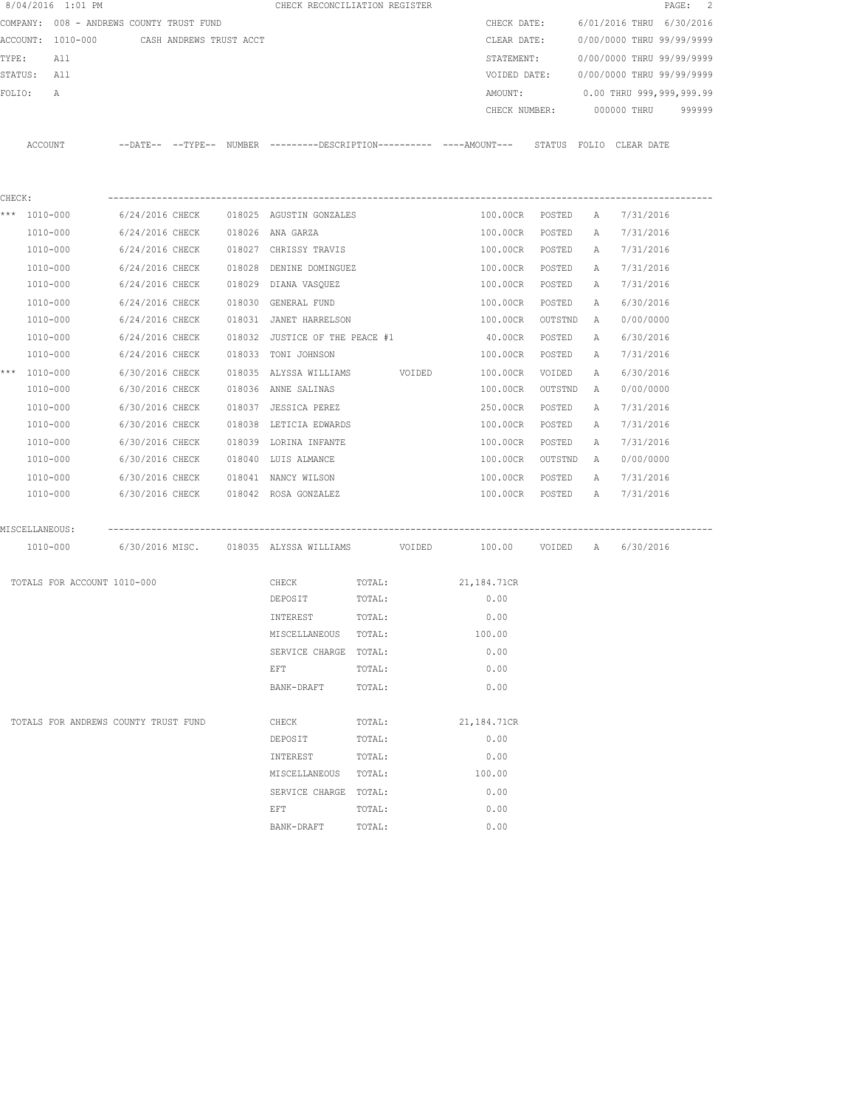|        | 8/04/2016 1:01 PM                        |                 |                         | CHECK RECONCILIATION REGISTER           |        |                                                                                             |         |   | PAGE:                     | 2      |
|--------|------------------------------------------|-----------------|-------------------------|-----------------------------------------|--------|---------------------------------------------------------------------------------------------|---------|---|---------------------------|--------|
|        | COMPANY: 008 - ANDREWS COUNTY TRUST FUND |                 |                         |                                         |        | CHECK DATE:                                                                                 |         |   | 6/01/2016 THRU 6/30/2016  |        |
|        | ACCOUNT: 1010-000                        |                 | CASH ANDREWS TRUST ACCT |                                         |        | CLEAR DATE:                                                                                 |         |   | 0/00/0000 THRU 99/99/9999 |        |
| TYPE:  | All                                      |                 |                         |                                         |        | STATEMENT:                                                                                  |         |   | 0/00/0000 THRU 99/99/9999 |        |
|        | STATUS: All                              |                 |                         |                                         |        | VOIDED DATE:                                                                                |         |   | 0/00/0000 THRU 99/99/9999 |        |
| FOLIO: | А                                        |                 |                         |                                         |        | AMOUNT:                                                                                     |         |   | 0.00 THRU 999,999,999.99  |        |
|        |                                          |                 |                         |                                         |        | CHECK NUMBER:                                                                               |         |   | 000000 THRU               | 999999 |
|        |                                          |                 |                         |                                         |        |                                                                                             |         |   |                           |        |
|        | ACCOUNT                                  |                 |                         |                                         |        | --DATE-- --TYPE-- NUMBER ---------DESCRIPTION--------- ----AMOUNT--- STATUS FOLIO CLEARDATE |         |   |                           |        |
|        |                                          |                 |                         |                                         |        |                                                                                             |         |   |                           |        |
|        |                                          |                 |                         |                                         |        |                                                                                             |         |   |                           |        |
| CHECK: |                                          |                 |                         |                                         |        |                                                                                             |         |   |                           |        |
|        | *** 1010-000                             |                 |                         | 6/24/2016 CHECK 018025 AGUSTIN GONZALES |        | 100.00CR POSTED                                                                             |         | A | 7/31/2016                 |        |
|        | 1010-000                                 | 6/24/2016 CHECK |                         | 018026 ANA GARZA                        |        | 100.00CR                                                                                    | POSTED  | A | 7/31/2016                 |        |
|        | 1010-000                                 | 6/24/2016 CHECK |                         | 018027 CHRISSY TRAVIS                   |        | 100.00CR                                                                                    | POSTED  | A | 7/31/2016                 |        |
|        | 1010-000                                 | 6/24/2016 CHECK |                         | 018028 DENINE DOMINGUEZ                 |        | 100.00CR                                                                                    | POSTED  | A | 7/31/2016                 |        |
|        | 1010-000                                 | 6/24/2016 CHECK |                         | 018029 DIANA VASQUEZ                    |        | 100.00CR                                                                                    | POSTED  | A | 7/31/2016                 |        |
|        | 1010-000                                 |                 |                         |                                         |        |                                                                                             |         |   |                           |        |
|        |                                          | 6/24/2016 CHECK |                         | 018030 GENERAL FUND                     |        | 100.00CR                                                                                    | POSTED  | A | 6/30/2016                 |        |
|        | 1010-000                                 | 6/24/2016 CHECK |                         | 018031 JANET HARRELSON                  |        | 100.00CR                                                                                    | OUTSTND | A | 0/00/0000                 |        |
|        | 1010-000                                 | 6/24/2016 CHECK |                         | 018032 JUSTICE OF THE PEACE #1          |        | 40.00CR                                                                                     | POSTED  | Α | 6/30/2016                 |        |
|        | 1010-000                                 | 6/24/2016 CHECK |                         | 018033 TONI JOHNSON                     |        | 100.00CR                                                                                    | POSTED  | A | 7/31/2016                 |        |
|        | *** 1010-000                             | 6/30/2016 CHECK |                         | 018035 ALYSSA WILLIAMS VOIDED           |        | 100.00CR                                                                                    | VOIDED  | Α | 6/30/2016                 |        |
|        | 1010-000                                 | 6/30/2016 CHECK |                         | 018036 ANNE SALINAS                     |        | 100.00CR                                                                                    | OUTSTND | A | 0/00/0000                 |        |
|        | 1010-000                                 | 6/30/2016 CHECK |                         | 018037 JESSICA PEREZ                    |        | 250.00CR                                                                                    | POSTED  | Α | 7/31/2016                 |        |
|        | 1010-000                                 | 6/30/2016 CHECK |                         | 018038 LETICIA EDWARDS                  |        | 100.00CR                                                                                    | POSTED  | Α | 7/31/2016                 |        |
|        | 1010-000                                 | 6/30/2016 CHECK |                         | 018039 LORINA INFANTE                   |        | 100.00CR                                                                                    | POSTED  | Α | 7/31/2016                 |        |
|        | 1010-000                                 | 6/30/2016 CHECK |                         | 018040 LUIS ALMANCE                     |        | 100.00CR                                                                                    | OUTSTND | A | 0/00/0000                 |        |
|        | 1010-000                                 | 6/30/2016 CHECK |                         | 018041 NANCY WILSON                     |        | 100.00CR                                                                                    | POSTED  | Α | 7/31/2016                 |        |
|        | 1010-000                                 | 6/30/2016 CHECK |                         | 018042 ROSA GONZALEZ                    |        | 100.00CR                                                                                    | POSTED  | A | 7/31/2016                 |        |
|        |                                          |                 |                         |                                         |        |                                                                                             |         |   |                           |        |
|        | MISCELLANEOUS:                           |                 |                         |                                         |        |                                                                                             |         |   |                           |        |
|        | 1010-000                                 |                 |                         |                                         |        |                                                                                             |         |   |                           |        |
|        |                                          |                 |                         |                                         |        |                                                                                             |         |   |                           |        |
|        | TOTALS FOR ACCOUNT 1010-000              |                 |                         | CHECK                                   | TOTAL: | 21,184.71CR                                                                                 |         |   |                           |        |
|        |                                          |                 |                         | DEPOSIT                                 | TOTAL: | 0.00                                                                                        |         |   |                           |        |
|        |                                          |                 |                         | INTEREST                                | TOTAL: | 0.00                                                                                        |         |   |                           |        |
|        |                                          |                 |                         | MISCELLANEOUS                           | TOTAL: | 100.00                                                                                      |         |   |                           |        |
|        |                                          |                 |                         | SERVICE CHARGE                          | TOTAL: | 0.00                                                                                        |         |   |                           |        |
|        |                                          |                 |                         | EFT                                     | TOTAL: | 0.00                                                                                        |         |   |                           |        |
|        |                                          |                 |                         | BANK-DRAFT                              | TOTAL: | 0.00                                                                                        |         |   |                           |        |
|        |                                          |                 |                         |                                         |        |                                                                                             |         |   |                           |        |
|        | TOTALS FOR ANDREWS COUNTY TRUST FUND     |                 |                         | CHECK                                   | TOTAL: | 21,184.71CR                                                                                 |         |   |                           |        |
|        |                                          |                 |                         | DEPOSIT                                 | TOTAL: | 0.00                                                                                        |         |   |                           |        |
|        |                                          |                 |                         | INTEREST                                | TOTAL: | 0.00                                                                                        |         |   |                           |        |
|        |                                          |                 |                         | MISCELLANEOUS                           | TOTAL: | 100.00                                                                                      |         |   |                           |        |
|        |                                          |                 |                         | SERVICE CHARGE TOTAL:                   |        | 0.00                                                                                        |         |   |                           |        |
|        |                                          |                 |                         | EFT                                     | TOTAL: | 0.00                                                                                        |         |   |                           |        |
|        |                                          |                 |                         | BANK-DRAFT                              | TOTAL: | 0.00                                                                                        |         |   |                           |        |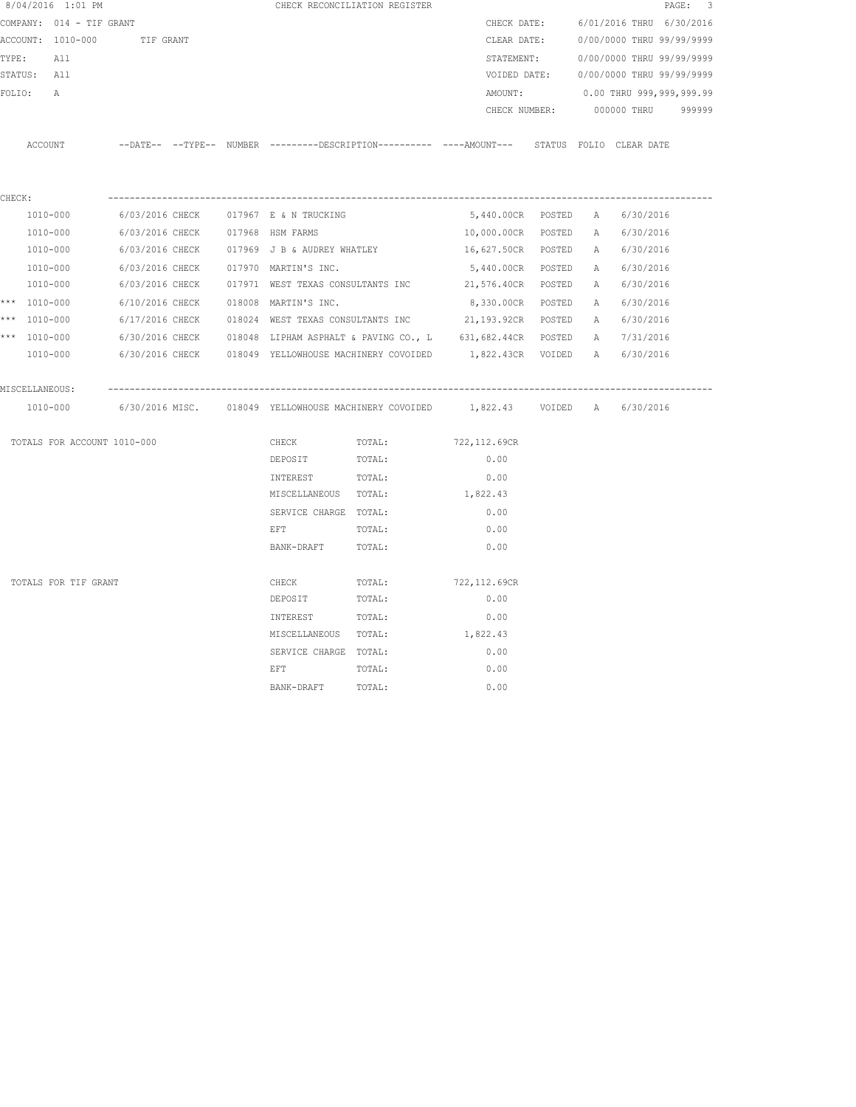|        | 8/04/2016 1:01 PM           |                 |  |                                             | CHECK RECONCILIATION REGISTER                                                                |                                |  |                           | PAGE: 3 |
|--------|-----------------------------|-----------------|--|---------------------------------------------|----------------------------------------------------------------------------------------------|--------------------------------|--|---------------------------|---------|
|        | COMPANY: 014 - TIF GRANT    |                 |  |                                             |                                                                                              | CHECK DATE:                    |  | 6/01/2016 THRU 6/30/2016  |         |
|        | ACCOUNT: 1010-000           | TIF GRANT       |  |                                             |                                                                                              | CLEAR DATE:                    |  | 0/00/0000 THRU 99/99/9999 |         |
|        | TYPE: All                   |                 |  |                                             |                                                                                              | STATEMENT:                     |  | 0/00/0000 THRU 99/99/9999 |         |
|        | STATUS: All                 |                 |  |                                             |                                                                                              | VOIDED DATE:                   |  | 0/00/0000 THRU 99/99/9999 |         |
|        | FOLIO:<br>$\mathbb{A}$      |                 |  |                                             |                                                                                              | AMOUNT:                        |  | 0.00 THRU 999,999,999.99  |         |
|        |                             |                 |  |                                             |                                                                                              | CHECK NUMBER:                  |  | 000000 THRU 999999        |         |
|        | ACCOUNT                     |                 |  |                                             | --DATE-- --TYPE-- NUMBER ---------DESCRIPTION---------- ----AMOUNT--- STATUS FOLIO CLEARDATE |                                |  |                           |         |
|        |                             |                 |  |                                             |                                                                                              |                                |  |                           |         |
| CHECK: | 1010-000                    |                 |  | 6/03/2016 CHECK 017967 E & N TRUCKING       |                                                                                              | 5,440.00CR POSTED A 6/30/2016  |  |                           |         |
|        | 1010-000                    |                 |  | 6/03/2016 CHECK 017968 HSM FARMS            |                                                                                              | 10,000.00CR POSTED A 6/30/2016 |  |                           |         |
|        | 1010-000                    |                 |  | 6/03/2016 CHECK 017969 J B & AUDREY WHATLEY |                                                                                              | 16,627.50CR POSTED             |  | A 6/30/2016               |         |
|        | 1010-000                    | 6/03/2016 CHECK |  | 017970 MARTIN'S INC.                        |                                                                                              | 5,440.00CR POSTED              |  | A 6/30/2016               |         |
|        | 1010-000                    | 6/03/2016 CHECK |  | 017971 WEST TEXAS CONSULTANTS INC           |                                                                                              | 21,576.40CR POSTED             |  | A 6/30/2016               |         |
|        | *** 1010-000                |                 |  | 6/10/2016 CHECK 018008 MARTIN'S INC.        |                                                                                              | 8,330.00CR POSTED              |  | A 6/30/2016               |         |
|        | *** 1010-000                |                 |  |                                             | 6/17/2016 CHECK 018024 WEST TEXAS CONSULTANTS INC 21,193.92CR POSTED                         |                                |  | A 6/30/2016               |         |
|        | *** 1010-000                |                 |  |                                             | $6/30/2016$ CHECK 018048 LIPHAM ASPHALT & PAVING CO., L 631,682.44CR POSTED                  |                                |  | A 7/31/2016               |         |
|        | 1010-000                    |                 |  |                                             | 6/30/2016 CHECK 018049 YELLOWHOUSE MACHINERY COVOIDED 1,822.43CR VOIDED                      |                                |  | A 6/30/2016               |         |
|        | MISCELLANEOUS:              |                 |  |                                             |                                                                                              |                                |  |                           |         |
|        | 1010-000                    |                 |  |                                             | 6/30/2016 MISC.   018049 YELLOWHOUSE MACHINERY COVOIDED    1,822.43   VOIDED   A   6/30/2016 |                                |  |                           |         |
|        | TOTALS FOR ACCOUNT 1010-000 |                 |  | CHECK                                       | TOTAL:                                                                                       | 722,112.69CR                   |  |                           |         |
|        |                             |                 |  | DEPOSIT                                     | TOTAL:                                                                                       | 0.00                           |  |                           |         |
|        |                             |                 |  | INTEREST                                    | TOTAL:                                                                                       | 0.00                           |  |                           |         |
|        |                             |                 |  | MISCELLANEOUS TOTAL:                        |                                                                                              | 1,822.43                       |  |                           |         |
|        |                             |                 |  | SERVICE CHARGE TOTAL:                       |                                                                                              | 0.00                           |  |                           |         |
|        |                             |                 |  | EFT                                         | TOTAL:                                                                                       | 0.00                           |  |                           |         |
|        |                             |                 |  | BANK-DRAFT                                  | TOTAL:                                                                                       | 0.00                           |  |                           |         |
|        | TOTALS FOR TIF GRANT        |                 |  | CHECK                                       | TOTAL:                                                                                       | 722,112.69CR                   |  |                           |         |
|        |                             |                 |  | DEPOSIT                                     | TOTAL:                                                                                       | 0.00                           |  |                           |         |
|        |                             |                 |  | INTEREST                                    | TOTAL:                                                                                       | 0.00                           |  |                           |         |
|        |                             |                 |  | MISCELLANEOUS TOTAL:                        |                                                                                              | 1,822.43                       |  |                           |         |
|        |                             |                 |  | SERVICE CHARGE TOTAL:                       |                                                                                              | 0.00                           |  |                           |         |
|        |                             |                 |  | EFT                                         | TOTAL:                                                                                       | 0.00                           |  |                           |         |
|        |                             |                 |  | BANK-DRAFT                                  | TOTAL:                                                                                       | 0.00                           |  |                           |         |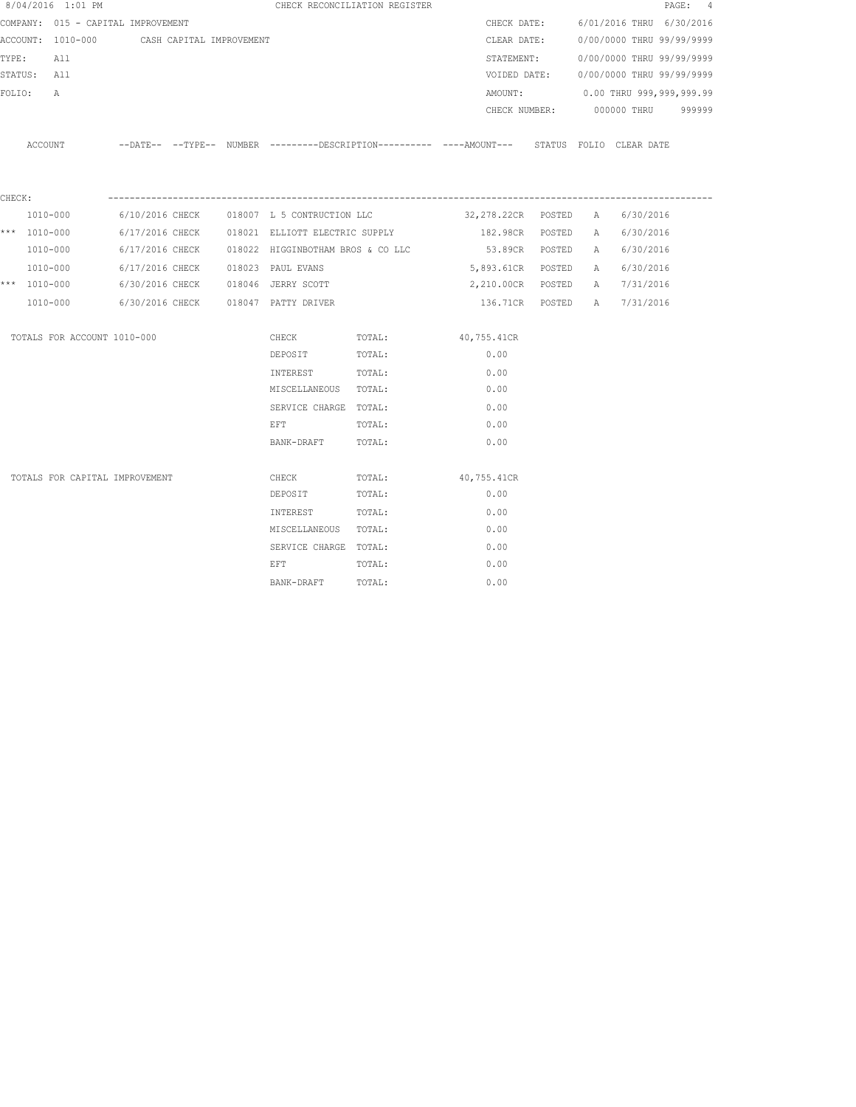|        | 8/04/2016 1:01 PM                  |                          |  |                                                                                                                | CHECK RECONCILIATION REGISTER |                                                                                            |   |                                        | PAGE: 4 |
|--------|------------------------------------|--------------------------|--|----------------------------------------------------------------------------------------------------------------|-------------------------------|--------------------------------------------------------------------------------------------|---|----------------------------------------|---------|
|        | COMPANY: 015 - CAPITAL IMPROVEMENT |                          |  |                                                                                                                |                               | CHECK DATE:                                                                                |   | 6/01/2016 THRU 6/30/2016               |         |
|        | ACCOUNT: 1010-000                  | CASH CAPITAL IMPROVEMENT |  |                                                                                                                |                               | CLEAR DATE:                                                                                |   | 0/00/0000 THRU 99/99/9999              |         |
| TYPE:  | All                                |                          |  |                                                                                                                |                               |                                                                                            |   | STATEMENT: 0/00/0000 THRU 99/99/9999   |         |
|        | STATUS: All                        |                          |  |                                                                                                                |                               |                                                                                            |   | VOIDED DATE: 0/00/0000 THRU 99/99/9999 |         |
| FOLIO: | A                                  |                          |  |                                                                                                                |                               | AMOUNT:                                                                                    |   | 0.00 THRU 999,999,999.99               |         |
|        |                                    |                          |  |                                                                                                                |                               |                                                                                            |   | CHECK NUMBER: 000000 THRU 999999       |         |
|        | ACCOUNT                            |                          |  |                                                                                                                |                               | --DATE-- --TYPE-- NUMBER --------DESCRIPTION---------- ---AMOUNT--- STATUS FOLIO CLEARDATE |   |                                        |         |
| CHECK: |                                    |                          |  |                                                                                                                |                               |                                                                                            |   |                                        |         |
|        | 1010-000                           |                          |  |                                                                                                                |                               | $6/10/2016$ CHECK $018007$ L 5 CONTRUCTION LLC $32,278.22$ CR POSTED A                     |   | 6/30/2016                              |         |
|        | *** $1010 - 000$                   |                          |  | 6/17/2016 CHECK 018021 ELLIOTT ELECTRIC SUPPLY                                                                 |                               | 182.98CR POSTED                                                                            | A | 6/30/2016                              |         |
|        | 1010-000                           |                          |  | $6/17/2016$ CHECK $018022$ HIGGINBOTHAM BROS & CO LLC                                                          |                               | 53.89CR POSTED                                                                             |   | A 6/30/2016                            |         |
|        | 1010-000                           |                          |  | 6/17/2016 CHECK 018023 PAUL EVANS                                                                              |                               | 5,893.61CR POSTED                                                                          |   | A 6/30/2016                            |         |
|        | *** 1010-000                       |                          |  | 6/30/2016 CHECK 018046 JERRY SCOTT                                                                             |                               | 2,210.00CR POSTED                                                                          |   | A 7/31/2016                            |         |
|        | 1010-000                           |                          |  | 6/30/2016 CHECK 018047 PATTY DRIVER                                                                            |                               |                                                                                            |   | 136.71CR POSTED A 7/31/2016            |         |
|        | TOTALS FOR ACCOUNT 1010-000        |                          |  | CHECK                                                                                                          | TOTAL:                        | 40,755.41CR                                                                                |   |                                        |         |
|        |                                    |                          |  | DEPOSIT                                                                                                        | TOTAL:                        | 0.00                                                                                       |   |                                        |         |
|        |                                    |                          |  | INTEREST TOTAL:                                                                                                |                               | 0.00                                                                                       |   |                                        |         |
|        |                                    |                          |  | MISCELLANEOUS TOTAL:                                                                                           |                               | 0.00                                                                                       |   |                                        |         |
|        |                                    |                          |  | SERVICE CHARGE TOTAL:                                                                                          |                               | 0.00                                                                                       |   |                                        |         |
|        |                                    |                          |  | EFT FOR THE STATE OF THE STATE OF THE STATE OF THE STATE OF THE STATE OF THE STATE OF THE STATE OF THE STATE O | TOTAL:                        | 0.00                                                                                       |   |                                        |         |
|        |                                    |                          |  | BANK-DRAFT                                                                                                     | TOTAL:                        | 0.00                                                                                       |   |                                        |         |
|        | TOTALS FOR CAPITAL IMPROVEMENT     |                          |  | CHECK                                                                                                          | TOTAL:                        | 40,755.41CR                                                                                |   |                                        |         |
|        |                                    |                          |  | DEPOSIT                                                                                                        | TOTAL:                        | 0.00                                                                                       |   |                                        |         |
|        |                                    |                          |  | INTEREST                                                                                                       | TOTAL:                        | 0.00                                                                                       |   |                                        |         |
|        |                                    |                          |  | MISCELLANEOUS TOTAL:                                                                                           |                               | 0.00                                                                                       |   |                                        |         |
|        |                                    |                          |  | SERVICE CHARGE TOTAL:                                                                                          |                               | 0.00                                                                                       |   |                                        |         |
|        |                                    |                          |  | EFT                                                                                                            | TOTAL:                        | 0.00                                                                                       |   |                                        |         |
|        |                                    |                          |  | BANK-DRAFT                                                                                                     | TOTAL:                        | 0.00                                                                                       |   |                                        |         |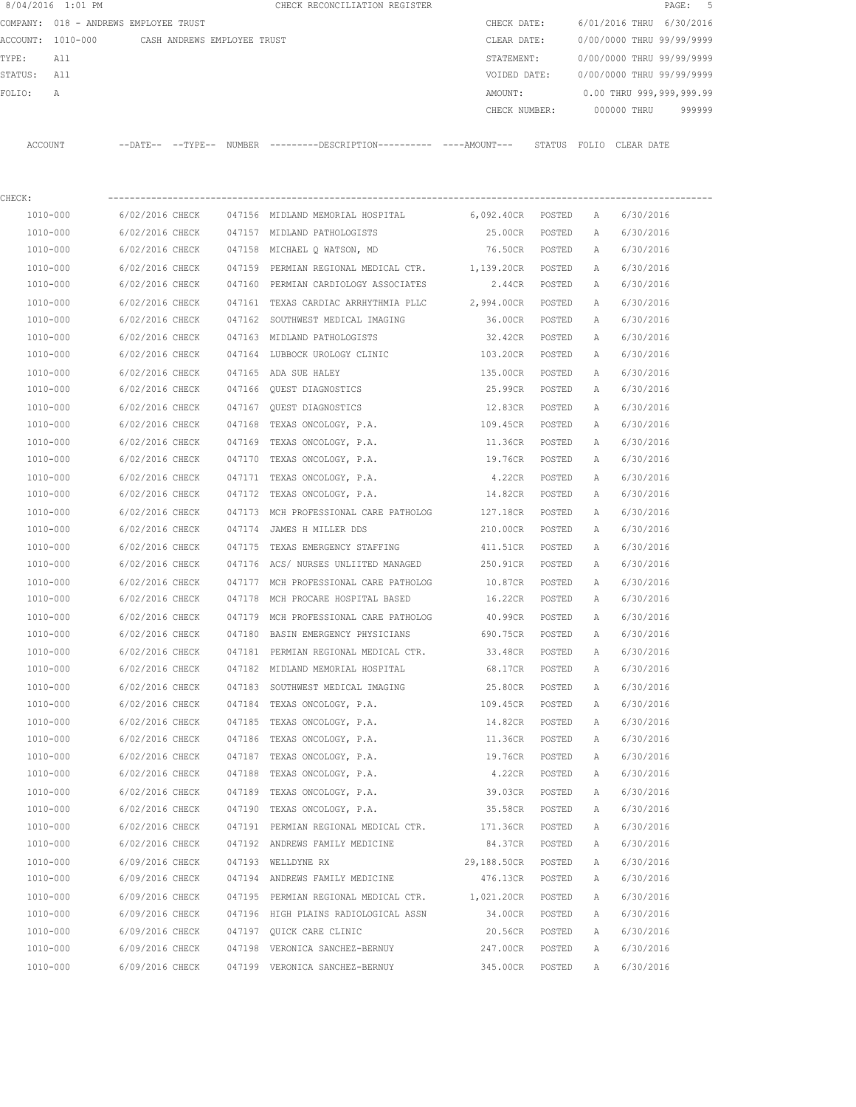| 8/04/2016 1:01 PM |                                       |        | CHECK RECONCILIATION REGISTER                                                                |                   |        |              | PAGE:                     | -5     |
|-------------------|---------------------------------------|--------|----------------------------------------------------------------------------------------------|-------------------|--------|--------------|---------------------------|--------|
|                   | COMPANY: 018 - ANDREWS EMPLOYEE TRUST |        |                                                                                              | CHECK DATE:       |        |              | 6/01/2016 THRU 6/30/2016  |        |
| ACCOUNT: 1010-000 | CASH ANDREWS EMPLOYEE TRUST           |        |                                                                                              | CLEAR DATE:       |        |              | 0/00/0000 THRU 99/99/9999 |        |
| TYPE:<br>All      |                                       |        |                                                                                              | STATEMENT:        |        |              | 0/00/0000 THRU 99/99/9999 |        |
| STATUS:<br>All    |                                       |        |                                                                                              | VOIDED DATE:      |        |              | 0/00/0000 THRU 99/99/9999 |        |
| FOLIO:<br>A       |                                       |        |                                                                                              | AMOUNT:           |        |              | 0.00 THRU 999,999,999.99  |        |
|                   |                                       |        |                                                                                              | CHECK NUMBER:     |        |              | 000000 THRU               | 999999 |
| ACCOUNT           |                                       |        | --DATE-- --TYPE-- NUMBER ---------DESCRIPTION---------- ----AMOUNT--- STATUS FOLIO CLEARDATE |                   |        |              |                           |        |
| CHECK:            |                                       |        |                                                                                              |                   |        |              |                           |        |
| 1010-000          | 6/02/2016 CHECK                       |        | 047156 MIDLAND MEMORIAL HOSPITAL 6,092.40CR POSTED                                           |                   |        | A            | 6/30/2016                 |        |
| 1010-000          | 6/02/2016 CHECK                       |        | 047157 MIDLAND PATHOLOGISTS                                                                  | 25.00CR POSTED    |        | Α            | 6/30/2016                 |        |
| 1010-000          | 6/02/2016 CHECK                       |        | 047158 MICHAEL Q WATSON, MD                                                                  | 76.50CR POSTED    |        | A            | 6/30/2016                 |        |
| 1010-000          | 6/02/2016 CHECK                       |        | 047159 PERMIAN REGIONAL MEDICAL CTR.                                                         | 1,139.20CR POSTED |        | A            | 6/30/2016                 |        |
| 1010-000          | 6/02/2016 CHECK                       |        | 047160 PERMIAN CARDIOLOGY ASSOCIATES                                                         | 2.44CR POSTED     |        | A            | 6/30/2016                 |        |
| 1010-000          | 6/02/2016 CHECK                       |        | 047161 TEXAS CARDIAC ARRHYTHMIA PLLC                                                         | 2,994.00CR POSTED |        | A            | 6/30/2016                 |        |
| 1010-000          | 6/02/2016 CHECK                       |        | 047162 SOUTHWEST MEDICAL IMAGING                                                             | 36.00CR           | POSTED | A            | 6/30/2016                 |        |
| 1010-000          | 6/02/2016 CHECK                       |        | 047163 MIDLAND PATHOLOGISTS                                                                  | 32.42CR           | POSTED | A            | 6/30/2016                 |        |
| 1010-000          | 6/02/2016 CHECK                       |        | 047164 LUBBOCK UROLOGY CLINIC                                                                | 103.20CR          | POSTED | A            | 6/30/2016                 |        |
| 1010-000          | 6/02/2016 CHECK                       |        | 047165 ADA SUE HALEY                                                                         | 135.00CR          | POSTED | A            | 6/30/2016                 |        |
| 1010-000          | 6/02/2016 CHECK                       |        | 047166 OUEST DIAGNOSTICS                                                                     | 25.99CR           | POSTED | Α            | 6/30/2016                 |        |
| 1010-000          | 6/02/2016 CHECK                       | 047167 | QUEST DIAGNOSTICS                                                                            | 12.83CR           | POSTED | Α            | 6/30/2016                 |        |
| 1010-000          | 6/02/2016 CHECK                       | 047168 | TEXAS ONCOLOGY, P.A.                                                                         | 109.45CR          | POSTED | A            | 6/30/2016                 |        |
| 1010-000          | 6/02/2016 CHECK                       | 047169 | TEXAS ONCOLOGY, P.A.                                                                         | 11.36CR           | POSTED | Α            | 6/30/2016                 |        |
| 1010-000          | 6/02/2016 CHECK                       | 047170 | TEXAS ONCOLOGY, P.A.                                                                         | 19.76CR           | POSTED | A            | 6/30/2016                 |        |
| 1010-000          | 6/02/2016 CHECK                       | 047171 | TEXAS ONCOLOGY, P.A.                                                                         | 4.22CR            | POSTED | A            | 6/30/2016                 |        |
| 1010-000          | 6/02/2016 CHECK                       | 047172 | TEXAS ONCOLOGY, P.A.                                                                         | 14.82CR           | POSTED | А            | 6/30/2016                 |        |
| 1010-000          | 6/02/2016 CHECK                       | 047173 | MCH PROFESSIONAL CARE PATHOLOG                                                               | 127.18CR          | POSTED | A            | 6/30/2016                 |        |
| 1010-000          | 6/02/2016 CHECK                       | 047174 | JAMES H MILLER DDS                                                                           | 210.00CR          | POSTED | A            | 6/30/2016                 |        |
| 1010-000          | 6/02/2016 CHECK                       | 047175 | TEXAS EMERGENCY STAFFING                                                                     | 411.51CR          | POSTED | A            | 6/30/2016                 |        |
| 1010-000          | 6/02/2016 CHECK                       |        | 047176 ACS/ NURSES UNLIITED MANAGED                                                          | 250.91CR          | POSTED | A            | 6/30/2016                 |        |
| 1010-000          | 6/02/2016 CHECK                       |        | 047177 MCH PROFESSIONAL CARE PATHOLOG                                                        | 10.87CR           | POSTED | A            | 6/30/2016                 |        |
| 1010-000          | 6/02/2016 CHECK                       |        | 047178 MCH PROCARE HOSPITAL BASED                                                            | 16.22CR           | POSTED | A            | 6/30/2016                 |        |
| 1010-000          | 6/02/2016 CHECK                       |        | 047179 MCH PROFESSIONAL CARE PATHOLOG                                                        | 40.99CR           | POSTED | $\mathbb{A}$ | 6/30/2016                 |        |
| 1010-000          | 6/02/2016 CHECK                       |        | 047180 BASIN EMERGENCY PHYSICIANS                                                            | 690.75CR          | POSTED | А            | 6/30/2016                 |        |
| 1010-000          | 6/02/2016 CHECK                       |        | 047181 PERMIAN REGIONAL MEDICAL CTR.                                                         | 33.48CR           | POSTED | Α            | 6/30/2016                 |        |
| 1010-000          | 6/02/2016 CHECK                       |        | 047182 MIDLAND MEMORIAL HOSPITAL                                                             | 68.17CR           | POSTED | Α            | 6/30/2016                 |        |
| 1010-000          | 6/02/2016 CHECK                       |        | 047183 SOUTHWEST MEDICAL IMAGING                                                             | 25.80CR           | POSTED | Α            | 6/30/2016                 |        |
| 1010-000          | 6/02/2016 CHECK                       |        | 047184 TEXAS ONCOLOGY, P.A.                                                                  | 109.45CR          | POSTED | Α            | 6/30/2016                 |        |
| $1010 - 000$      | 6/02/2016 CHECK                       | 047185 | TEXAS ONCOLOGY, P.A.                                                                         | 14.82CR           | POSTED | Α            | 6/30/2016                 |        |
| 1010-000          | 6/02/2016 CHECK                       | 047186 | TEXAS ONCOLOGY, P.A.                                                                         | 11.36CR           | POSTED | Α            | 6/30/2016                 |        |
| 1010-000          | 6/02/2016 CHECK                       | 047187 | TEXAS ONCOLOGY, P.A.                                                                         | 19.76CR           | POSTED | Α            | 6/30/2016                 |        |
| 1010-000          | 6/02/2016 CHECK                       | 047188 | TEXAS ONCOLOGY, P.A.                                                                         | 4.22CR            | POSTED | Α            | 6/30/2016                 |        |
| 1010-000          | 6/02/2016 CHECK                       | 047189 | TEXAS ONCOLOGY, P.A.                                                                         | 39.03CR           | POSTED | Α            | 6/30/2016                 |        |
| 1010-000          | 6/02/2016 CHECK                       | 047190 | TEXAS ONCOLOGY, P.A.                                                                         | 35.58CR           | POSTED | Α            | 6/30/2016                 |        |
| 1010-000          | 6/02/2016 CHECK                       |        | 047191 PERMIAN REGIONAL MEDICAL CTR.                                                         | 171.36CR          | POSTED | Α            | 6/30/2016                 |        |
| 1010-000          | 6/02/2016 CHECK                       |        | 047192 ANDREWS FAMILY MEDICINE                                                               | 84.37CR           | POSTED | Α            | 6/30/2016                 |        |
| 1010-000          | 6/09/2016 CHECK                       |        | 047193 WELLDYNE RX                                                                           | 29,188.50CR       | POSTED | Α            | 6/30/2016                 |        |
| 1010-000          | 6/09/2016 CHECK                       |        | 047194 ANDREWS FAMILY MEDICINE                                                               | 476.13CR          | POSTED | Α            | 6/30/2016                 |        |
| 1010-000          | 6/09/2016 CHECK                       |        | 047195 PERMIAN REGIONAL MEDICAL CTR.                                                         | 1,021.20CR        | POSTED | Α            | 6/30/2016                 |        |
| 1010-000          | 6/09/2016 CHECK                       |        | 047196 HIGH PLAINS RADIOLOGICAL ASSN                                                         | 34.00CR           | POSTED | Α            | 6/30/2016                 |        |
| 1010-000          | 6/09/2016 CHECK                       |        | 047197 QUICK CARE CLINIC                                                                     | 20.56CR           | POSTED | Α            | 6/30/2016                 |        |
| 1010-000          | 6/09/2016 CHECK                       |        | 047198 VERONICA SANCHEZ-BERNUY                                                               | 247.00CR          | POSTED | Α            | 6/30/2016                 |        |
| 1010-000          | 6/09/2016 CHECK                       |        | 047199 VERONICA SANCHEZ-BERNUY                                                               | 345.00CR          | POSTED | Α            | 6/30/2016                 |        |
|                   |                                       |        |                                                                                              |                   |        |              |                           |        |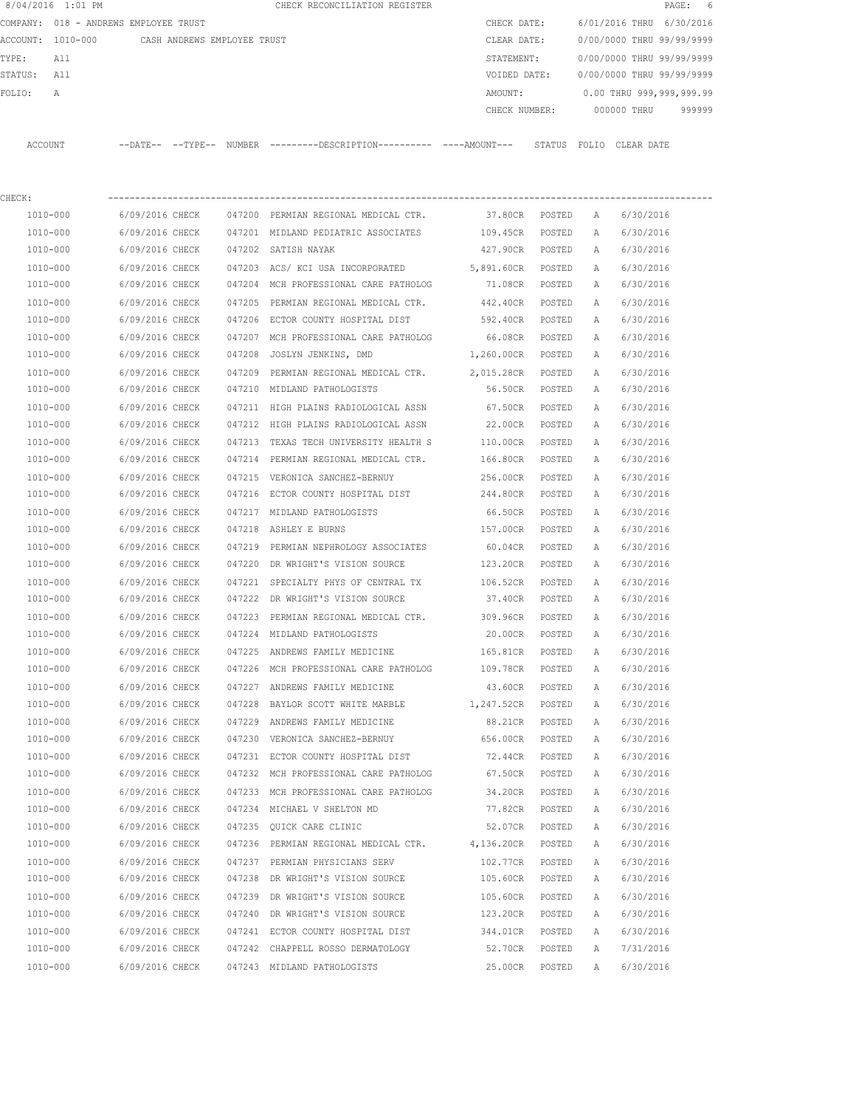|         | 8/04/2016 1:01 PM |                                       |        | CHECK RECONCILIATION REGISTER |         |               |                         |             | PAGE: 6                   |  |
|---------|-------------------|---------------------------------------|--------|-------------------------------|---------|---------------|-------------------------|-------------|---------------------------|--|
|         |                   | COMPANY: 018 - ANDREWS EMPLOYEE TRUST |        |                               |         | CHECK DATE:   |                         |             | 6/01/2016 THRU 6/30/2016  |  |
|         | ACCOUNT: 1010-000 | CASH ANDREWS EMPLOYEE TRUST           |        |                               |         | CLEAR DATE:   |                         |             | 0/00/0000 THRU 99/99/9999 |  |
| TYPE:   | All               |                                       |        |                               |         | STATEMENT:    |                         |             | 0/00/0000 THRU 99/99/9999 |  |
| STATUS: | All               |                                       |        |                               |         | VOIDED DATE:  |                         |             | 0/00/0000 THRU 99/99/9999 |  |
| FOLTO:  | A                 |                                       |        |                               | AMOUNT: |               |                         |             | 0.00 THRU 999,999,999.99  |  |
|         |                   |                                       |        |                               |         | CHECK NUMBER: |                         | 000000 THRU | 999999                    |  |
|         |                   |                                       |        |                               |         |               |                         |             |                           |  |
| ACCOUNT |                   | $---DATF------TYPF---$                | NUMBER |                               |         |               | STATUS FOLIO CLEAR DATE |             |                           |  |
|         |                   |                                       |        |                               |         |               |                         |             |                           |  |

| CHECK:       |                 |        |                                                |            |        |   |           |
|--------------|-----------------|--------|------------------------------------------------|------------|--------|---|-----------|
| 1010-000     | 6/09/2016 CHECK |        | 047200 PERMIAN REGIONAL MEDICAL CTR. 37.80CR   |            | POSTED | A | 6/30/2016 |
| 1010-000     | 6/09/2016 CHECK |        | 047201 MIDLAND PEDIATRIC ASSOCIATES 109.45CR   |            | POSTED | A | 6/30/2016 |
| 1010-000     | 6/09/2016 CHECK | 047202 | SATISH NAYAK                                   | 427.90CR   | POSTED | Α | 6/30/2016 |
| 1010-000     | 6/09/2016 CHECK | 047203 | ACS/ KCI USA INCORPORATED 5,891.60CR           |            | POSTED | Α | 6/30/2016 |
| 1010-000     | 6/09/2016 CHECK |        | 047204 MCH PROFESSIONAL CARE PATHOLOG 71.08CR  |            | POSTED | Α | 6/30/2016 |
| 1010-000     | 6/09/2016 CHECK | 047205 | PERMIAN REGIONAL MEDICAL CTR.                  | 442.40CR   | POSTED | Α | 6/30/2016 |
| 1010-000     | 6/09/2016 CHECK | 047206 | ECTOR COUNTY HOSPITAL DIST                     | 592.40CR   | POSTED | Α | 6/30/2016 |
| 1010-000     | 6/09/2016 CHECK |        | 047207 MCH PROFESSIONAL CARE PATHOLOG          | 66.08CR    | POSTED | Α | 6/30/2016 |
| 1010-000     | 6/09/2016 CHECK | 047208 | JOSLYN JENKINS, DMD                            | 1,260.00CR | POSTED | Α | 6/30/2016 |
| 1010-000     | 6/09/2016 CHECK |        | 047209 PERMIAN REGIONAL MEDICAL CTR.           | 2,015.28CR | POSTED | Α | 6/30/2016 |
| 1010-000     | 6/09/2016 CHECK |        | 047210 MIDLAND PATHOLOGISTS                    | 56.50CR    | POSTED | Α | 6/30/2016 |
| 1010-000     | 6/09/2016 CHECK |        | 047211 HIGH PLAINS RADIOLOGICAL ASSN           | 67.50CR    | POSTED | Α | 6/30/2016 |
| 1010-000     | 6/09/2016 CHECK |        | 047212 HIGH PLAINS RADIOLOGICAL ASSN 22.00CR   |            | POSTED | Α | 6/30/2016 |
| 1010-000     | 6/09/2016 CHECK |        | 047213 TEXAS TECH UNIVERSITY HEALTH S 110.00CR |            | POSTED | Α | 6/30/2016 |
| 1010-000     | 6/09/2016 CHECK |        | 047214 PERMIAN REGIONAL MEDICAL CTR. 166.80CR  |            | POSTED | А | 6/30/2016 |
| 1010-000     | 6/09/2016 CHECK |        | 047215 VERONICA SANCHEZ-BERNUY                 | 256.00CR   | POSTED | Α | 6/30/2016 |
| 1010-000     | 6/09/2016 CHECK | 047216 | ECTOR COUNTY HOSPITAL DIST 244.80CR            |            | POSTED | Α | 6/30/2016 |
| 1010-000     | 6/09/2016 CHECK | 047217 | MIDLAND PATHOLOGISTS                           | 66.50CR    | POSTED | Α | 6/30/2016 |
| 1010-000     | 6/09/2016 CHECK | 047218 | ASHLEY E BURNS                                 | 157.00CR   | POSTED | Α | 6/30/2016 |
| 1010-000     | 6/09/2016 CHECK | 047219 | PERMIAN NEPHROLOGY ASSOCIATES                  | 60.04CR    | POSTED | Α | 6/30/2016 |
| 1010-000     | 6/09/2016 CHECK | 047220 | DR WRIGHT'S VISION SOURCE                      | 123.20CR   | POSTED | Α | 6/30/2016 |
| 1010-000     | 6/09/2016 CHECK |        | 047221 SPECIALTY PHYS OF CENTRAL TX            | 106.52CR   | POSTED | Α | 6/30/2016 |
| 1010-000     | 6/09/2016 CHECK | 047222 | DR WRIGHT'S VISION SOURCE                      | 37.40CR    | POSTED | А | 6/30/2016 |
| 1010-000     | 6/09/2016 CHECK | 047223 | PERMIAN REGIONAL MEDICAL CTR. 309.96CR         |            | POSTED | Α | 6/30/2016 |
| 1010-000     | 6/09/2016 CHECK |        | 047224 MIDLAND PATHOLOGISTS                    | 20.00CR    | POSTED | Α | 6/30/2016 |
| 1010-000     | 6/09/2016 CHECK | 047225 | ANDREWS FAMILY MEDICINE                        | 165.81CR   | POSTED | Α | 6/30/2016 |
| 1010-000     | 6/09/2016 CHECK | 047226 | MCH PROFESSIONAL CARE PATHOLOG 109.78CR        |            | POSTED | Α | 6/30/2016 |
| 1010-000     | 6/09/2016 CHECK | 047227 | ANDREWS FAMILY MEDICINE                        | 43.60CR    | POSTED | А | 6/30/2016 |
| 1010-000     | 6/09/2016 CHECK | 047228 | BAYLOR SCOTT WHITE MARBLE 1,247.52CR           |            | POSTED | Α | 6/30/2016 |
| 1010-000     | 6/09/2016 CHECK | 047229 | ANDREWS FAMILY MEDICINE                        | 88.21CR    | POSTED | Α | 6/30/2016 |
| 1010-000     | 6/09/2016 CHECK | 047230 | VERONICA SANCHEZ-BERNUY                        | 656.00CR   | POSTED | Α | 6/30/2016 |
| 1010-000     | 6/09/2016 CHECK | 047231 | ECTOR COUNTY HOSPITAL DIST                     | 72.44CR    | POSTED | Α | 6/30/2016 |
| 1010-000     | 6/09/2016 CHECK |        | 047232 MCH PROFESSIONAL CARE PATHOLOG          | 67.50CR    | POSTED | Α | 6/30/2016 |
| 1010-000     | 6/09/2016 CHECK |        | 047233 MCH PROFESSIONAL CARE PATHOLOG          | 34.20CR    | POSTED | Α | 6/30/2016 |
| 1010-000     | 6/09/2016 CHECK |        | 047234 MICHAEL V SHELTON MD                    | 77.82CR    | POSTED | Α | 6/30/2016 |
| 1010-000     | 6/09/2016 CHECK |        | 047235 QUICK CARE CLINIC                       | 52.07CR    | POSTED | Α | 6/30/2016 |
| 1010-000     | 6/09/2016 CHECK |        | 047236 PERMIAN REGIONAL MEDICAL CTR.           | 4,136.20CR | POSTED | Α | 6/30/2016 |
| 1010-000     | 6/09/2016 CHECK |        | 047237 PERMIAN PHYSICIANS SERV                 | 102.77CR   | POSTED | Α | 6/30/2016 |
| 1010-000     | 6/09/2016 CHECK | 047238 | DR WRIGHT'S VISION SOURCE                      | 105.60CR   | POSTED | Α | 6/30/2016 |
| 1010-000     | 6/09/2016 CHECK | 047239 | DR WRIGHT'S VISION SOURCE                      | 105.60CR   | POSTED | Α | 6/30/2016 |
| 1010-000     | 6/09/2016 CHECK | 047240 | DR WRIGHT'S VISION SOURCE                      | 123.20CR   | POSTED | Α | 6/30/2016 |
| 1010-000     | 6/09/2016 CHECK | 047241 | ECTOR COUNTY HOSPITAL DIST                     | 344.01CR   | POSTED | Α | 6/30/2016 |
| 1010-000     | 6/09/2016 CHECK | 047242 | CHAPPELL ROSSO DERMATOLOGY                     | 52.70CR    | POSTED | Α | 7/31/2016 |
| $1010 - 000$ | 6/09/2016 CHECK |        | 047243 MIDLAND PATHOLOGISTS                    | 25.00CR    | POSTED | Α | 6/30/2016 |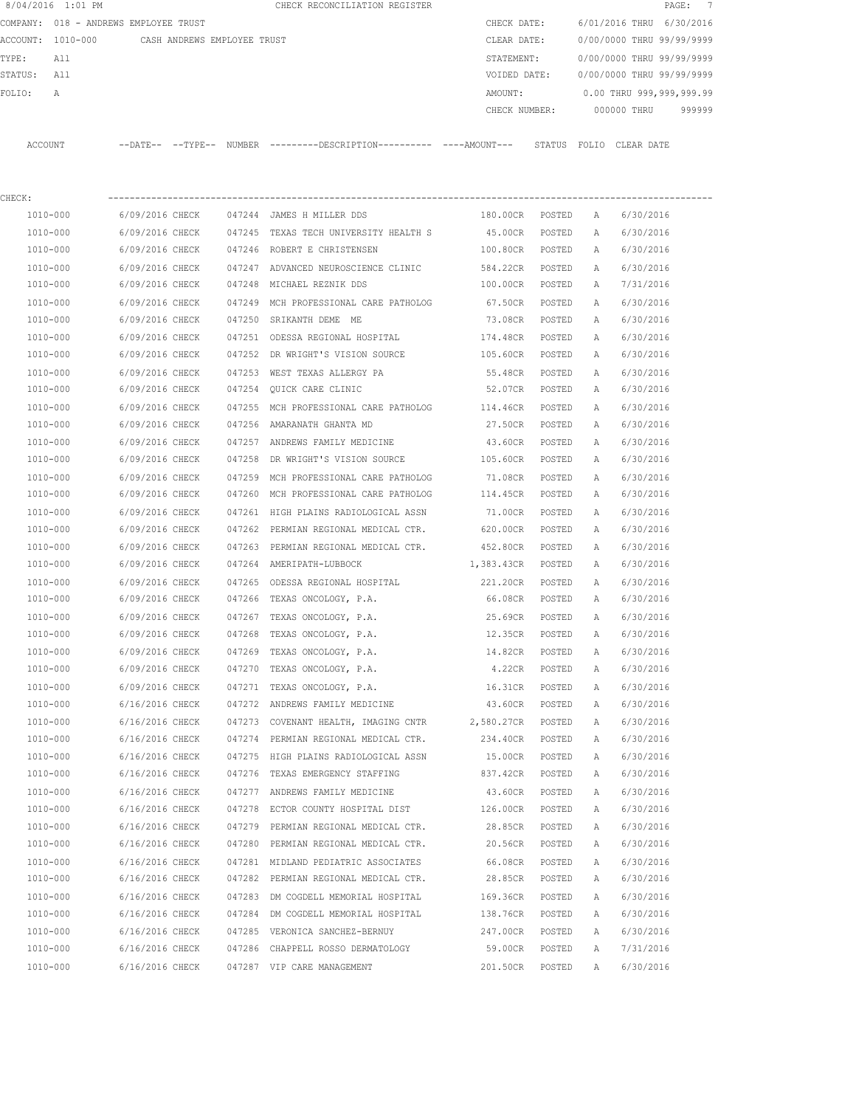|         | 8/04/2016 1:01 PM |                                       |               | CHECK RECONCILIATION REGISTER |               |                           |            | PAGE: 7                  |  |
|---------|-------------------|---------------------------------------|---------------|-------------------------------|---------------|---------------------------|------------|--------------------------|--|
|         |                   | COMPANY: 018 - ANDREWS EMPLOYEE TRUST |               |                               | CHECK DATE:   | 6/01/2016 THRU            |            | 6/30/2016                |  |
|         | ACCOUNT: 1010-000 | CASH ANDREWS EMPLOYEE TRUST           |               |                               | CLEAR DATE:   | 0/00/0000 THRU 99/99/9999 |            |                          |  |
| TYPE:   | All               |                                       |               |                               | STATEMENT:    | 0/00/0000 THRU 99/99/9999 |            |                          |  |
| STATUS: | All               |                                       |               |                               | VOIDED DATE:  | 0/00/0000 THRU 99/99/9999 |            |                          |  |
| FOLTO:  | A                 |                                       |               |                               | AMOUNT:       |                           |            | 0.00 THRU 999,999,999.99 |  |
|         |                   |                                       |               |                               | CHECK NUMBER: | 000000 THRU               |            | 999999                   |  |
|         |                   |                                       |               |                               |               |                           |            |                          |  |
| ACCOUNT |                   | $--$ TYPE $--$<br>$--$ DATE $--$      | <b>NUMBER</b> | ---------DESCRIPTION--        | STATUS        | FOLIO                     | CLEAR DATE |                          |  |

| CHECK:   |                 |        |                                                 |            |        |   |           |
|----------|-----------------|--------|-------------------------------------------------|------------|--------|---|-----------|
| 1010-000 | 6/09/2016 CHECK |        | 047244 JAMES H MILLER DDS                       | 180.00CR   | POSTED | A | 6/30/2016 |
| 1010-000 | 6/09/2016 CHECK |        | 047245 TEXAS TECH UNIVERSITY HEALTH S           | 45.00CR    | POSTED | Α | 6/30/2016 |
| 1010-000 | 6/09/2016 CHECK |        | 047246 ROBERT E CHRISTENSEN                     | 100.80CR   | POSTED | А | 6/30/2016 |
| 1010-000 | 6/09/2016 CHECK |        | 047247 ADVANCED NEUROSCIENCE CLINIC             | 584.22CR   | POSTED | Α | 6/30/2016 |
| 1010-000 | 6/09/2016 CHECK | 047248 | MICHAEL REZNIK DDS                              | 100.00CR   | POSTED | Α | 7/31/2016 |
| 1010-000 | 6/09/2016 CHECK |        | 047249 MCH PROFESSIONAL CARE PATHOLOG           | 67.50CR    | POSTED | Α | 6/30/2016 |
| 1010-000 | 6/09/2016 CHECK |        | 047250 SRIKANTH DEME ME                         | 73.08CR    | POSTED | Α | 6/30/2016 |
| 1010-000 | 6/09/2016 CHECK |        | 047251 ODESSA REGIONAL HOSPITAL                 | 174.48CR   | POSTED | Α | 6/30/2016 |
| 1010-000 | 6/09/2016 CHECK |        | 047252 DR WRIGHT'S VISION SOURCE                | 105.60CR   | POSTED | Α | 6/30/2016 |
| 1010-000 | 6/09/2016 CHECK |        | 047253 WEST TEXAS ALLERGY PA                    | 55.48CR    | POSTED | Α | 6/30/2016 |
| 1010-000 | 6/09/2016 CHECK | 047254 | QUICK CARE CLINIC                               | 52.07CR    | POSTED | Α | 6/30/2016 |
| 1010-000 | 6/09/2016 CHECK |        | 047255 MCH PROFESSIONAL CARE PATHOLOG 114.46CR  |            | POSTED | Α | 6/30/2016 |
| 1010-000 | 6/09/2016 CHECK |        | 047256 AMARANATH GHANTA MD                      | 27.50CR    | POSTED | Α | 6/30/2016 |
| 1010-000 | 6/09/2016 CHECK | 047257 | ANDREWS FAMILY MEDICINE                         | 43.60CR    | POSTED | Α | 6/30/2016 |
| 1010-000 | 6/09/2016 CHECK | 047258 | DR WRIGHT'S VISION SOURCE                       | 105.60CR   | POSTED | А | 6/30/2016 |
| 1010-000 | 6/09/2016 CHECK | 047259 | MCH PROFESSIONAL CARE PATHOLOG                  | 71.08CR    | POSTED | Α | 6/30/2016 |
| 1010-000 | 6/09/2016 CHECK | 047260 | MCH PROFESSIONAL CARE PATHOLOG                  | 114.45CR   | POSTED | Α | 6/30/2016 |
| 1010-000 | 6/09/2016 CHECK | 047261 | HIGH PLAINS RADIOLOGICAL ASSN                   | 71.00CR    | POSTED | Α | 6/30/2016 |
| 1010-000 | 6/09/2016 CHECK | 047262 | PERMIAN REGIONAL MEDICAL CTR.                   | 620.00CR   | POSTED | Α | 6/30/2016 |
| 1010-000 | 6/09/2016 CHECK | 047263 | PERMIAN REGIONAL MEDICAL CTR.                   | 452.80CR   | POSTED | Α | 6/30/2016 |
| 1010-000 | 6/09/2016 CHECK | 047264 | AMERIPATH-LUBBOCK                               | 1,383.43CR | POSTED | Α | 6/30/2016 |
| 1010-000 | 6/09/2016 CHECK | 047265 | ODESSA REGIONAL HOSPITAL                        | 221.20CR   | POSTED | Α | 6/30/2016 |
| 1010-000 | 6/09/2016 CHECK | 047266 | TEXAS ONCOLOGY, P.A.                            | 66.08CR    | POSTED | Α | 6/30/2016 |
| 1010-000 | 6/09/2016 CHECK | 047267 | TEXAS ONCOLOGY, P.A.                            | 25.69CR    | POSTED | Α | 6/30/2016 |
| 1010-000 | 6/09/2016 CHECK | 047268 | TEXAS ONCOLOGY, P.A.                            | 12.35CR    | POSTED | Α | 6/30/2016 |
| 1010-000 | 6/09/2016 CHECK | 047269 | TEXAS ONCOLOGY, P.A.                            | 14.82CR    | POSTED | А | 6/30/2016 |
| 1010-000 | 6/09/2016 CHECK | 047270 | TEXAS ONCOLOGY, P.A.                            | 4.22CR     | POSTED | А | 6/30/2016 |
| 1010-000 | 6/09/2016 CHECK | 047271 | TEXAS ONCOLOGY, P.A.                            | 16.31CR    | POSTED | Α | 6/30/2016 |
| 1010-000 | 6/16/2016 CHECK |        | 047272 ANDREWS FAMILY MEDICINE                  | 43.60CR    | POSTED | Α | 6/30/2016 |
| 1010-000 | 6/16/2016 CHECK |        | 047273 COVENANT HEALTH, IMAGING CNTR 2,580.27CR |            | POSTED | Α | 6/30/2016 |
| 1010-000 | 6/16/2016 CHECK |        | 047274 PERMIAN REGIONAL MEDICAL CTR.            | 234.40CR   | POSTED | Α | 6/30/2016 |
| 1010-000 | 6/16/2016 CHECK | 047275 | HIGH PLAINS RADIOLOGICAL ASSN                   | 15.00CR    | POSTED | Α | 6/30/2016 |
| 1010-000 | 6/16/2016 CHECK |        | 047276 TEXAS EMERGENCY STAFFING                 | 837.42CR   | POSTED | A | 6/30/2016 |
| 1010-000 | 6/16/2016 CHECK | 047277 | ANDREWS FAMILY MEDICINE                         | 43.60CR    | POSTED | Α | 6/30/2016 |
| 1010-000 | 6/16/2016 CHECK | 047278 | ECTOR COUNTY HOSPITAL DIST                      | 126.00CR   | POSTED | Α | 6/30/2016 |
| 1010-000 | 6/16/2016 CHECK |        | 047279 PERMIAN REGIONAL MEDICAL CTR.            | 28.85CR    | POSTED | Α | 6/30/2016 |
| 1010-000 | 6/16/2016 CHECK | 047280 | PERMIAN REGIONAL MEDICAL CTR.                   | 20.56CR    | POSTED | Α | 6/30/2016 |
| 1010-000 | 6/16/2016 CHECK |        | 047281 MIDLAND PEDIATRIC ASSOCIATES             | 66.08CR    | POSTED | Α | 6/30/2016 |
| 1010-000 | 6/16/2016 CHECK | 047282 | PERMIAN REGIONAL MEDICAL CTR.                   | 28.85CR    | POSTED | Α | 6/30/2016 |
| 1010-000 | 6/16/2016 CHECK | 047283 | DM COGDELL MEMORIAL HOSPITAL                    | 169.36CR   | POSTED | Α | 6/30/2016 |
| 1010-000 | 6/16/2016 CHECK | 047284 | DM COGDELL MEMORIAL HOSPITAL                    | 138.76CR   | POSTED | Α | 6/30/2016 |
| 1010-000 | 6/16/2016 CHECK |        | 047285 VERONICA SANCHEZ-BERNUY                  | 247.00CR   | POSTED | Α | 6/30/2016 |
| 1010-000 | 6/16/2016 CHECK |        | 047286 CHAPPELL ROSSO DERMATOLOGY               | 59.00CR    | POSTED | Α | 7/31/2016 |
| 1010-000 | 6/16/2016 CHECK |        | 047287 VIP CARE MANAGEMENT                      | 201.50CR   | POSTED | Α | 6/30/2016 |
|          |                 |        |                                                 |            |        |   |           |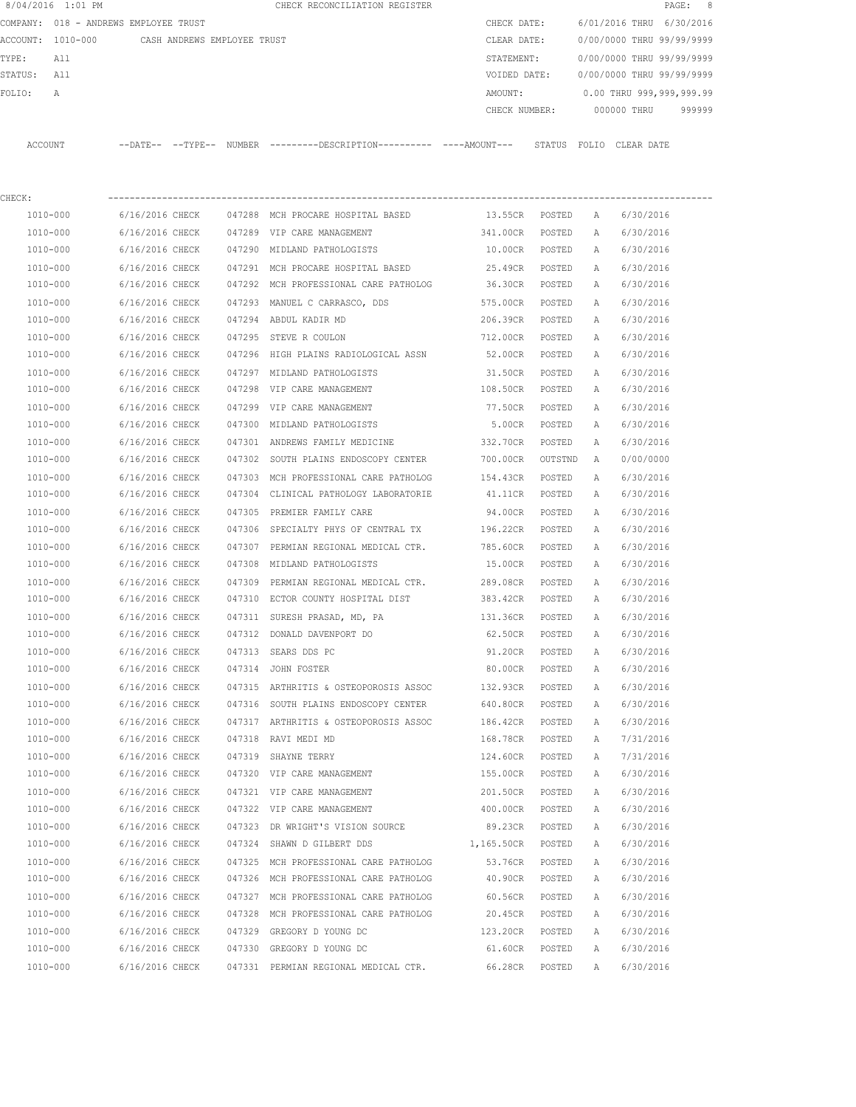|             | 8/04/2016 1:01 PM                             |                                    |        | CHECK RECONCILIATION REGISTER                                                                |                      |                  |        |                                        | 8<br>PAGE: |
|-------------|-----------------------------------------------|------------------------------------|--------|----------------------------------------------------------------------------------------------|----------------------|------------------|--------|----------------------------------------|------------|
|             | COMPANY: 018 - ANDREWS EMPLOYEE TRUST         |                                    |        |                                                                                              |                      | CHECK DATE:      |        | 6/01/2016 THRU 6/30/2016               |            |
|             | ACCOUNT: 1010-000 CASH ANDREWS EMPLOYEE TRUST |                                    |        |                                                                                              |                      |                  |        | CLEAR DATE: 0/00/0000 THRU 99/99/9999  |            |
| TYPE:       | All                                           |                                    |        |                                                                                              | STATEMENT:           |                  |        | 0/00/0000 THRU 99/99/9999              |            |
| STATUS: All |                                               |                                    |        |                                                                                              |                      |                  |        | VOIDED DATE: 0/00/0000 THRU 99/99/9999 |            |
| FOLIO:      | Α                                             |                                    |        |                                                                                              | AMOUNT:              |                  |        | 0.00 THRU 999,999,999.99               |            |
|             |                                               |                                    |        |                                                                                              | CHECK NUMBER:        |                  |        | 000000 THRU                            | 999999     |
| ACCOUNT     |                                               |                                    |        | --DATE-- --TYPE-- NUMBER ---------DESCRIPTION---------- ----AMOUNT--- STATUS FOLIO CLEARDATE |                      |                  |        |                                        |            |
| CHECK:      |                                               |                                    |        |                                                                                              |                      |                  |        |                                        |            |
|             | 1010-000                                      |                                    |        | 6/16/2016 CHECK 047288 MCH PROCARE HOSPITAL BASED                                            | 13.55CR POSTED       |                  | A      | 6/30/2016                              |            |
|             | 1010-000                                      |                                    |        | 6/16/2016 CHECK 047289 VIP CARE MANAGEMENT                                                   | 341.00CR POSTED      |                  | A      | 6/30/2016                              |            |
|             | 1010-000                                      |                                    |        | 6/16/2016 CHECK 047290 MIDLAND PATHOLOGISTS                                                  | 10.00CR POSTED       |                  | A      | 6/30/2016                              |            |
|             | 1010-000                                      |                                    |        | 6/16/2016 CHECK 047291 MCH PROCARE HOSPITAL BASED                                            | 25.49CR POSTED       |                  | A      | 6/30/2016                              |            |
|             | 1010-000                                      |                                    |        | 6/16/2016 CHECK 047292 MCH PROFESSIONAL CARE PATHOLOG                                        | 36.30CR POSTED       |                  | A      | 6/30/2016                              |            |
|             | 1010-000                                      | 6/16/2016 CHECK                    |        | 047293 MANUEL C CARRASCO, DDS                                                                | 575.00CR POSTED      |                  | A      | 6/30/2016                              |            |
|             | 1010-000                                      | 6/16/2016 CHECK                    |        | 047294 ABDUL KADIR MD                                                                        | 206.39CR POSTED      |                  | A      | 6/30/2016                              |            |
|             | 1010-000                                      | 6/16/2016 CHECK                    |        | 047295 STEVE R COULON                                                                        | 712.00CR POSTED      |                  | A      | 6/30/2016                              |            |
|             | 1010-000                                      | 6/16/2016 CHECK                    |        | 047296 HIGH PLAINS RADIOLOGICAL ASSN                                                         | 52.00CR POSTED       |                  | A      | 6/30/2016                              |            |
|             | 1010-000                                      | 6/16/2016 CHECK                    |        | 047297 MIDLAND PATHOLOGISTS                                                                  | 31.50CR              | POSTED           | A      | 6/30/2016                              |            |
|             | 1010-000                                      | 6/16/2016 CHECK                    |        | 047298 VIP CARE MANAGEMENT                                                                   | 108.50CR             | POSTED           | A      | 6/30/2016                              |            |
|             | 1010-000                                      | 6/16/2016 CHECK                    |        | 047299 VIP CARE MANAGEMENT                                                                   | 77.50CR              | POSTED           | A      | 6/30/2016                              |            |
|             | 1010-000                                      | 6/16/2016 CHECK                    |        | 047300 MIDLAND PATHOLOGISTS                                                                  | 5.00CR               | POSTED           | A      | 6/30/2016                              |            |
|             | 1010-000                                      | 6/16/2016 CHECK                    |        | 047301 ANDREWS FAMILY MEDICINE                                                               | 332.70CR             | POSTED           | А      | 6/30/2016                              |            |
|             | 1010-000                                      | 6/16/2016 CHECK                    |        | 047302 SOUTH PLAINS ENDOSCOPY CENTER                                                         | 700.00CR             | OUTSTND          | A      | 0/00/0000                              |            |
|             | 1010-000                                      | 6/16/2016 CHECK                    |        | 047303 MCH PROFESSIONAL CARE PATHOLOG                                                        | 154.43CR POSTED      |                  | Α      | 6/30/2016                              |            |
|             | 1010-000                                      | 6/16/2016 CHECK                    |        | 047304 CLINICAL PATHOLOGY LABORATORIE                                                        | 41.11CR POSTED       |                  | A      | 6/30/2016                              |            |
|             | 1010-000                                      | 6/16/2016 CHECK                    |        | 047305 PREMIER FAMILY CARE                                                                   | 94.00CR POSTED       |                  | A      | 6/30/2016                              |            |
|             | 1010-000                                      | 6/16/2016 CHECK                    |        | 047306 SPECIALTY PHYS OF CENTRAL TX                                                          | 196.22CR POSTED      |                  | A      | 6/30/2016                              |            |
|             | 1010-000                                      | 6/16/2016 CHECK                    |        | 047307 PERMIAN REGIONAL MEDICAL CTR.                                                         | 785.60CR POSTED      |                  | A      | 6/30/2016                              |            |
|             | 1010-000                                      | 6/16/2016 CHECK                    |        | 047308 MIDLAND PATHOLOGISTS                                                                  | 15.00CR POSTED       |                  | A      | 6/30/2016                              |            |
|             | 1010-000                                      | 6/16/2016 CHECK                    | 047309 | PERMIAN REGIONAL MEDICAL CTR. 289.08CR POSTED                                                |                      |                  | A      | 6/30/2016                              |            |
|             | 1010-000                                      |                                    |        | 6/16/2016 CHECK 047310 ECTOR COUNTY HOSPITAL DIST 383.42CR POSTED                            |                      |                  | A      | 6/30/2016                              |            |
|             | 1010-000                                      | 6/16/2016 CHECK                    |        | 047311 SURESH PRASAD, MD, PA                                                                 | 131.36CR             | POSTED           | A      | 6/30/2016                              |            |
|             | 1010-000                                      | 6/16/2016 CHECK                    |        | 047312 DONALD DAVENPORT DO                                                                   | 62.50CR              | POSTED           | Α      | 6/30/2016                              |            |
|             | 1010-000                                      | 6/16/2016 CHECK                    |        | 047313 SEARS DDS PC                                                                          | 91.20CR              | POSTED           | Α      | 6/30/2016                              |            |
|             | 1010-000                                      | 6/16/2016 CHECK                    |        | 047314 JOHN FOSTER                                                                           | 80.00CR              | POSTED           | Α      | 6/30/2016                              |            |
|             | 1010-000                                      | 6/16/2016 CHECK                    |        | 047315 ARTHRITIS & OSTEOPOROSIS ASSOC                                                        | 132.93CR             | POSTED           | Α      | 6/30/2016                              |            |
|             | 1010-000                                      | 6/16/2016 CHECK                    |        | 047316 SOUTH PLAINS ENDOSCOPY CENTER                                                         | 640.80CR             | POSTED           | Α      | 6/30/2016                              |            |
|             | 1010-000<br>1010-000                          | 6/16/2016 CHECK<br>6/16/2016 CHECK |        | 047317 ARTHRITIS & OSTEOPOROSIS ASSOC<br>047318 RAVI MEDI MD                                 | 186.42CR<br>168.78CR | POSTED<br>POSTED | Α<br>Α | 6/30/2016<br>7/31/2016                 |            |
|             | 1010-000                                      | 6/16/2016 CHECK                    |        | 047319 SHAYNE TERRY                                                                          | 124.60CR             | POSTED           | Α      | 7/31/2016                              |            |
|             | 1010-000                                      | 6/16/2016 CHECK                    |        | 047320 VIP CARE MANAGEMENT                                                                   | 155.00CR             | POSTED           | Α      | 6/30/2016                              |            |
|             | $1010 - 000$                                  | 6/16/2016 CHECK                    |        | 047321 VIP CARE MANAGEMENT                                                                   | 201.50CR             | POSTED           | Α      | 6/30/2016                              |            |
|             | 1010-000                                      | 6/16/2016 CHECK                    |        | 047322 VIP CARE MANAGEMENT                                                                   | 400.00CR             | POSTED           | Α      | 6/30/2016                              |            |
|             | 1010-000                                      | 6/16/2016 CHECK                    |        | 047323 DR WRIGHT'S VISION SOURCE                                                             | 89.23CR              | POSTED           | Α      | 6/30/2016                              |            |
|             | 1010-000                                      | 6/16/2016 CHECK                    |        | 047324 SHAWN D GILBERT DDS                                                                   | 1,165.50CR           | POSTED           | Α      | 6/30/2016                              |            |
|             | 1010-000                                      | 6/16/2016 CHECK                    |        | 047325 MCH PROFESSIONAL CARE PATHOLOG                                                        | 53.76CR              | POSTED           | Α      | 6/30/2016                              |            |
|             | 1010-000                                      | 6/16/2016 CHECK                    |        | 047326 MCH PROFESSIONAL CARE PATHOLOG                                                        | 40.90CR              | POSTED           | Α      | 6/30/2016                              |            |
|             | 1010-000                                      | 6/16/2016 CHECK                    |        | 047327 MCH PROFESSIONAL CARE PATHOLOG                                                        | 60.56CR              | POSTED           | Α      | 6/30/2016                              |            |
|             | 1010-000                                      | 6/16/2016 CHECK                    |        | 047328 MCH PROFESSIONAL CARE PATHOLOG                                                        | 20.45CR              | POSTED           | Α      | 6/30/2016                              |            |
|             | 1010-000                                      | 6/16/2016 CHECK                    |        | 047329 GREGORY D YOUNG DC                                                                    | 123.20CR             | POSTED           | Α      | 6/30/2016                              |            |
|             | 1010-000                                      | 6/16/2016 CHECK                    |        | 047330 GREGORY D YOUNG DC                                                                    | 61.60CR              | POSTED           | Α      | 6/30/2016                              |            |
|             | 1010-000                                      | 6/16/2016 CHECK                    |        | 047331 PERMIAN REGIONAL MEDICAL CTR.                                                         | 66.28CR              | POSTED           | Α      | 6/30/2016                              |            |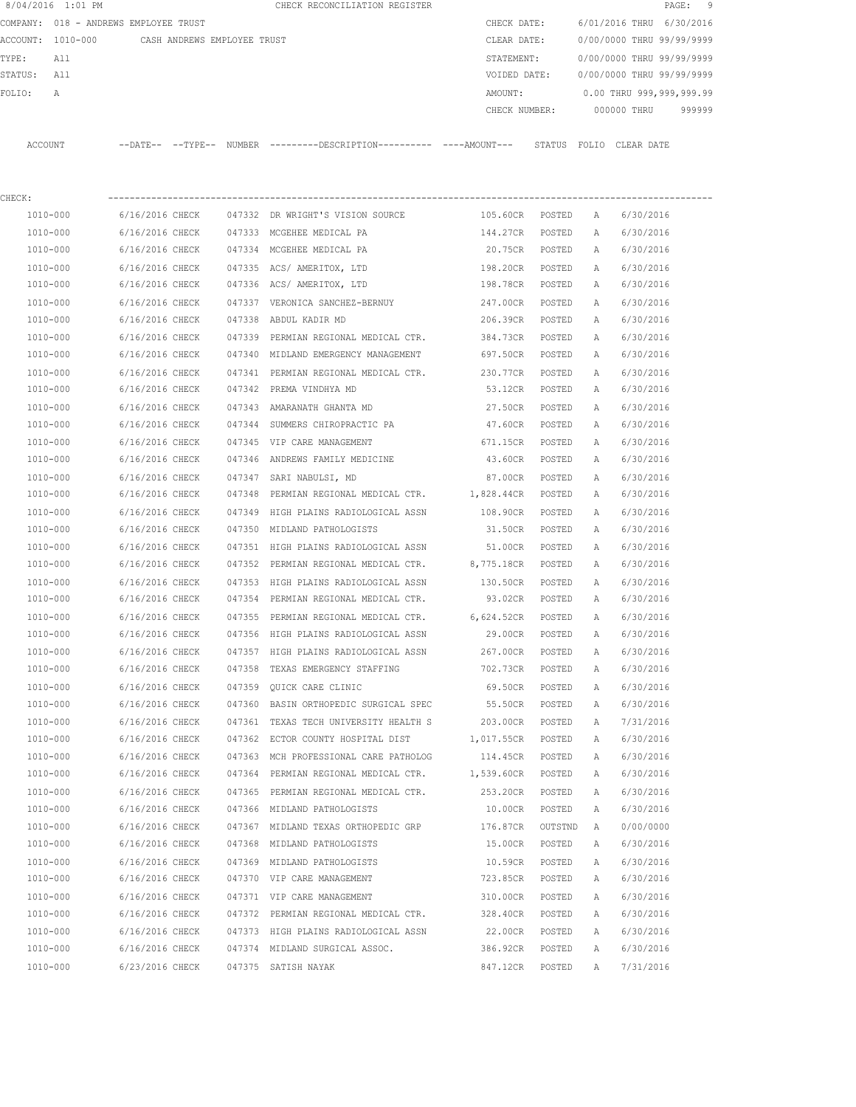|         | 8/04/2016 1:01 PM                     |                 |                             |        | CHECK RECONCILIATION REGISTER                                                               |                 |         |              |                           | 9<br>PAGE: |
|---------|---------------------------------------|-----------------|-----------------------------|--------|---------------------------------------------------------------------------------------------|-----------------|---------|--------------|---------------------------|------------|
|         | COMPANY: 018 - ANDREWS EMPLOYEE TRUST |                 |                             |        |                                                                                             | CHECK DATE:     |         |              | 6/01/2016 THRU 6/30/2016  |            |
|         | ACCOUNT: 1010-000                     |                 | CASH ANDREWS EMPLOYEE TRUST |        |                                                                                             | CLEAR DATE:     |         |              | 0/00/0000 THRU 99/99/9999 |            |
| TYPE:   | All                                   |                 |                             |        |                                                                                             | STATEMENT:      |         |              | 0/00/0000 THRU 99/99/9999 |            |
| STATUS: | All                                   |                 |                             |        |                                                                                             | VOIDED DATE:    |         |              | 0/00/0000 THRU 99/99/9999 |            |
| FOLIO:  | Α                                     |                 |                             |        |                                                                                             | AMOUNT:         |         |              | 0.00 THRU 999,999,999.99  |            |
|         |                                       |                 |                             |        |                                                                                             | CHECK NUMBER:   |         |              | 000000 THRU               | 999999     |
|         | ACCOUNT                               |                 |                             |        | --DATE-- --TYPE-- NUMBER --------DESCRIPTION---------- ----AMOUNT--- STATUS FOLIO CLEARDATE |                 |         |              |                           |            |
| CHECK:  |                                       |                 |                             |        |                                                                                             |                 |         |              |                           |            |
|         | 1010-000                              | 6/16/2016 CHECK |                             |        | 047332 DR WRIGHT'S VISION SOURCE                                                            | 105.60CR POSTED |         | A            | 6/30/2016                 |            |
|         | 1010-000                              | 6/16/2016 CHECK |                             |        | 047333 MCGEHEE MEDICAL PA                                                                   | 144.27CR POSTED |         | A            | 6/30/2016                 |            |
|         | 1010-000                              | 6/16/2016 CHECK |                             |        | 047334 MCGEHEE MEDICAL PA                                                                   | 20.75CR POSTED  |         | A            | 6/30/2016                 |            |
|         | 1010-000                              | 6/16/2016 CHECK |                             |        | 047335 ACS/AMERITOX, LTD                                                                    | 198.20CR POSTED |         | A            | 6/30/2016                 |            |
|         | 1010-000                              | 6/16/2016 CHECK |                             |        | 047336 ACS/AMERITOX, LTD                                                                    | 198.78CR POSTED |         | A            | 6/30/2016                 |            |
|         | 1010-000                              | 6/16/2016 CHECK |                             |        | 047337 VERONICA SANCHEZ-BERNUY                                                              | 247.00CR        | POSTED  | Α            | 6/30/2016                 |            |
|         | 1010-000                              | 6/16/2016 CHECK |                             | 047338 | ABDUL KADIR MD                                                                              | 206.39CR        | POSTED  | A            | 6/30/2016                 |            |
|         | 1010-000                              | 6/16/2016 CHECK |                             | 047339 | PERMIAN REGIONAL MEDICAL CTR.                                                               | 384.73CR        | POSTED  | Α            | 6/30/2016                 |            |
|         | 1010-000                              | 6/16/2016 CHECK |                             |        | 047340 MIDLAND EMERGENCY MANAGEMENT                                                         | 697.50CR        | POSTED  | А            | 6/30/2016                 |            |
|         | 1010-000                              | 6/16/2016 CHECK |                             |        | 047341 PERMIAN REGIONAL MEDICAL CTR. 230.77CR                                               |                 | POSTED  | A            | 6/30/2016                 |            |
|         | 1010-000                              | 6/16/2016 CHECK |                             |        | 047342 PREMA VINDHYA MD                                                                     | 53.12CR         | POSTED  | Α            | 6/30/2016                 |            |
|         | 1010-000                              | 6/16/2016 CHECK |                             |        | 047343 AMARANATH GHANTA MD                                                                  | 27.50CR         | POSTED  | Α            | 6/30/2016                 |            |
|         | 1010-000                              | 6/16/2016 CHECK |                             | 047344 | SUMMERS CHIROPRACTIC PA                                                                     | 47.60CR         | POSTED  | A            | 6/30/2016                 |            |
|         | 1010-000                              | 6/16/2016 CHECK |                             |        | 047345 VIP CARE MANAGEMENT                                                                  | 671.15CR        | POSTED  | Α            | 6/30/2016                 |            |
|         | 1010-000                              | 6/16/2016 CHECK |                             |        | 047346 ANDREWS FAMILY MEDICINE                                                              | 43.60CR         | POSTED  | Α            | 6/30/2016                 |            |
|         | 1010-000                              | 6/16/2016 CHECK |                             |        | 047347 SARI NABULSI, MD                                                                     | 87.00CR         | POSTED  | Α            | 6/30/2016                 |            |
|         | 1010-000                              | 6/16/2016 CHECK |                             | 047348 | PERMIAN REGIONAL MEDICAL CTR.                                                               | 1,828.44CR      | POSTED  | А            | 6/30/2016                 |            |
|         | 1010-000                              | 6/16/2016 CHECK |                             | 047349 | HIGH PLAINS RADIOLOGICAL ASSN                                                               | 108.90CR        | POSTED  | A            | 6/30/2016                 |            |
|         | 1010-000                              | 6/16/2016 CHECK |                             | 047350 | MIDLAND PATHOLOGISTS                                                                        | 31.50CR         | POSTED  | A            | 6/30/2016                 |            |
|         | 1010-000                              | 6/16/2016 CHECK |                             |        | 047351 HIGH PLAINS RADIOLOGICAL ASSN                                                        | 51.00CR         | POSTED  | A            | 6/30/2016                 |            |
|         | 1010-000                              | 6/16/2016 CHECK |                             |        | 047352 PERMIAN REGIONAL MEDICAL CTR.                                                        | 8,775.18CR      | POSTED  | А            | 6/30/2016                 |            |
|         | 1010-000                              | 6/16/2016 CHECK |                             |        | 047353 HIGH PLAINS RADIOLOGICAL ASSN                                                        | 130.50CR        | POSTED  | A            | 6/30/2016                 |            |
|         | 1010-000                              | 6/16/2016 CHECK |                             |        | 047354 PERMIAN REGIONAL MEDICAL CTR.                                                        | 93.02CR         | POSTED  | A            | 6/30/2016                 |            |
|         | 1010-000                              | 6/16/2016 CHECK |                             |        | 047355 PERMIAN REGIONAL MEDICAL CTR.                                                        | 6,624.52CR      | POSTED  | $\mathbb{A}$ | 6/30/2016                 |            |
|         | 1010-000                              | 6/16/2016 CHECK |                             |        | 047356 HIGH PLAINS RADIOLOGICAL ASSN                                                        | 29.00CR         | POSTED  | Α            | 6/30/2016                 |            |
|         | 1010-000                              | 6/16/2016 CHECK |                             |        | 047357 HIGH PLAINS RADIOLOGICAL ASSN                                                        | 267.00CR        | POSTED  | Α            | 6/30/2016                 |            |
|         | 1010-000                              | 6/16/2016 CHECK |                             |        | 047358 TEXAS EMERGENCY STAFFING                                                             | 702.73CR        | POSTED  | Α            | 6/30/2016                 |            |
|         | 1010-000                              | 6/16/2016 CHECK |                             |        | 047359 QUICK CARE CLINIC                                                                    | 69.50CR         | POSTED  | Α            | 6/30/2016                 |            |
|         | 1010-000                              | 6/16/2016 CHECK |                             |        | 047360 BASIN ORTHOPEDIC SURGICAL SPEC                                                       | 55.50CR         | POSTED  | Α            | 6/30/2016                 |            |
|         | 1010-000                              | 6/16/2016 CHECK |                             | 047361 | TEXAS TECH UNIVERSITY HEALTH S                                                              | 203.00CR        | POSTED  | Α            | 7/31/2016                 |            |
|         | 1010-000                              | 6/16/2016 CHECK |                             |        | 047362 ECTOR COUNTY HOSPITAL DIST                                                           | 1,017.55CR      | POSTED  | Α            | 6/30/2016                 |            |
|         | 1010-000                              | 6/16/2016 CHECK |                             |        | 047363 MCH PROFESSIONAL CARE PATHOLOG                                                       | 114.45CR        | POSTED  | Α            | 6/30/2016                 |            |
|         | 1010-000                              | 6/16/2016 CHECK |                             |        | 047364 PERMIAN REGIONAL MEDICAL CTR.                                                        | 1,539.60CR      | POSTED  | Α            | 6/30/2016                 |            |
|         | 1010-000                              | 6/16/2016 CHECK |                             |        | 047365 PERMIAN REGIONAL MEDICAL CTR.                                                        | 253.20CR        | POSTED  | Α            | 6/30/2016                 |            |
|         | 1010-000                              | 6/16/2016 CHECK |                             |        | 047366 MIDLAND PATHOLOGISTS                                                                 | 10.00CR         | POSTED  | Α            | 6/30/2016                 |            |
|         | 1010-000                              | 6/16/2016 CHECK |                             |        | 047367 MIDLAND TEXAS ORTHOPEDIC GRP                                                         | 176.87CR        | OUTSTND | Α            | 0/00/0000                 |            |
|         | 1010-000                              | 6/16/2016 CHECK |                             | 047368 | MIDLAND PATHOLOGISTS                                                                        | 15.00CR         | POSTED  | Α            | 6/30/2016                 |            |
|         | 1010-000                              | 6/16/2016 CHECK |                             |        | 047369 MIDLAND PATHOLOGISTS                                                                 | 10.59CR         | POSTED  | Α            | 6/30/2016                 |            |
|         | 1010-000                              | 6/16/2016 CHECK |                             |        | 047370 VIP CARE MANAGEMENT                                                                  | 723.85CR        | POSTED  | Α            | 6/30/2016                 |            |
|         | 1010-000                              | 6/16/2016 CHECK |                             |        | 047371 VIP CARE MANAGEMENT                                                                  | 310.00CR        | POSTED  | Α            | 6/30/2016                 |            |
|         | 1010-000                              | 6/16/2016 CHECK |                             |        | 047372 PERMIAN REGIONAL MEDICAL CTR.                                                        | 328.40CR        | POSTED  | Α            | 6/30/2016                 |            |
|         | 1010-000                              | 6/16/2016 CHECK |                             |        | 047373 HIGH PLAINS RADIOLOGICAL ASSN                                                        | 22.00CR         | POSTED  | Α            | 6/30/2016                 |            |
|         | 1010-000                              | 6/16/2016 CHECK |                             |        | 047374 MIDLAND SURGICAL ASSOC.                                                              | 386.92CR        | POSTED  | Α            | 6/30/2016                 |            |
|         | 1010-000                              | 6/23/2016 CHECK |                             |        | 047375 SATISH NAYAK                                                                         | 847.12CR        | POSTED  | Α            | 7/31/2016                 |            |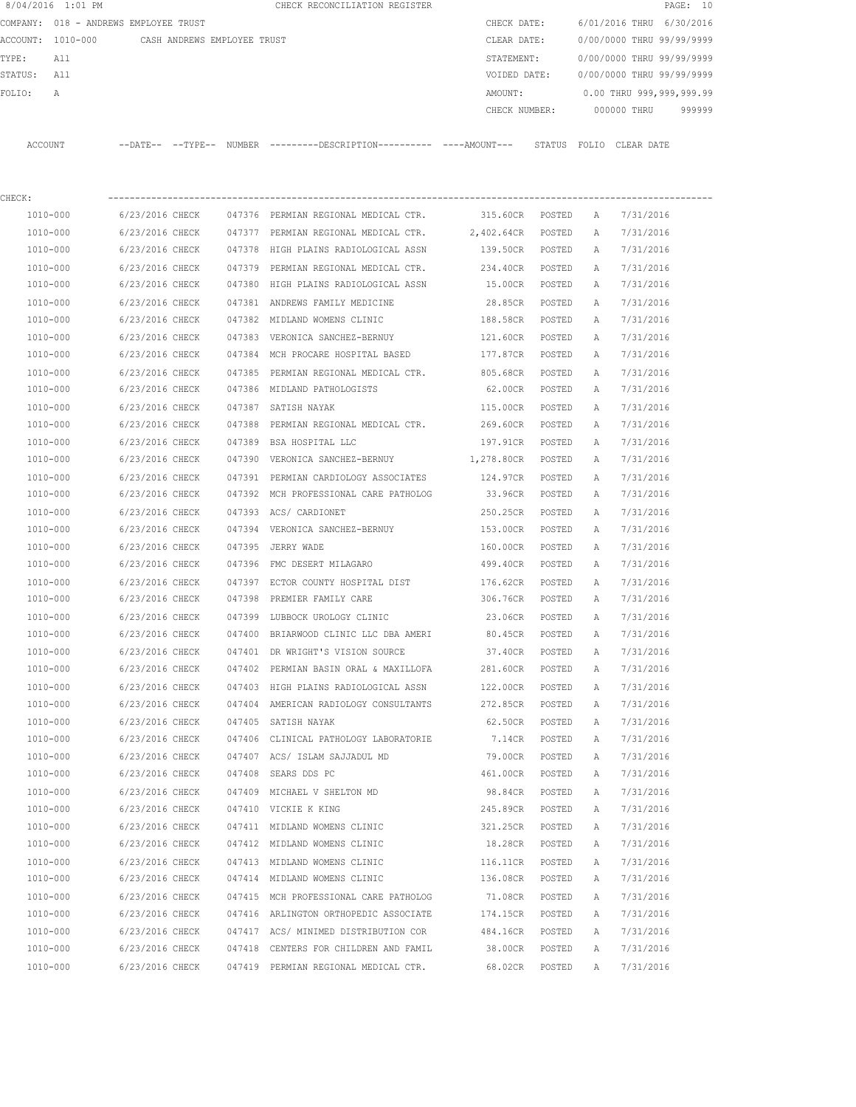| 8/04/2016 1:01 PM                     |                                                        | CHECK RECONCILIATION REGISTER                                                                         |                                      |        |        | PAGE: 10                               |
|---------------------------------------|--------------------------------------------------------|-------------------------------------------------------------------------------------------------------|--------------------------------------|--------|--------|----------------------------------------|
| COMPANY: 018 - ANDREWS EMPLOYEE TRUST |                                                        |                                                                                                       | CHECK DATE:                          |        |        | 6/01/2016 THRU 6/30/2016               |
|                                       | ACCOUNT: 1010-000 CASH ANDREWS EMPLOYEE TRUST          |                                                                                                       | CLEAR DATE:                          |        |        | 0/00/0000 THRU 99/99/9999              |
| TYPE:<br>All                          |                                                        |                                                                                                       |                                      |        |        | STATEMENT: 0/00/0000 THRU 99/99/9999   |
| STATUS: All                           |                                                        |                                                                                                       |                                      |        |        | VOIDED DATE: 0/00/0000 THRU 99/99/9999 |
| FOLIO:<br>A                           |                                                        |                                                                                                       | AMOUNT:                              |        |        | 0.00 THRU 999,999,999.99               |
|                                       |                                                        |                                                                                                       |                                      |        |        | CHECK NUMBER: 000000 THRU 999999       |
|                                       |                                                        | ACCOUNT --DATE-- --TYPE-- NUMBER ---------DESCRIPTION---------- ----AMOUNT--- STATUS FOLIO CLEAR DATE |                                      |        |        |                                        |
|                                       |                                                        |                                                                                                       |                                      |        |        |                                        |
| CHECK:<br>1010-000                    |                                                        | 6/23/2016 CHECK 047376 PERMIAN REGIONAL MEDICAL CTR.                                                  | 315.60CR POSTED A 7/31/2016          |        |        |                                        |
| 1010-000                              |                                                        | 6/23/2016 CHECK 047377 PERMIAN REGIONAL MEDICAL CTR.                                                  | 2,402.64CR POSTED A 7/31/2016        |        |        |                                        |
| 1010-000                              |                                                        | 6/23/2016 CHECK 047378 HIGH PLAINS RADIOLOGICAL ASSN                                                  | 139.50CR POSTED A 7/31/2016          |        |        |                                        |
| 1010-000                              |                                                        | 6/23/2016 CHECK 047379 PERMIAN REGIONAL MEDICAL CTR. 234.40CR POSTED A                                |                                      |        |        | 7/31/2016                              |
| 1010-000                              |                                                        | 6/23/2016 CHECK 047380 HIGH PLAINS RADIOLOGICAL ASSN 515.00CR POSTED A                                |                                      |        |        | 7/31/2016                              |
| 1010-000                              |                                                        | 6/23/2016 CHECK 047381 ANDREWS FAMILY MEDICINE 48.85CR POSTED                                         |                                      |        | A      | 7/31/2016                              |
| 1010-000                              |                                                        | 6/23/2016 CHECK 047382 MIDLAND WOMENS CLINIC                                                          | 188.58CR POSTED                      |        | A      | 7/31/2016                              |
| 1010-000                              | 6/23/2016 CHECK                                        | 047383 VERONICA SANCHEZ-BERNUY                                                                        | 121.60CR POSTED                      |        | A      | 7/31/2016                              |
| 1010-000                              | 6/23/2016 CHECK                                        | 047384 MCH PROCARE HOSPITAL BASED 177.87CR POSTED                                                     |                                      |        | A      | 7/31/2016                              |
| 1010-000                              |                                                        |                                                                                                       | 805.68CR POSTED                      |        |        | 7/31/2016                              |
| 1010-000                              |                                                        | 6/23/2016 CHECK 047385 PERMIAN REGIONAL MEDICAL CTR.<br>6/23/2016 CHECK 047386 MIDLAND PATHOLOGISTS   | 62.00CR POSTED                       |        | A<br>A | 7/31/2016                              |
|                                       |                                                        |                                                                                                       |                                      |        |        |                                        |
| 1010-000                              | 6/23/2016 CHECK 047387 SATISH NAYAK<br>6/23/2016 CHECK | 047388 PERMIAN REGIONAL MEDICAL CTR.                                                                  | 115.00CR POSTED                      |        | A      | 7/31/2016<br>7/31/2016                 |
| 1010-000                              |                                                        |                                                                                                       | 269.60CR POSTED                      |        | A      |                                        |
| 1010-000                              | 6/23/2016 CHECK                                        | 047389 BSA HOSPITAL LLC                                                                               | 197.91CR POSTED<br>1,278.80CR POSTED |        | A      | 7/31/2016<br>7/31/2016                 |
| 1010-000                              |                                                        | 6/23/2016 CHECK 047390 VERONICA SANCHEZ-BERNUY                                                        |                                      |        | A      |                                        |
| 1010-000                              | 6/23/2016 CHECK                                        | 047391 PERMIAN CARDIOLOGY ASSOCIATES                                                                  | 124.97CR POSTED                      |        | A      | 7/31/2016                              |
| 1010-000                              |                                                        | 6/23/2016 CHECK 047392 MCH PROFESSIONAL CARE PATHOLOG                                                 | 33.96CR POSTED                       |        | A      | 7/31/2016                              |
| 1010-000                              | 6/23/2016 CHECK                                        | 047393 ACS/ CARDIONET                                                                                 | 250.25CR POSTED                      |        | A      | 7/31/2016                              |
| 1010-000                              |                                                        | 6/23/2016 CHECK 047394 VERONICA SANCHEZ-BERNUY 153.00CR POSTED                                        |                                      |        | A      | 7/31/2016                              |
| 1010-000                              | 6/23/2016 CHECK                                        | 047395 JERRY WADE                                                                                     | 160.00CR POSTED                      |        | A      | 7/31/2016                              |
| 1010-000                              |                                                        | 6/23/2016 CHECK 047396 FMC DESERT MILAGARO                                                            | 499.40CR POSTED                      |        | A      | 7/31/2016                              |
| 1010-000                              |                                                        | 6/23/2016 CHECK 047397 ECTOR COUNTY HOSPITAL DIST                                                     | 176.62CR POSTED                      |        | A      | 7/31/2016                              |
| 1010-000                              |                                                        | 6/23/2016 CHECK 047398 PREMIER FAMILY CARE                                                            | 306.76CR POSTED A 7/31/2016          |        |        |                                        |
| 1010-000                              |                                                        | 6/23/2016 CHECK 047399 LUBBOCK UROLOGY CLINIC                                                         | 23.06CR                              | POSTED | A      | 7/31/2016                              |
| 1010-000                              | 6/23/2016 CHECK                                        | 047400 BRIARWOOD CLINIC LLC DBA AMERI                                                                 | 80.45CR                              | POSTED | Α      | 7/31/2016                              |
| 1010-000                              | 6/23/2016 CHECK                                        | 047401 DR WRIGHT'S VISION SOURCE                                                                      | 37.40CR                              | POSTED | Α      | 7/31/2016                              |
| 1010-000                              | 6/23/2016 CHECK                                        | 047402 PERMIAN BASIN ORAL & MAXILLOFA                                                                 | 281.60CR                             | POSTED | Α      | 7/31/2016                              |
| 1010-000                              | 6/23/2016 CHECK                                        | 047403 HIGH PLAINS RADIOLOGICAL ASSN                                                                  | 122.00CR                             | POSTED | Α      | 7/31/2016                              |
| 1010-000                              | 6/23/2016 CHECK                                        | 047404 AMERICAN RADIOLOGY CONSULTANTS                                                                 | 272.85CR                             | POSTED | Α      | 7/31/2016                              |
| 1010-000                              | 6/23/2016 CHECK                                        | 047405 SATISH NAYAK                                                                                   | 62.50CR                              | POSTED | Α      | 7/31/2016                              |
| 1010-000                              | 6/23/2016 CHECK                                        | 047406 CLINICAL PATHOLOGY LABORATORIE                                                                 | 7.14CR                               | POSTED | Α      | 7/31/2016                              |
| 1010-000                              | 6/23/2016 CHECK                                        | 047407 ACS/ ISLAM SAJJADUL MD                                                                         | 79.00CR                              | POSTED | Α      | 7/31/2016                              |
| 1010-000                              | 6/23/2016 CHECK                                        | 047408 SEARS DDS PC                                                                                   | 461.00CR                             | POSTED | Α      | 7/31/2016                              |
| 1010-000                              | 6/23/2016 CHECK                                        | 047409 MICHAEL V SHELTON MD                                                                           | 98.84CR                              | POSTED | Α      | 7/31/2016                              |
| 1010-000                              | 6/23/2016 CHECK                                        | 047410 VICKIE K KING                                                                                  | 245.89CR                             | POSTED | Α      | 7/31/2016                              |
| 1010-000                              | 6/23/2016 CHECK                                        | 047411 MIDLAND WOMENS CLINIC                                                                          | 321.25CR                             | POSTED | Α      | 7/31/2016                              |
| 1010-000                              | 6/23/2016 CHECK                                        | 047412 MIDLAND WOMENS CLINIC                                                                          | 18.28CR                              | POSTED | Α      | 7/31/2016                              |
| 1010-000                              | 6/23/2016 CHECK                                        | 047413 MIDLAND WOMENS CLINIC                                                                          | 116.11CR                             | POSTED | Α      | 7/31/2016                              |
| 1010-000                              | 6/23/2016 CHECK                                        | 047414 MIDLAND WOMENS CLINIC                                                                          | 136.08CR                             | POSTED | Α      | 7/31/2016                              |
| 1010-000                              | 6/23/2016 CHECK                                        | 047415 MCH PROFESSIONAL CARE PATHOLOG                                                                 | 71.08CR                              | POSTED | Α      | 7/31/2016                              |
| 1010-000                              | 6/23/2016 CHECK                                        | 047416 ARLINGTON ORTHOPEDIC ASSOCIATE                                                                 | 174.15CR                             | POSTED | Α      | 7/31/2016                              |
| 1010-000                              | 6/23/2016 CHECK                                        | 047417 ACS/ MINIMED DISTRIBUTION COR                                                                  | 484.16CR                             | POSTED | Α      | 7/31/2016                              |
| 1010-000                              | 6/23/2016 CHECK                                        | 047418 CENTERS FOR CHILDREN AND FAMIL                                                                 | 38.00CR                              | POSTED | Α      | 7/31/2016                              |
| 1010-000                              | 6/23/2016 CHECK                                        | 047419 PERMIAN REGIONAL MEDICAL CTR.                                                                  | 68.02CR                              | POSTED | Α      | 7/31/2016                              |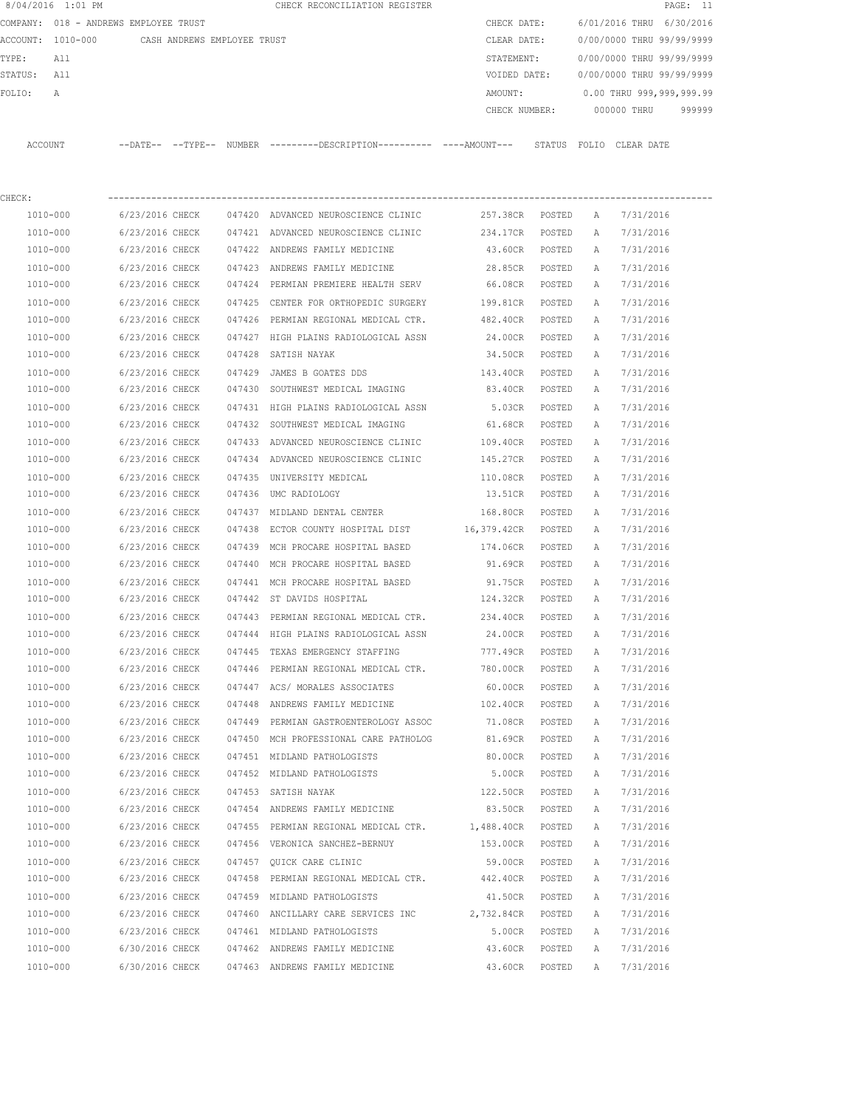| 8/04/2016 1:01 PM    |                                               |        | CHECK RECONCILIATION REGISTER                                                                 |                     |        |              | PAGE: 11                  |
|----------------------|-----------------------------------------------|--------|-----------------------------------------------------------------------------------------------|---------------------|--------|--------------|---------------------------|
|                      | COMPANY: 018 - ANDREWS EMPLOYEE TRUST         |        |                                                                                               | CHECK DATE:         |        |              | 6/01/2016 THRU 6/30/2016  |
|                      | ACCOUNT: 1010-000 CASH ANDREWS EMPLOYEE TRUST |        |                                                                                               | CLEAR DATE:         |        |              | 0/00/0000 THRU 99/99/9999 |
| TYPE:<br>All         |                                               |        |                                                                                               | STATEMENT:          |        |              | 0/00/0000 THRU 99/99/9999 |
| STATUS:<br>All       |                                               |        |                                                                                               | VOIDED DATE:        |        |              | 0/00/0000 THRU 99/99/9999 |
| FOLIO:<br>Α          |                                               |        |                                                                                               | AMOUNT:             |        |              | 0.00 THRU 999,999,999.99  |
|                      |                                               |        |                                                                                               | CHECK NUMBER:       |        |              | 000000 THRU<br>999999     |
| ACCOUNT              |                                               |        | --DATE-- --TYPE-- NUMBER ---------DESCRIPTION---------- ----AMOUNT--- STATUS FOLIO CLEAR DATE |                     |        |              |                           |
| CHECK:               |                                               |        |                                                                                               |                     |        |              |                           |
| 1010-000             | 6/23/2016 CHECK                               |        | 047420 ADVANCED NEUROSCIENCE CLINIC                                                           | 257.38CR POSTED     |        | A            | 7/31/2016                 |
| 1010-000             | 6/23/2016 CHECK                               |        | 047421 ADVANCED NEUROSCIENCE CLINIC                                                           | 234.17CR            | POSTED | A            | 7/31/2016                 |
| 1010-000             | 6/23/2016 CHECK                               |        | 047422 ANDREWS FAMILY MEDICINE                                                                | 43.60CR POSTED      |        | A            | 7/31/2016                 |
| 1010-000             | 6/23/2016 CHECK                               |        | 047423 ANDREWS FAMILY MEDICINE                                                                | 28.85CR             | POSTED | A            | 7/31/2016                 |
| 1010-000             | 6/23/2016 CHECK                               |        | 047424 PERMIAN PREMIERE HEALTH SERV                                                           | 66.08CR             | POSTED | A            | 7/31/2016                 |
| 1010-000             | 6/23/2016 CHECK                               |        | 047425 CENTER FOR ORTHOPEDIC SURGERY                                                          | 199.81CR            | POSTED | Α            | 7/31/2016                 |
| 1010-000             | 6/23/2016 CHECK                               |        | 047426 PERMIAN REGIONAL MEDICAL CTR. 482.40CR                                                 |                     | POSTED | Α            | 7/31/2016                 |
| 1010-000             | 6/23/2016 CHECK                               |        | 047427 HIGH PLAINS RADIOLOGICAL ASSN                                                          | 24.00CR             | POSTED | А            | 7/31/2016                 |
| 1010-000             | 6/23/2016 CHECK                               |        | 047428 SATISH NAYAK                                                                           | 34.50CR             | POSTED | A            | 7/31/2016                 |
| 1010-000             | 6/23/2016 CHECK                               |        | 047429 JAMES B GOATES DDS                                                                     | 143.40CR            | POSTED | Α            | 7/31/2016                 |
| 1010-000             | 6/23/2016 CHECK                               |        | 047430 SOUTHWEST MEDICAL IMAGING                                                              | 83.40CR             | POSTED | Α            | 7/31/2016                 |
| 1010-000             | 6/23/2016 CHECK                               |        | 047431 HIGH PLAINS RADIOLOGICAL ASSN                                                          | 5.03CR              | POSTED | Α            | 7/31/2016                 |
| 1010-000             | 6/23/2016 CHECK                               |        | 047432 SOUTHWEST MEDICAL IMAGING                                                              | 61.68CR             | POSTED | Α            | 7/31/2016                 |
| 1010-000             | 6/23/2016 CHECK                               |        | 047433 ADVANCED NEUROSCIENCE CLINIC                                                           | 109.40CR            | POSTED | Α            | 7/31/2016                 |
| 1010-000             | 6/23/2016 CHECK                               |        | 047434 ADVANCED NEUROSCIENCE CLINIC                                                           | 145.27CR            | POSTED | A            | 7/31/2016                 |
| 1010-000             | 6/23/2016 CHECK                               | 047435 | UNIVERSITY MEDICAL                                                                            | 110.08CR            | POSTED | Α            | 7/31/2016                 |
| 1010-000             | 6/23/2016 CHECK                               | 047436 | UMC RADIOLOGY                                                                                 | 13.51CR             | POSTED | A            | 7/31/2016                 |
| 1010-000             | 6/23/2016 CHECK                               |        | 047437 MIDLAND DENTAL CENTER                                                                  | 168.80CR            | POSTED | Α            | 7/31/2016                 |
| 1010-000             | 6/23/2016 CHECK                               | 047438 | ECTOR COUNTY HOSPITAL DIST 16,379.42CR                                                        |                     | POSTED | A            | 7/31/2016                 |
| 1010-000             | 6/23/2016 CHECK                               | 047439 | MCH PROCARE HOSPITAL BASED                                                                    | 174.06CR            | POSTED | Α            | 7/31/2016                 |
| 1010-000             | 6/23/2016 CHECK                               |        | 047440 MCH PROCARE HOSPITAL BASED                                                             | 91.69CR             | POSTED | Α            | 7/31/2016                 |
| 1010-000             | 6/23/2016 CHECK                               |        | 047441 MCH PROCARE HOSPITAL BASED                                                             | 91.75CR             | POSTED | A            | 7/31/2016                 |
| 1010-000             | 6/23/2016 CHECK                               |        | 047442 ST DAVIDS HOSPITAL                                                                     | 124.32CR            | POSTED | Α            | 7/31/2016                 |
|                      |                                               |        |                                                                                               |                     |        |              |                           |
| 1010-000<br>1010-000 | 6/23/2016 CHECK                               |        | 047443 PERMIAN REGIONAL MEDICAL CTR.<br>047444 HIGH PLAINS RADIOLOGICAL ASSN                  | 234.40CR<br>24.00CR | POSTED | $\mathbb{A}$ | 7/31/2016                 |
| $1010 - 000$         | 6/23/2016 CHECK                               |        |                                                                                               |                     | POSTED | Α            | 7/31/2016                 |
| 1010-000             | 6/23/2016 CHECK                               |        | 047445 TEXAS EMERGENCY STAFFING<br>047446 PERMIAN REGIONAL MEDICAL CTR.                       | 777.49CR            | POSTED | Α<br>Α       | 7/31/2016                 |
|                      | 6/23/2016 CHECK                               |        |                                                                                               | 780.00CR            | POSTED |              | 7/31/2016                 |
| 1010-000             | 6/23/2016 CHECK                               |        | 047447 ACS/ MORALES ASSOCIATES                                                                | 60.00CR POSTED      |        | $\mathbb{A}$ | 7/31/2016                 |
| 1010-000             | 6/23/2016 CHECK                               |        | 047448 ANDREWS FAMILY MEDICINE                                                                | 102.40CR            | POSTED | Α            | 7/31/2016                 |
| 1010-000             | 6/23/2016 CHECK                               |        | 047449 PERMIAN GASTROENTEROLOGY ASSOC                                                         | 71.08CR             | POSTED | Α            | 7/31/2016                 |
| 1010-000             | 6/23/2016 CHECK                               |        | 047450 MCH PROFESSIONAL CARE PATHOLOG                                                         | 81.69CR             | POSTED | Α            | 7/31/2016                 |
| 1010-000             | 6/23/2016 CHECK                               |        | 047451 MIDLAND PATHOLOGISTS                                                                   | 80.00CR             | POSTED | Α            | 7/31/2016                 |
| 1010-000             | 6/23/2016 CHECK                               |        | 047452 MIDLAND PATHOLOGISTS                                                                   | 5.00CR              | POSTED | Α            | 7/31/2016                 |
| 1010-000             | 6/23/2016 CHECK                               |        | 047453 SATISH NAYAK                                                                           | 122.50CR            | POSTED | Α            | 7/31/2016                 |
| 1010-000             | 6/23/2016 CHECK                               |        | 047454 ANDREWS FAMILY MEDICINE                                                                | 83.50CR             | POSTED | Α            | 7/31/2016                 |
| 1010-000             | 6/23/2016 CHECK                               |        | 047455 PERMIAN REGIONAL MEDICAL CTR. 1,488.40CR                                               |                     | POSTED | Α            | 7/31/2016                 |
| 1010-000             | 6/23/2016 CHECK                               |        | 047456 VERONICA SANCHEZ-BERNUY                                                                | 153.00CR            | POSTED | Α            | 7/31/2016                 |
| 1010-000             | 6/23/2016 CHECK                               |        | 047457 QUICK CARE CLINIC                                                                      | 59.00CR             | POSTED | Α            | 7/31/2016                 |
| 1010-000             | 6/23/2016 CHECK                               |        | 047458 PERMIAN REGIONAL MEDICAL CTR.                                                          | 442.40CR            | POSTED | Α            | 7/31/2016                 |
| 1010-000             | 6/23/2016 CHECK                               |        | 047459 MIDLAND PATHOLOGISTS                                                                   | 41.50CR POSTED      |        | Α            | 7/31/2016                 |
| 1010-000             | 6/23/2016 CHECK                               |        | 047460 ANCILLARY CARE SERVICES INC 2,732.84CR POSTED                                          |                     |        | Α            | 7/31/2016                 |
| 1010-000             | 6/23/2016 CHECK                               |        | 047461 MIDLAND PATHOLOGISTS                                                                   | 5.00CR              | POSTED | Α            | 7/31/2016                 |
| 1010-000             | 6/30/2016 CHECK                               |        | 047462 ANDREWS FAMILY MEDICINE                                                                | 43.60CR             | POSTED | Α            | 7/31/2016                 |
| 1010-000             | 6/30/2016 CHECK                               |        | 047463 ANDREWS FAMILY MEDICINE                                                                | 43.60CR             | POSTED | Α            | 7/31/2016                 |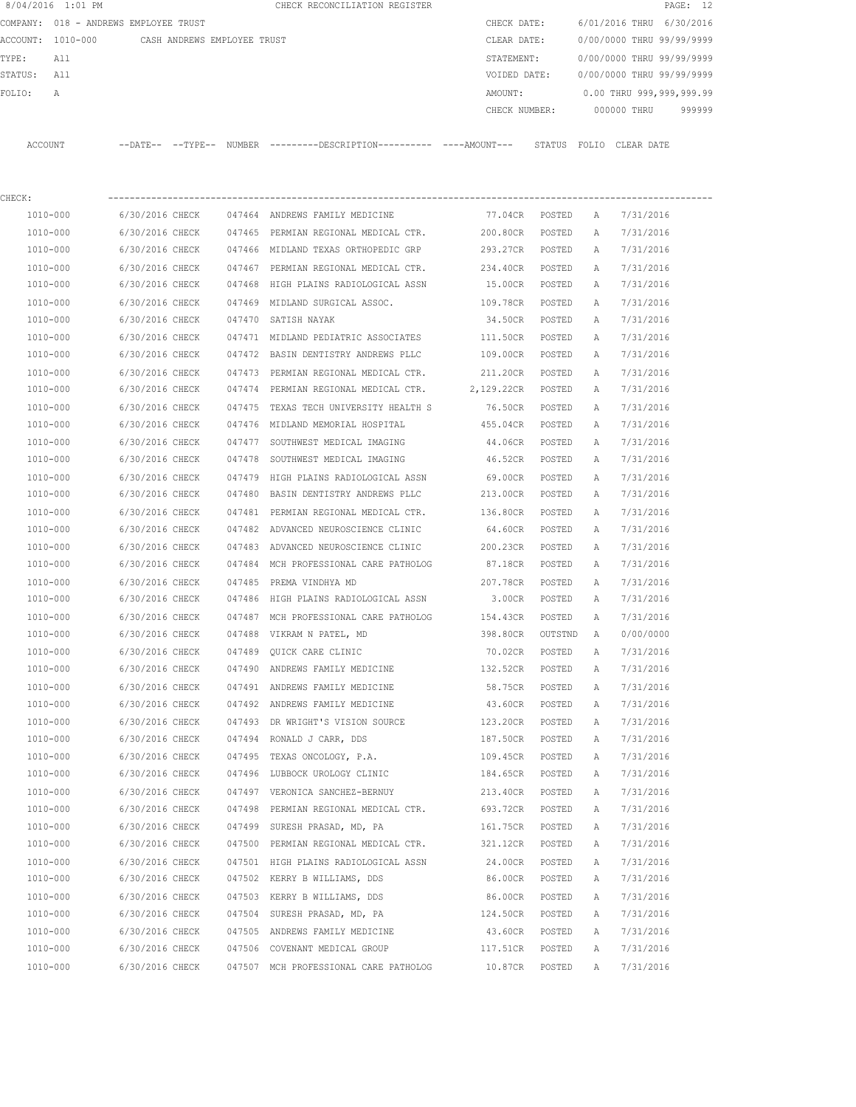|         | 8/04/2016 1:01 PM |                                       |        | CHECK RECONCILIATION REGISTER                 |               |                           |            | PAGE: 12 |  |
|---------|-------------------|---------------------------------------|--------|-----------------------------------------------|---------------|---------------------------|------------|----------|--|
|         |                   | COMPANY: 018 - ANDREWS EMPLOYEE TRUST |        |                                               | CHECK DATE:   | 6/01/2016 THRU 6/30/2016  |            |          |  |
|         | ACCOUNT: 1010-000 | CASH ANDREWS EMPLOYEE TRUST           |        |                                               | CLEAR DATE:   | 0/00/0000 THRU 99/99/9999 |            |          |  |
| TYPE:   | All               |                                       |        |                                               | STATEMENT:    | 0/00/0000 THRU 99/99/9999 |            |          |  |
| STATUS: | All               |                                       |        |                                               | VOIDED DATE:  | 0/00/0000 THRU 99/99/9999 |            |          |  |
| FOLIO:  | A                 |                                       |        |                                               | AMOUNT:       | 0.00 THRU 999,999,999.99  |            |          |  |
|         |                   |                                       |        |                                               | CHECK NUMBER: | 000000 THRU               |            | 999999   |  |
|         |                   |                                       |        |                                               |               |                           |            |          |  |
| ACCOUNT |                   | $--$ TYPE $--$<br>$--$ DATE $--$      | NUMBER | ---------DESCRIPTION----------- ----AMOUNT--- | STATUS        | FOLTO                     | CLEAR DATE |          |  |

| CHECK:   |                 |        |                                                        |                 |         |              |           |
|----------|-----------------|--------|--------------------------------------------------------|-----------------|---------|--------------|-----------|
| 1010-000 | 6/30/2016 CHECK |        | 047464 ANDREWS FAMILY MEDICINE                         | 77.04CR POSTED  |         | A            | 7/31/2016 |
| 1010-000 |                 |        | 6/30/2016 CHECK 047465 PERMIAN REGIONAL MEDICAL CTR.   | 200.80CR POSTED |         | Α            | 7/31/2016 |
| 1010-000 | 6/30/2016 CHECK |        | 047466 MIDLAND TEXAS ORTHOPEDIC GRP                    | 293.27CR POSTED |         | Α            | 7/31/2016 |
| 1010-000 | 6/30/2016 CHECK |        | 047467 PERMIAN REGIONAL MEDICAL CTR.                   | 234.40CR POSTED |         | A            | 7/31/2016 |
| 1010-000 | 6/30/2016 CHECK |        | 047468 HIGH PLAINS RADIOLOGICAL ASSN                   | 15.00CR POSTED  |         | A            | 7/31/2016 |
| 1010-000 | 6/30/2016 CHECK |        | 047469 MIDLAND SURGICAL ASSOC.                         | 109.78CR POSTED |         | A            | 7/31/2016 |
| 1010-000 | 6/30/2016 CHECK |        | 047470 SATISH NAYAK                                    | 34.50CR POSTED  |         | Α            | 7/31/2016 |
| 1010-000 | 6/30/2016 CHECK |        | 047471 MIDLAND PEDIATRIC ASSOCIATES                    | 111.50CR        | POSTED  | A            | 7/31/2016 |
| 1010-000 | 6/30/2016 CHECK |        | 047472 BASIN DENTISTRY ANDREWS PLLC                    | 109.00CR        | POSTED  | A            | 7/31/2016 |
| 1010-000 | 6/30/2016 CHECK |        | 047473 PERMIAN REGIONAL MEDICAL CTR. 211.20CR POSTED   |                 |         | A            | 7/31/2016 |
| 1010-000 | 6/30/2016 CHECK |        | 047474 PERMIAN REGIONAL MEDICAL CTR. 2,129.22CR POSTED |                 |         | A            | 7/31/2016 |
| 1010-000 | 6/30/2016 CHECK |        | 047475 TEXAS TECH UNIVERSITY HEALTH S                  | 76.50CR POSTED  |         | Α            | 7/31/2016 |
| 1010-000 | 6/30/2016 CHECK |        | 047476 MIDLAND MEMORIAL HOSPITAL                       | 455.04CR POSTED |         | A            | 7/31/2016 |
| 1010-000 | 6/30/2016 CHECK |        | 047477 SOUTHWEST MEDICAL IMAGING                       | 44.06CR POSTED  |         | A            | 7/31/2016 |
| 1010-000 | 6/30/2016 CHECK |        | 047478 SOUTHWEST MEDICAL IMAGING                       | 46.52CR POSTED  |         | A            | 7/31/2016 |
| 1010-000 | 6/30/2016 CHECK |        | 047479 HIGH PLAINS RADIOLOGICAL ASSN                   | 69.00CR POSTED  |         | A            | 7/31/2016 |
| 1010-000 | 6/30/2016 CHECK |        | 047480 BASIN DENTISTRY ANDREWS PLLC                    | 213.00CR POSTED |         | Α            | 7/31/2016 |
| 1010-000 | 6/30/2016 CHECK |        | 047481 PERMIAN REGIONAL MEDICAL CTR.                   | 136.80CR POSTED |         | A            | 7/31/2016 |
| 1010-000 | 6/30/2016 CHECK |        | 047482 ADVANCED NEUROSCIENCE CLINIC                    | 64.60CR POSTED  |         | Α            | 7/31/2016 |
| 1010-000 | 6/30/2016 CHECK |        | 047483 ADVANCED NEUROSCIENCE CLINIC 200.23CR           |                 | POSTED  | A            | 7/31/2016 |
| 1010-000 | 6/30/2016 CHECK |        | 047484 MCH PROFESSIONAL CARE PATHOLOG                  | 87.18CR         | POSTED  | Α            | 7/31/2016 |
| 1010-000 | 6/30/2016 CHECK |        | 047485 PREMA VINDHYA MD                                | 207.78CR        | POSTED  | A            | 7/31/2016 |
| 1010-000 | 6/30/2016 CHECK |        | 047486 HIGH PLAINS RADIOLOGICAL ASSN                   | 3.00CR POSTED   |         | A            | 7/31/2016 |
| 1010-000 | 6/30/2016 CHECK |        | 047487 MCH PROFESSIONAL CARE PATHOLOG                  | 154.43CR        | POSTED  | Α            | 7/31/2016 |
| 1010-000 | 6/30/2016 CHECK |        | 047488 VIKRAM N PATEL, MD                              | 398.80CR        | OUTSTND | A            | 0/00/0000 |
| 1010-000 | 6/30/2016 CHECK |        | 047489 QUICK CARE CLINIC                               | 70.02CR POSTED  |         | Α            | 7/31/2016 |
| 1010-000 | 6/30/2016 CHECK |        | 047490 ANDREWS FAMILY MEDICINE                         | 132.52CR POSTED |         | Α            | 7/31/2016 |
| 1010-000 | 6/30/2016 CHECK |        | 047491 ANDREWS FAMILY MEDICINE                         | 58.75CR POSTED  |         | Α            | 7/31/2016 |
| 1010-000 | 6/30/2016 CHECK |        | 047492 ANDREWS FAMILY MEDICINE                         | 43.60CR POSTED  |         | A            | 7/31/2016 |
| 1010-000 | 6/30/2016 CHECK |        | 047493 DR WRIGHT'S VISION SOURCE                       | 123.20CR POSTED |         | Α            | 7/31/2016 |
| 1010-000 | 6/30/2016 CHECK |        | 047494 RONALD J CARR, DDS                              | 187.50CR POSTED |         | Α            | 7/31/2016 |
| 1010-000 | 6/30/2016 CHECK |        | 047495 TEXAS ONCOLOGY, P.A.                            | 109.45CR        | POSTED  | Α            | 7/31/2016 |
| 1010-000 | 6/30/2016 CHECK |        | 047496 LUBBOCK UROLOGY CLINIC                          | 184.65CR POSTED |         | A            | 7/31/2016 |
| 1010-000 | 6/30/2016 CHECK |        | 047497 VERONICA SANCHEZ-BERNUY                         | 213.40CR        | POSTED  | $\mathbb{A}$ | 7/31/2016 |
| 1010-000 | 6/30/2016 CHECK |        | 047498 PERMIAN REGIONAL MEDICAL CTR.                   | 693.72CR        | POSTED  | A            | 7/31/2016 |
| 1010-000 | 6/30/2016 CHECK |        | 047499 SURESH PRASAD, MD, PA                           | 161.75CR        | POSTED  | Α            | 7/31/2016 |
| 1010-000 | 6/30/2016 CHECK |        | 047500 PERMIAN REGIONAL MEDICAL CTR.                   | 321.12CR        | POSTED  | Α            | 7/31/2016 |
| 1010-000 | 6/30/2016 CHECK |        | 047501 HIGH PLAINS RADIOLOGICAL ASSN                   | 24.00CR         | POSTED  | Α            | 7/31/2016 |
| 1010-000 | 6/30/2016 CHECK |        | 047502 KERRY B WILLIAMS, DDS                           | 86.00CR         | POSTED  | Α            | 7/31/2016 |
| 1010-000 | 6/30/2016 CHECK |        | 047503 KERRY B WILLIAMS, DDS                           | 86.00CR         | POSTED  | Α            | 7/31/2016 |
| 1010-000 | 6/30/2016 CHECK |        | 047504 SURESH PRASAD, MD, PA                           | 124.50CR        | POSTED  | Α            | 7/31/2016 |
| 1010-000 | 6/30/2016 CHECK | 047505 | ANDREWS FAMILY MEDICINE                                | 43.60CR         | POSTED  | Α            | 7/31/2016 |
| 1010-000 | 6/30/2016 CHECK |        | 047506 COVENANT MEDICAL GROUP                          | 117.51CR        | POSTED  | Α            | 7/31/2016 |
| 1010-000 | 6/30/2016 CHECK |        | 047507 MCH PROFESSIONAL CARE PATHOLOG                  | 10.87CR         | POSTED  | Α            | 7/31/2016 |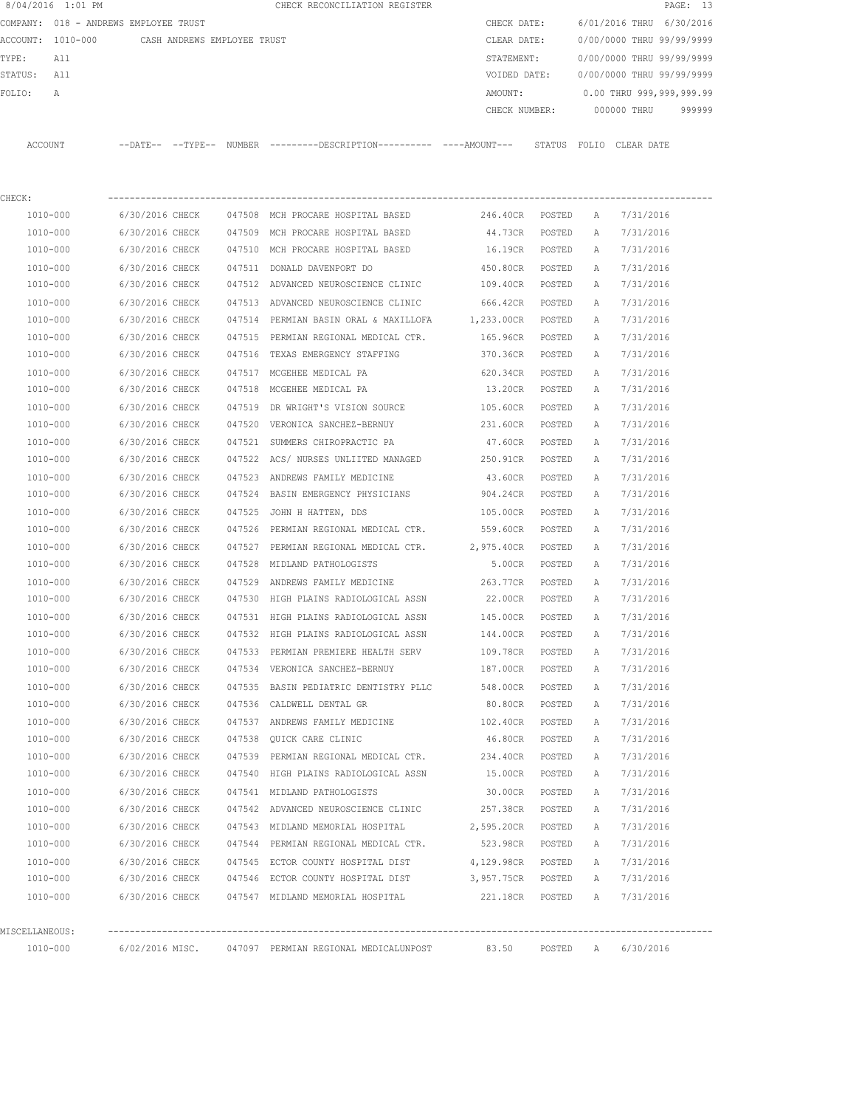|                | 8/04/2016 1:01 PM                             |                 |  | CHECK RECONCILIATION REGISTER                                                                         |                             |        |             | PAGE: 13                  |        |
|----------------|-----------------------------------------------|-----------------|--|-------------------------------------------------------------------------------------------------------|-----------------------------|--------|-------------|---------------------------|--------|
|                | COMPANY: 018 - ANDREWS EMPLOYEE TRUST         |                 |  |                                                                                                       | CHECK DATE:                 |        |             | 6/01/2016 THRU 6/30/2016  |        |
|                | ACCOUNT: 1010-000 CASH ANDREWS EMPLOYEE TRUST |                 |  |                                                                                                       | CLEAR DATE:                 |        |             | 0/00/0000 THRU 99/99/9999 |        |
| TYPE:          | All                                           |                 |  |                                                                                                       | STATEMENT:                  |        |             | 0/00/0000 THRU 99/99/9999 |        |
| STATUS: All    |                                               |                 |  |                                                                                                       | VOIDED DATE:                |        |             | 0/00/0000 THRU 99/99/9999 |        |
| FOLIO:         | Α                                             |                 |  |                                                                                                       | AMOUNT:                     |        |             | 0.00 THRU 999,999,999.99  |        |
|                |                                               |                 |  |                                                                                                       | CHECK NUMBER:               |        |             | 000000 THRU               | 999999 |
|                | ACCOUNT                                       |                 |  | --DATE-- --TYPE-- NUMBER ---------DESCRIPTION---------- ----AMOUNT--- STATUS FOLIO CLEARDATE          |                             |        |             |                           |        |
| CHECK:         |                                               |                 |  |                                                                                                       |                             |        |             |                           |        |
|                | 1010-000                                      | 6/30/2016 CHECK |  | 047508 MCH PROCARE HOSPITAL BASED                                                                     | 246.40CR POSTED             |        | A           | 7/31/2016                 |        |
|                | 1010-000                                      | 6/30/2016 CHECK |  | 047509 MCH PROCARE HOSPITAL BASED                                                                     | 44.73CR                     | POSTED | Α           | 7/31/2016                 |        |
|                | 1010-000                                      | 6/30/2016 CHECK |  | 047510 MCH PROCARE HOSPITAL BASED                                                                     | 16.19CR                     | POSTED | A           | 7/31/2016                 |        |
|                | 1010-000                                      | 6/30/2016 CHECK |  | 047511 DONALD DAVENPORT DO                                                                            | 450.80CR                    | POSTED | Α           | 7/31/2016                 |        |
|                | 1010-000                                      | 6/30/2016 CHECK |  | 047512 ADVANCED NEUROSCIENCE CLINIC                                                                   | 109.40CR                    | POSTED | A           | 7/31/2016                 |        |
|                | 1010-000                                      |                 |  |                                                                                                       |                             |        |             |                           |        |
|                |                                               | 6/30/2016 CHECK |  | 047513 ADVANCED NEUROSCIENCE CLINIC                                                                   | 666.42CR                    | POSTED | A           | 7/31/2016<br>7/31/2016    |        |
|                | 1010-000                                      | 6/30/2016 CHECK |  | 047514 PERMIAN BASIN ORAL & MAXILLOFA                                                                 | 1,233.00CR POSTED           |        | A           |                           |        |
|                | 1010-000                                      | 6/30/2016 CHECK |  | 047515 PERMIAN REGIONAL MEDICAL CTR.                                                                  | 165.96CR                    | POSTED | Α           | 7/31/2016                 |        |
|                | 1010-000                                      | 6/30/2016 CHECK |  | 047516 TEXAS EMERGENCY STAFFING                                                                       | 370.36CR                    | POSTED | Α           | 7/31/2016                 |        |
|                | 1010-000                                      | 6/30/2016 CHECK |  | 047517 MCGEHEE MEDICAL PA                                                                             | 620.34CR                    | POSTED | A           | 7/31/2016                 |        |
|                | 1010-000                                      | 6/30/2016 CHECK |  | 047518 MCGEHEE MEDICAL PA                                                                             | 13.20CR                     | POSTED | A           | 7/31/2016                 |        |
|                | 1010-000                                      | 6/30/2016 CHECK |  | 047519 DR WRIGHT'S VISION SOURCE                                                                      | 105.60CR                    | POSTED | A           | 7/31/2016                 |        |
|                | 1010-000                                      | 6/30/2016 CHECK |  | 047520 VERONICA SANCHEZ-BERNUY                                                                        | 231.60CR                    | POSTED | A           | 7/31/2016                 |        |
|                | 1010-000                                      | 6/30/2016 CHECK |  | 047521 SUMMERS CHIROPRACTIC PA                                                                        | 47.60CR                     | POSTED | Α           | 7/31/2016                 |        |
|                | 1010-000                                      | 6/30/2016 CHECK |  | 047522 ACS/ NURSES UNLIITED MANAGED                                                                   | 250.91CR                    | POSTED | Α           | 7/31/2016                 |        |
|                | 1010-000                                      | 6/30/2016 CHECK |  | 047523 ANDREWS FAMILY MEDICINE                                                                        | 43.60CR                     | POSTED | Α           | 7/31/2016                 |        |
|                | 1010-000                                      | 6/30/2016 CHECK |  | 047524 BASIN EMERGENCY PHYSICIANS                                                                     | 904.24CR                    | POSTED | A           | 7/31/2016                 |        |
|                | 1010-000                                      | 6/30/2016 CHECK |  | 047525 JOHN H HATTEN, DDS                                                                             | 105.00CR                    | POSTED | A           | 7/31/2016                 |        |
|                | 1010-000                                      | 6/30/2016 CHECK |  | 047526 PERMIAN REGIONAL MEDICAL CTR.                                                                  | 559.60CR                    | POSTED | A           | 7/31/2016                 |        |
|                | 1010-000                                      | 6/30/2016 CHECK |  | 047527 PERMIAN REGIONAL MEDICAL CTR. 2,975.40CR                                                       |                             | POSTED | Α           | 7/31/2016                 |        |
|                | 1010-000                                      | 6/30/2016 CHECK |  | 047528 MIDLAND PATHOLOGISTS                                                                           | 5.00CR                      | POSTED | Α           | 7/31/2016                 |        |
|                | 1010-000                                      | 6/30/2016 CHECK |  | 047529 ANDREWS FAMILY MEDICINE                                                                        | 263.77CR                    | POSTED | A           | 7/31/2016                 |        |
|                | 1010-000                                      | 6/30/2016 CHECK |  | 047530 HIGH PLAINS RADIOLOGICAL ASSN                                                                  | 22.00CR                     | POSTED | A           | 7/31/2016                 |        |
|                | 1010-000                                      | 6/30/2016 CHECK |  | 047531 HIGH PLAINS RADIOLOGICAL ASSN 145.00CR                                                         |                             | POSTED | A           | 7/31/2016                 |        |
|                | 1010-000                                      | 6/30/2016 CHECK |  | 047532 HIGH PLAINS RADIOLOGICAL ASSN                                                                  | 144.00CR POSTED             |        | A           | 7/31/2016                 |        |
|                | 1010-000                                      |                 |  | 6/30/2016 CHECK 047533 PERMIAN PREMIERE HEALTH SERV                                                   | 109.78CR POSTED             |        | A           | 7/31/2016                 |        |
|                | 1010-000                                      |                 |  | 6/30/2016 CHECK 047534 VERONICA SANCHEZ-BERNUY                                                        | 187.00CR POSTED             |        | A           | 7/31/2016                 |        |
|                | 1010-000                                      |                 |  | 6/30/2016 CHECK 047535 BASIN PEDIATRIC DENTISTRY PLLC                                                 | 548.00CR POSTED             |        | A           | 7/31/2016                 |        |
|                | 1010-000                                      |                 |  | 6/30/2016 CHECK 047536 CALDWELL DENTAL GR                                                             | 80.80CR POSTED              |        | A           | 7/31/2016                 |        |
|                | 1010-000                                      |                 |  | 6/30/2016 CHECK 047537 ANDREWS FAMILY MEDICINE                                                        | 102.40CR POSTED             |        | $\mathbb A$ | 7/31/2016                 |        |
|                | 1010-000                                      |                 |  | 6/30/2016 CHECK 047538 QUICK CARE CLINIC                                                              | 46.80CR POSTED              |        | A           | 7/31/2016                 |        |
|                | 1010-000                                      |                 |  | 6/30/2016 CHECK 047539 PERMIAN REGIONAL MEDICAL CTR. 234.40CR POSTED                                  |                             |        | A           | 7/31/2016                 |        |
|                | 1010-000                                      | 6/30/2016 CHECK |  | 047540 HIGH PLAINS RADIOLOGICAL ASSN 15.00CR                                                          |                             | POSTED | A           | 7/31/2016                 |        |
|                | 1010-000                                      |                 |  | 6/30/2016 CHECK 047541 MIDLAND PATHOLOGISTS                                                           | 30.00CR POSTED              |        | A           | 7/31/2016                 |        |
|                | 1010-000                                      |                 |  | 6/30/2016 CHECK 047542 ADVANCED NEUROSCIENCE CLINIC 257.38CR POSTED                                   |                             |        | Α           | 7/31/2016                 |        |
|                | 1010-000                                      |                 |  | 6/30/2016 CHECK 047543 MIDLAND MEMORIAL HOSPITAL 2,595.20CR POSTED                                    |                             |        | $\mathbb A$ | 7/31/2016                 |        |
|                | 1010-000                                      |                 |  | 6/30/2016 CHECK 047544 PERMIAN REGIONAL MEDICAL CTR.                                                  | 523.98CR POSTED             |        | A           | 7/31/2016                 |        |
|                | 1010-000                                      |                 |  | 6/30/2016 CHECK 047545 ECTOR COUNTY HOSPITAL DIST 4,129.98CR POSTED                                   |                             |        | A           | 7/31/2016                 |        |
|                | 1010-000                                      |                 |  | 6/30/2016 CHECK 047546 ECTOR COUNTY HOSPITAL DIST 3,957.75CR POSTED                                   |                             |        |             | A 7/31/2016               |        |
|                | 1010-000                                      |                 |  | 6/30/2016 CHECK 047547 MIDLAND MEMORIAL HOSPITAL                                                      | 221.18CR POSTED A 7/31/2016 |        |             |                           |        |
|                |                                               |                 |  |                                                                                                       |                             |        |             |                           |        |
| MISCELLANEOUS: |                                               |                 |  |                                                                                                       |                             |        |             |                           |        |
|                | 1010-000                                      |                 |  | 6/02/2016 MISC.     047097 PERMIAN REGIONAL MEDICALUNPOST          83.50     POSTED    A    6/30/2016 |                             |        |             |                           |        |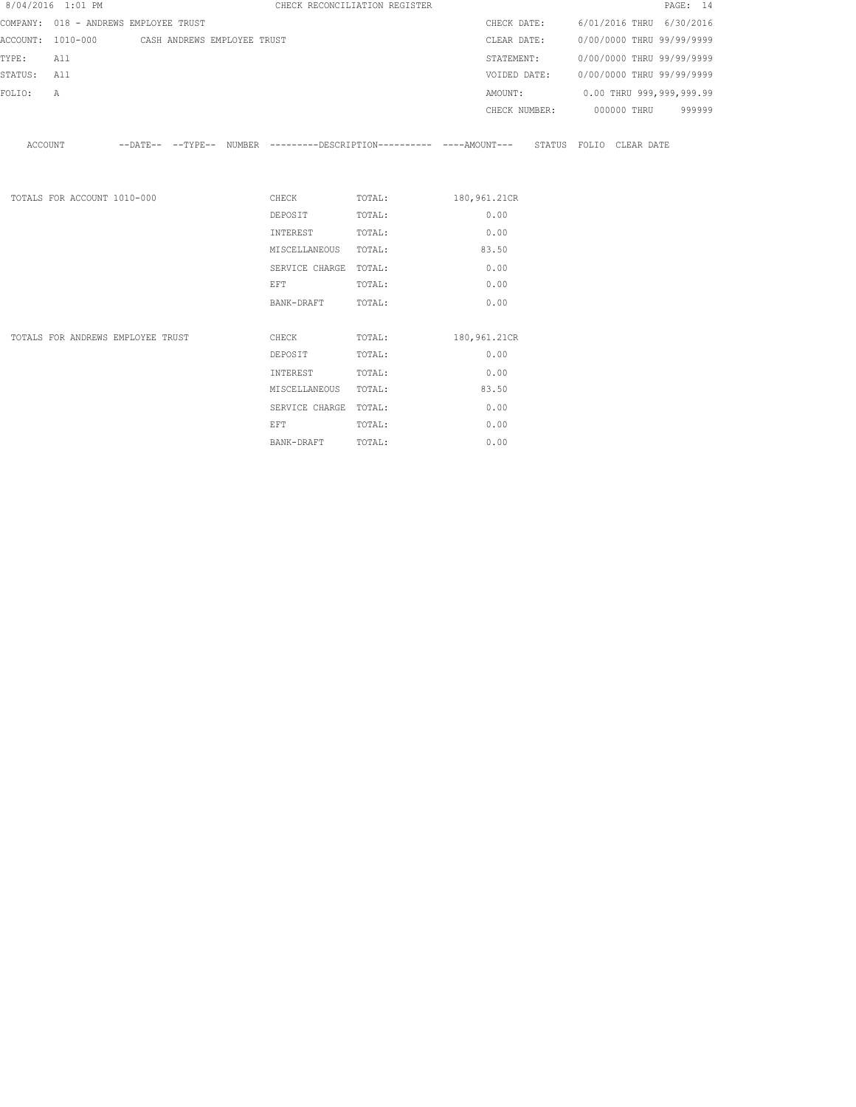|         | 8/04/2016 1:01 PM           |                                               |  |                                                                                                                |                       | CHECK RECONCILIATION REGISTER |                                                                                                       |                                        |                           | PAGE: 14 |
|---------|-----------------------------|-----------------------------------------------|--|----------------------------------------------------------------------------------------------------------------|-----------------------|-------------------------------|-------------------------------------------------------------------------------------------------------|----------------------------------------|---------------------------|----------|
|         |                             | COMPANY: 018 - ANDREWS EMPLOYEE TRUST         |  |                                                                                                                |                       |                               |                                                                                                       | CHECK DATE: 6/01/2016 THRU 6/30/2016   |                           |          |
|         |                             | ACCOUNT: 1010-000 CASH ANDREWS EMPLOYEE TRUST |  |                                                                                                                |                       |                               | CLEAR DATE:                                                                                           |                                        | 0/00/0000 THRU 99/99/9999 |          |
| TYPE:   | All                         |                                               |  |                                                                                                                |                       |                               | STATEMENT:                                                                                            |                                        | 0/00/0000 THRU 99/99/9999 |          |
| STATUS: | All                         |                                               |  |                                                                                                                |                       |                               |                                                                                                       | VOIDED DATE: 0/00/0000 THRU 99/99/9999 |                           |          |
| FOLIO:  | Α                           |                                               |  |                                                                                                                |                       |                               |                                                                                                       | AMOUNT: 0.00 THRU 999,999,999.99       |                           |          |
|         |                             |                                               |  |                                                                                                                |                       |                               |                                                                                                       | CHECK NUMBER: 000000 THRU 999999       |                           |          |
|         |                             |                                               |  |                                                                                                                |                       |                               | ACCOUNT --DATE-- --TYPE-- NUMBER ---------DESCRIPTION---------- ----AMOUNT--- STATUS FOLIO CLEAR DATE |                                        |                           |          |
|         | TOTALS FOR ACCOUNT 1010-000 |                                               |  |                                                                                                                |                       |                               | CHECK TOTAL: 180,961.21CR                                                                             |                                        |                           |          |
|         |                             |                                               |  | DEPOSIT                                                                                                        |                       | TOTAL:                        | 0.00                                                                                                  |                                        |                           |          |
|         |                             |                                               |  | INTEREST                                                                                                       |                       | TOTAL:                        | 0.00                                                                                                  |                                        |                           |          |
|         |                             |                                               |  |                                                                                                                | MISCELLANEOUS TOTAL:  |                               | 83.50                                                                                                 |                                        |                           |          |
|         |                             |                                               |  |                                                                                                                | SERVICE CHARGE TOTAL: |                               | 0.00                                                                                                  |                                        |                           |          |
|         |                             |                                               |  | EFT FOR THE STATE OF THE STATE OF THE STATE OF THE STATE OF THE STATE OF THE STATE OF THE STATE OF THE STATE O |                       | TOTAL:                        | 0.00                                                                                                  |                                        |                           |          |
|         |                             |                                               |  |                                                                                                                | BANK-DRAFT TOTAL:     |                               | 0.00                                                                                                  |                                        |                           |          |
|         |                             | TOTALS FOR ANDREWS EMPLOYEE TRUST             |  |                                                                                                                | <b>CHECK</b>          |                               | TOTAL: 180, 961.21CR                                                                                  |                                        |                           |          |
|         |                             |                                               |  | DEPOSIT                                                                                                        |                       | TOTAL:                        | 0.00                                                                                                  |                                        |                           |          |
|         |                             |                                               |  | INTEREST                                                                                                       |                       | TOTAL:                        | 0.00                                                                                                  |                                        |                           |          |
|         |                             |                                               |  |                                                                                                                | MISCELLANEOUS TOTAL:  |                               | 83.50                                                                                                 |                                        |                           |          |
|         |                             |                                               |  |                                                                                                                | SERVICE CHARGE TOTAL: |                               | 0.00                                                                                                  |                                        |                           |          |
|         |                             |                                               |  | EFT                                                                                                            |                       | TOTAL:                        | 0.00                                                                                                  |                                        |                           |          |

BANK-DRAFT TOTAL: 0.00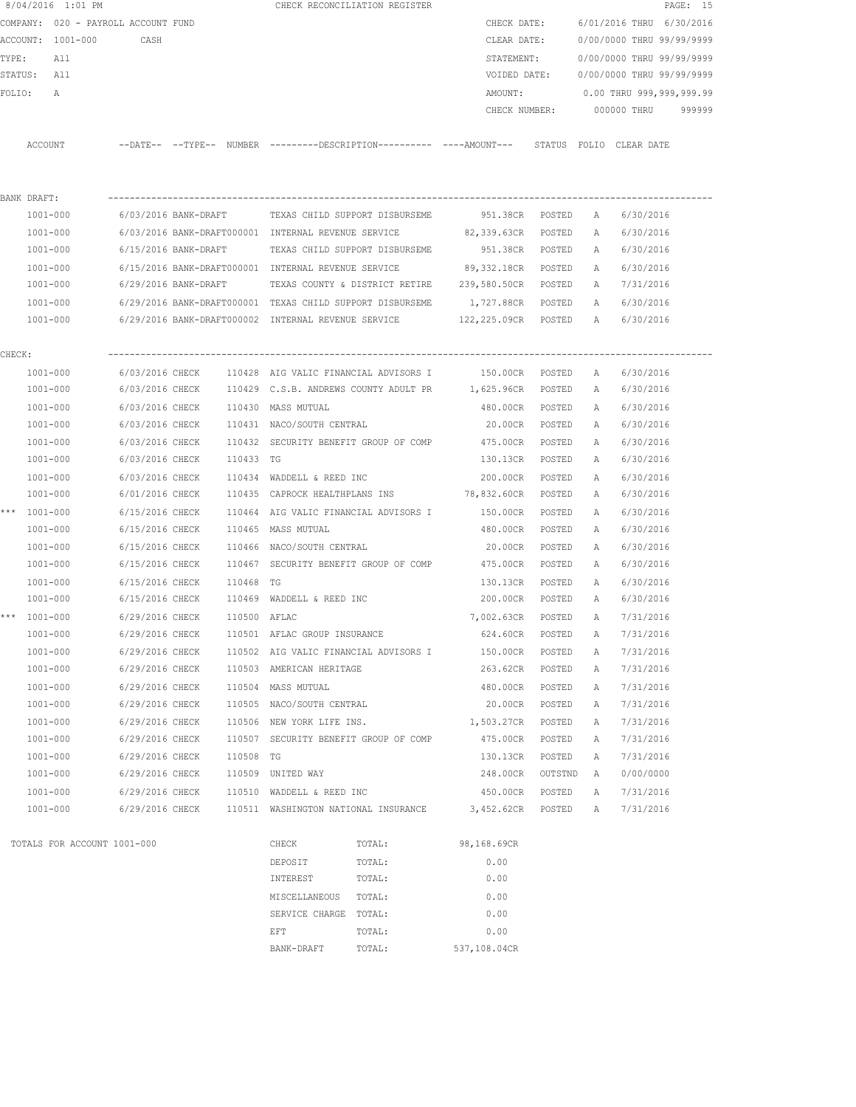|        | 8/04/2016 1:01 PM                   |                      |              |                                                     | CHECK RECONCILIATION REGISTER                             |                                                                                               |               |              |                           | PAGE: 15 |
|--------|-------------------------------------|----------------------|--------------|-----------------------------------------------------|-----------------------------------------------------------|-----------------------------------------------------------------------------------------------|---------------|--------------|---------------------------|----------|
|        | COMPANY: 020 - PAYROLL ACCOUNT FUND |                      |              |                                                     |                                                           | CHECK DATE:                                                                                   |               |              | 6/01/2016 THRU 6/30/2016  |          |
|        | ACCOUNT: 1001-000                   | CASH                 |              |                                                     |                                                           | CLEAR DATE:                                                                                   |               |              | 0/00/0000 THRU 99/99/9999 |          |
| TYPE:  | All                                 |                      |              |                                                     |                                                           | STATEMENT:                                                                                    |               |              | 0/00/0000 THRU 99/99/9999 |          |
|        | STATUS: All                         |                      |              |                                                     |                                                           | VOIDED DATE:                                                                                  |               |              | 0/00/0000 THRU 99/99/9999 |          |
| FOLIO: | А                                   |                      |              |                                                     |                                                           | AMOUNT:                                                                                       |               |              | 0.00 THRU 999,999,999.99  |          |
|        |                                     |                      |              |                                                     |                                                           | CHECK NUMBER:                                                                                 |               |              | 000000 THRU               | 999999   |
|        | ACCOUNT                             |                      |              |                                                     |                                                           | --DATE-- --TYPE-- NUMBER ---------DESCRIPTION---------- ----AMOUNT--- STATUS FOLIO CLEAR-DATE |               |              |                           |          |
|        | BANK DRAFT:                         |                      |              |                                                     |                                                           |                                                                                               |               |              |                           |          |
|        | 1001-000                            | 6/03/2016 BANK-DRAFT |              |                                                     | TEXAS CHILD SUPPORT DISBURSEME                            | 951.38CR POSTED                                                                               |               | A            | 6/30/2016                 |          |
|        | 1001-000                            |                      |              | 6/03/2016 BANK-DRAFT000001 INTERNAL REVENUE SERVICE |                                                           | 82,339.63CR POSTED                                                                            |               | A            | 6/30/2016                 |          |
|        | 1001-000                            |                      |              |                                                     | 6/15/2016 BANK-DRAFT TEXAS CHILD SUPPORT DISBURSEME       | 951.38CR POSTED                                                                               |               | A            | 6/30/2016                 |          |
|        | 1001-000                            |                      |              | 6/15/2016 BANK-DRAFT000001 INTERNAL REVENUE SERVICE |                                                           | 89,332.18CR POSTED                                                                            |               | A            | 6/30/2016                 |          |
|        | 1001-000                            |                      |              |                                                     |                                                           | 6/29/2016 BANK-DRAFT TEXAS COUNTY & DISTRICT RETIRE 239,580.50CR POSTED                       |               |              | A 7/31/2016               |          |
|        | 1001-000                            |                      |              |                                                     | 6/29/2016 BANK-DRAFT000001 TEXAS CHILD SUPPORT DISBURSEME | 1,727.88CR POSTED                                                                             |               | A            | 6/30/2016                 |          |
|        | 1001-000                            |                      |              |                                                     |                                                           | 6/29/2016 BANK-DRAFT000002 INTERNAL REVENUE SERVICE 422,225.09CR POSTED                       |               | A            | 6/30/2016                 |          |
| CHECK: |                                     |                      |              |                                                     |                                                           |                                                                                               |               |              |                           |          |
|        | 1001-000                            | 6/03/2016 CHECK      |              |                                                     |                                                           | 110428 AIG VALIC FINANCIAL ADVISORS I 150.00CR POSTED                                         |               | A            | 6/30/2016                 |          |
|        | 1001-000                            |                      |              |                                                     |                                                           | 6/03/2016 CHECK 110429 C.S.B. ANDREWS COUNTY ADULT PR 1,625.96CR POSTED                       |               | A            | 6/30/2016                 |          |
|        | 1001-000                            | 6/03/2016 CHECK      |              | 110430 MASS MUTUAL                                  |                                                           | 480.00CR POSTED                                                                               |               | A            | 6/30/2016                 |          |
|        | 1001-000                            | 6/03/2016 CHECK      |              | 110431 NACO/SOUTH CENTRAL                           |                                                           | 20.00CR                                                                                       | POSTED        | A            | 6/30/2016                 |          |
|        | 1001-000                            | 6/03/2016 CHECK      |              |                                                     | 110432 SECURITY BENEFIT GROUP OF COMP                     | 475.00CR                                                                                      | POSTED        | Α            | 6/30/2016                 |          |
|        | 1001-000                            | 6/03/2016 CHECK      | 110433 TG    |                                                     |                                                           | 130.13CR                                                                                      | POSTED        | Α            | 6/30/2016                 |          |
|        | 1001-000                            | 6/03/2016 CHECK      |              | 110434 WADDELL & REED INC                           |                                                           | 200.00CR                                                                                      | POSTED        | Α            | 6/30/2016                 |          |
|        | 1001-000                            | 6/01/2016 CHECK      |              | 110435 CAPROCK HEALTHPLANS INS                      |                                                           | 78,832.60CR                                                                                   | POSTED        | Α            | 6/30/2016                 |          |
|        | *** 1001-000                        | 6/15/2016 CHECK      |              | 110464 AIG VALIC FINANCIAL ADVISORS I               |                                                           | 150.00CR                                                                                      | POSTED        | Α            | 6/30/2016                 |          |
|        | 1001-000                            | 6/15/2016 CHECK      |              | 110465 MASS MUTUAL                                  |                                                           | 480.00CR                                                                                      | POSTED        | Α            | 6/30/2016                 |          |
|        | 1001-000                            | 6/15/2016 CHECK      |              | 110466 NACO/SOUTH CENTRAL                           |                                                           | 20.00CR                                                                                       | POSTED        | Α            | 6/30/2016                 |          |
|        | 1001-000                            | 6/15/2016 CHECK      |              |                                                     | 110467 SECURITY BENEFIT GROUP OF COMP                     | 475.00CR                                                                                      | POSTED        | Α            | 6/30/2016                 |          |
|        | 1001-000                            | 6/15/2016 CHECK      | 110468 TG    |                                                     |                                                           | 130.13CR                                                                                      | POSTED        | Α            | 6/30/2016                 |          |
|        | 1001-000                            |                      |              | $6/15/2016$ CHECK 110469 WADDELL & REED INC         |                                                           | 200.00CR                                                                                      | POSTED        | Α            | 6/30/2016                 |          |
|        | *** 1001-000                        | 6/29/2016 CHECK      | 110500 AFLAC |                                                     |                                                           | 7,002.63CR                                                                                    | POSTED        | A            | 7/31/2016                 |          |
|        | 1001-000                            | 6/29/2016 CHECK      |              | 110501 AFLAC GROUP INSURANCE                        |                                                           | 624.60CR                                                                                      | POSTED        | А            | 7/31/2016                 |          |
|        | $1001 - 000$                        | 6/29/2016 CHECK      |              |                                                     | 110502 AIG VALIC FINANCIAL ADVISORS I                     | 150.00CR                                                                                      | POSTED        | Α            | 7/31/2016                 |          |
|        | $1001 - 000$                        | 6/29/2016 CHECK      |              | 110503 AMERICAN HERITAGE                            |                                                           | 263.62CR                                                                                      | POSTED        | Α            | 7/31/2016                 |          |
|        | $1001 - 000$                        | 6/29/2016 CHECK      |              | 110504 MASS MUTUAL                                  |                                                           | 480.00CR                                                                                      | POSTED        | Α            | 7/31/2016                 |          |
|        | $1001 - 000$                        | 6/29/2016 CHECK      |              | 110505 NACO/SOUTH CENTRAL                           |                                                           | 20.00CR                                                                                       | POSTED        | Α            | 7/31/2016                 |          |
|        | $1001 - 000$                        | 6/29/2016 CHECK      |              | 110506 NEW YORK LIFE INS.                           |                                                           | 1,503.27CR                                                                                    | POSTED        | Α            | 7/31/2016                 |          |
|        | 1001-000                            | 6/29/2016 CHECK      |              |                                                     | 110507 SECURITY BENEFIT GROUP OF COMP                     | 475.00CR                                                                                      | POSTED        | Α            | 7/31/2016                 |          |
|        | $1001 - 000$                        | 6/29/2016 CHECK      | 110508 TG    |                                                     |                                                           | 130.13CR                                                                                      | $\tt{POSTED}$ | Α            | 7/31/2016                 |          |
|        | $1001 - 000$                        | 6/29/2016 CHECK      |              | 110509 UNITED WAY                                   |                                                           | 248.00CR                                                                                      | OUTSTND       | Α            | 0/00/0000                 |          |
|        | $1001 - 000$                        | 6/29/2016 CHECK      |              | 110510 WADDELL & REED INC                           |                                                           | 450.00CR                                                                                      | POSTED        | Α            | 7/31/2016                 |          |
|        | $1001 - 000$                        | 6/29/2016 CHECK      |              | 110511 WASHINGTON NATIONAL INSURANCE                |                                                           | 3,452.62CR                                                                                    | POSTED        | $\mathbb{A}$ | 7/31/2016                 |          |
|        | TOTALS FOR ACCOUNT 1001-000         |                      |              | CHECK                                               | TOTAL:                                                    | 98,168.69CR                                                                                   |               |              |                           |          |
|        |                                     |                      |              | DEPOSIT                                             | TOTAL:                                                    | 0.00                                                                                          |               |              |                           |          |
|        |                                     |                      |              | INTEREST                                            | TOTAL:                                                    | 0.00                                                                                          |               |              |                           |          |
|        |                                     |                      |              | MISCELLANEOUS                                       | TOTAL:                                                    | 0.00                                                                                          |               |              |                           |          |
|        |                                     |                      |              | SERVICE CHARGE TOTAL:                               |                                                           | 0.00                                                                                          |               |              |                           |          |
|        |                                     |                      |              | EFT                                                 | TOTAL:                                                    | 0.00                                                                                          |               |              |                           |          |
|        |                                     |                      |              | BANK-DRAFT                                          | TOTAL:                                                    | 537,108.04CR                                                                                  |               |              |                           |          |
|        |                                     |                      |              |                                                     |                                                           |                                                                                               |               |              |                           |          |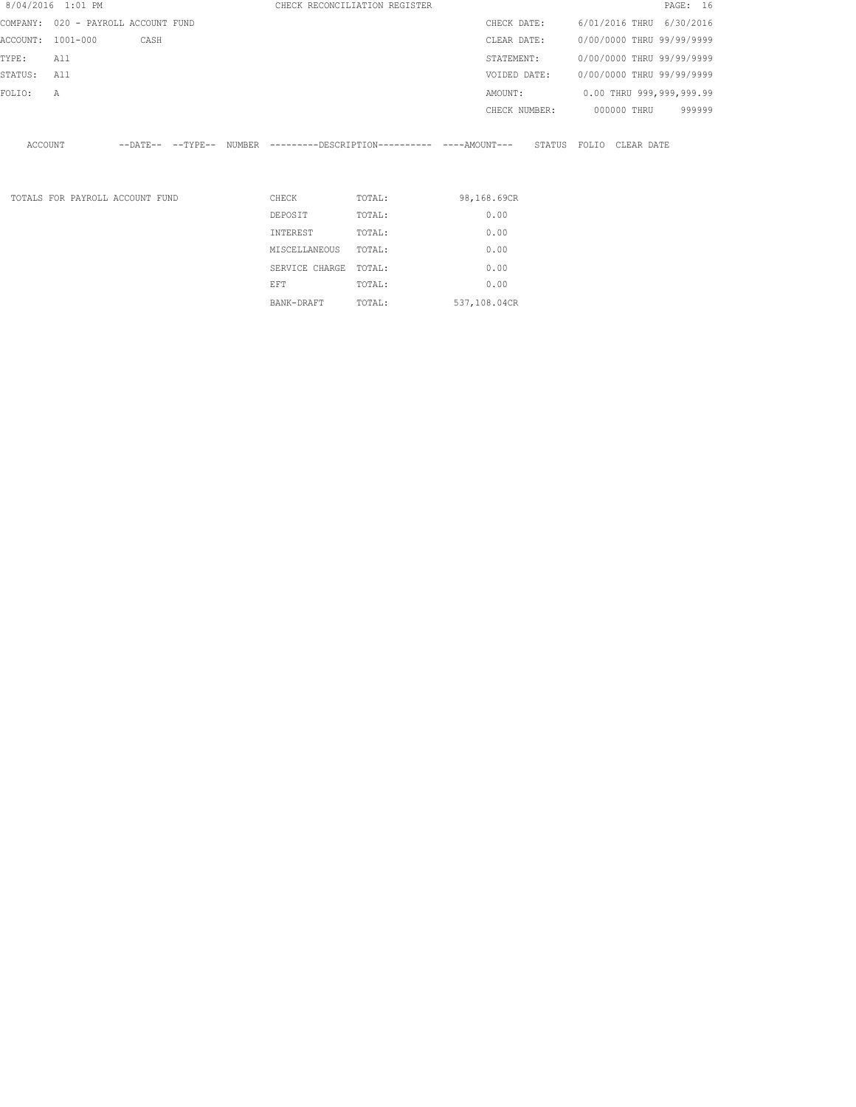|          | 8/04/2016 1:01 PM |                                     |                       |                | CHECK RECONCILIATION REGISTER                       |               | PAGE: 16                   |
|----------|-------------------|-------------------------------------|-----------------------|----------------|-----------------------------------------------------|---------------|----------------------------|
|          |                   | COMPANY: 020 - PAYROLL ACCOUNT FUND |                       |                |                                                     | CHECK DATE:   | 6/01/2016 THRU 6/30/2016   |
| ACCOUNT: | 1001-000          | CASH                                |                       |                |                                                     | CLEAR DATE:   | 0/00/0000 THRU 99/99/9999  |
| TYPE:    | All               |                                     |                       |                |                                                     | STATEMENT:    | 0/00/0000 THRU 99/99/9999  |
| STATUS:  | All               |                                     |                       |                |                                                     | VOIDED DATE:  | 0/00/0000 THRU 99/99/9999  |
| FOLIO:   | Α                 |                                     |                       |                |                                                     | AMOUNT:       | 0.00 THRU 999,999,999.99   |
|          |                   |                                     |                       |                |                                                     | CHECK NUMBER: | 000000 THRU<br>999999      |
| ACCOUNT  |                   |                                     | $---DAT E---TYP E---$ |                | NUMBER ---------DESCRIPTION---------- ----AMOUNT--- |               | STATUS FOLIO<br>CLEAR DATE |
|          |                   | TOTALS FOR PAYROLL ACCOUNT FUND     |                       | CHECK          | TOTAL:                                              | 98,168.69CR   |                            |
|          |                   |                                     |                       | DEPOSIT        | TOTAL:                                              | 0.00          |                            |
|          |                   |                                     |                       | INTEREST       | TOTAL:                                              | 0.00          |                            |
|          |                   |                                     |                       | MISCELLANEOUS  | TOTAL:                                              | 0.00          |                            |
|          |                   |                                     |                       | SERVICE CHARGE | TOTAL:                                              | 0.00          |                            |
|          |                   |                                     |                       | EFT            | TOTAL:                                              | 0.00          |                            |

BANK-DRAFT TOTAL: 537,108.04CR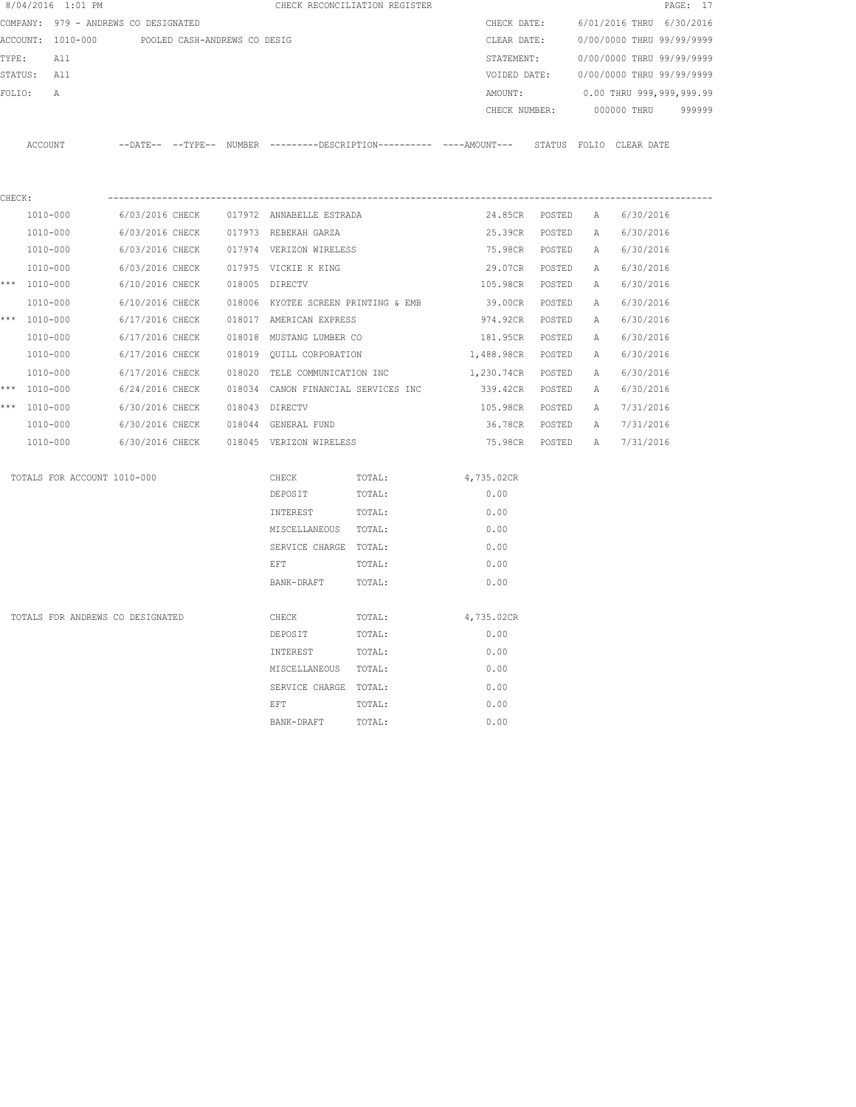|        | 8/04/2016 1:01 PM                                                                                                      |                 |                                |  | CHECK RECONCILIATION REGISTER                       |        |                                                                                             |               |   |                                      | PAGE: 17 |
|--------|------------------------------------------------------------------------------------------------------------------------|-----------------|--------------------------------|--|-----------------------------------------------------|--------|---------------------------------------------------------------------------------------------|---------------|---|--------------------------------------|----------|
|        |                                                                                                                        |                 |                                |  |                                                     |        |                                                                                             |               |   | CHECK DATE: 6/01/2016 THRU 6/30/2016 |          |
|        | COMPANY: 979 - ANDREWS CO DESIGNATED<br>ACCOUNT: 1010-000 POOLED CASH-ANDREWS CO DESIG<br>TYPE:<br>A 11<br>STATUS: All |                 |                                |  |                                                     |        | CLEAR DATE:                                                                                 |               |   | 0/00/0000 THRU 99/99/9999            |          |
|        |                                                                                                                        |                 |                                |  |                                                     |        | STATEMENT:                                                                                  |               |   | 0/00/0000 THRU 99/99/9999            |          |
|        |                                                                                                                        |                 |                                |  |                                                     |        | VOIDED DATE:                                                                                |               |   | 0/00/0000 THRU 99/99/9999            |          |
|        | FOLIO:<br>A                                                                                                            |                 |                                |  |                                                     |        | AMOUNT:                                                                                     |               |   | 0.00 THRU 999,999,999.99             |          |
|        |                                                                                                                        |                 |                                |  |                                                     |        |                                                                                             | CHECK NUMBER: |   | 000000 THRU                          | 999999   |
|        |                                                                                                                        |                 |                                |  |                                                     |        |                                                                                             |               |   |                                      |          |
|        | ACCOUNT                                                                                                                |                 |                                |  |                                                     |        | --DATE-- --TYPE-- NUMBER ---------DESCRIPTION--------- ----AMOUNT--- STATUS FOLIO CLEARDATE |               |   |                                      |          |
|        |                                                                                                                        |                 |                                |  |                                                     |        |                                                                                             |               |   |                                      |          |
|        |                                                                                                                        |                 |                                |  |                                                     |        |                                                                                             |               |   |                                      |          |
| CHECK: |                                                                                                                        |                 |                                |  |                                                     |        |                                                                                             |               |   |                                      |          |
|        | 1010-000                                                                                                               |                 |                                |  | 6/03/2016 CHECK 017972 ANNABELLE ESTRADA            |        | 24.85CR POSTED A                                                                            |               |   | 6/30/2016                            |          |
|        | 1010-000                                                                                                               | 6/03/2016 CHECK |                                |  | 017973 REBEKAH GARZA                                |        | 25.39CR POSTED                                                                              |               |   | A 6/30/2016                          |          |
|        | 1010-000                                                                                                               |                 |                                |  | 6/03/2016 CHECK 017974 VERIZON WIRELESS             |        | 75.98CR POSTED A                                                                            |               |   | 6/30/2016                            |          |
|        | 1010-000                                                                                                               |                 |                                |  | 6/03/2016 CHECK 017975 VICKIE K KING                |        | 29.07CR POSTED A                                                                            |               |   | 6/30/2016                            |          |
|        | *** $1010 - 000$                                                                                                       |                 | 6/10/2016 CHECK 018005 DIRECTV |  |                                                     |        | 105.98CR POSTED                                                                             |               | A | 6/30/2016                            |          |
|        | 1010-000                                                                                                               |                 |                                |  | 6/10/2016 CHECK 018006 KYOTEE SCREEN PRINTING & EMB |        | 39.00CR POSTED A                                                                            |               |   | 6/30/2016                            |          |
|        | *** 1010-000                                                                                                           | 6/17/2016 CHECK |                                |  | 018017 AMERICAN EXPRESS                             |        | 974.92CR POSTED                                                                             |               | A | 6/30/2016                            |          |
|        | 1010-000                                                                                                               | 6/17/2016 CHECK |                                |  | 018018 MUSTANG LUMBER CO                            |        | 181.95CR POSTED A                                                                           |               |   | 6/30/2016                            |          |
|        | 1010-000                                                                                                               |                 |                                |  | 6/17/2016 CHECK 018019 QUILL CORPORATION            |        | 1,488.98CR POSTED                                                                           |               | A | 6/30/2016                            |          |
|        | 1010-000                                                                                                               | 6/17/2016 CHECK |                                |  | 018020 TELE COMMUNICATION INC                       |        | 1,230.74CR POSTED                                                                           |               | A | 6/30/2016                            |          |
|        | *** $1010 - 000$                                                                                                       | 6/24/2016 CHECK |                                |  | 018034 CANON FINANCIAL SERVICES INC                 |        | 339.42CR POSTED                                                                             |               |   | A 6/30/2016                          |          |
|        | *** 1010-000                                                                                                           | 6/30/2016 CHECK |                                |  | 018043 DIRECTV                                      |        | 105.98CR POSTED                                                                             |               |   | A 7/31/2016                          |          |
|        | 1010-000                                                                                                               |                 |                                |  | 6/30/2016 CHECK 018044 GENERAL FUND                 |        |                                                                                             |               |   | 36.78CR POSTED A 7/31/2016           |          |
|        | 1010-000                                                                                                               |                 |                                |  | 6/30/2016 CHECK 018045 VERIZON WIRELESS             |        |                                                                                             |               |   | 75.98CR POSTED A 7/31/2016           |          |
|        | TOTALS FOR ACCOUNT 1010-000                                                                                            |                 |                                |  | CHECK                                               | TOTAL: | 4,735.02CR                                                                                  |               |   |                                      |          |
|        |                                                                                                                        |                 |                                |  | DEPOSIT                                             | TOTAL: | 0.00                                                                                        |               |   |                                      |          |
|        |                                                                                                                        |                 |                                |  | INTEREST                                            | TOTAL: | 0.00                                                                                        |               |   |                                      |          |
|        |                                                                                                                        |                 |                                |  | MISCELLANEOUS TOTAL:                                |        | 0.00                                                                                        |               |   |                                      |          |
|        |                                                                                                                        |                 |                                |  | SERVICE CHARGE TOTAL:                               |        | 0.00                                                                                        |               |   |                                      |          |
|        |                                                                                                                        |                 |                                |  | EFT                                                 | TOTAL: | 0.00                                                                                        |               |   |                                      |          |
|        |                                                                                                                        |                 |                                |  | BANK-DRAFT                                          | TOTAL: | 0.00                                                                                        |               |   |                                      |          |
|        |                                                                                                                        |                 |                                |  |                                                     |        |                                                                                             |               |   |                                      |          |
|        | TOTALS FOR ANDREWS CO DESIGNATED                                                                                       |                 |                                |  | CHECK                                               | TOTAL: | 4,735.02CR                                                                                  |               |   |                                      |          |
|        |                                                                                                                        |                 |                                |  | DEPOSIT                                             | TOTAL: | 0.00                                                                                        |               |   |                                      |          |
|        |                                                                                                                        |                 |                                |  | INTEREST                                            | TOTAL: | 0.00                                                                                        |               |   |                                      |          |
|        |                                                                                                                        |                 |                                |  | MISCELLANEOUS TOTAL:                                |        | 0.00                                                                                        |               |   |                                      |          |
|        |                                                                                                                        |                 |                                |  | SERVICE CHARGE TOTAL:                               |        | 0.00                                                                                        |               |   |                                      |          |
|        |                                                                                                                        |                 |                                |  | <b>EFT</b>                                          | TOTAL: | 0.00                                                                                        |               |   |                                      |          |
|        |                                                                                                                        |                 |                                |  | BANK-DRAFT                                          | TOTAL: | 0.00                                                                                        |               |   |                                      |          |
|        |                                                                                                                        |                 |                                |  |                                                     |        |                                                                                             |               |   |                                      |          |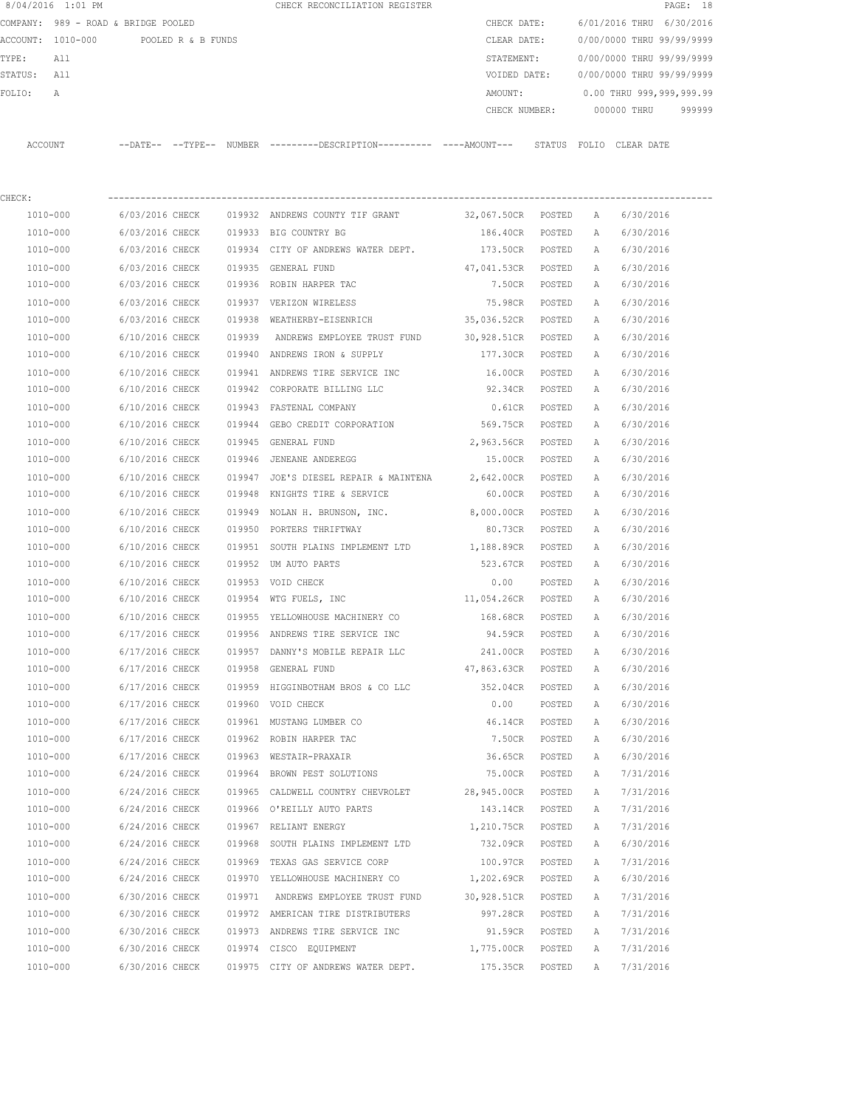| 8/04/2016 1:01 PM |                                                                                |                 |  |        | CHECK RECONCILIATION REGISTER                                                               |                    |        |              |                           | PAGE: 18 |
|-------------------|--------------------------------------------------------------------------------|-----------------|--|--------|---------------------------------------------------------------------------------------------|--------------------|--------|--------------|---------------------------|----------|
|                   | COMPANY: 989 - ROAD & BRIDGE POOLED<br>ACCOUNT: 1010-000<br>POOLED R & B FUNDS |                 |  |        |                                                                                             | CHECK DATE:        |        |              | 6/01/2016 THRU 6/30/2016  |          |
|                   |                                                                                |                 |  |        |                                                                                             | CLEAR DATE:        |        |              | 0/00/0000 THRU 99/99/9999 |          |
| TYPE:             | All                                                                            |                 |  |        |                                                                                             | STATEMENT:         |        |              | 0/00/0000 THRU 99/99/9999 |          |
| STATUS:           | All                                                                            |                 |  |        |                                                                                             | VOIDED DATE:       |        |              | 0/00/0000 THRU 99/99/9999 |          |
| FOLIO:            | A                                                                              |                 |  |        |                                                                                             | AMOUNT:            |        |              | 0.00 THRU 999,999,999.99  |          |
|                   |                                                                                |                 |  |        |                                                                                             |                    |        |              | CHECK NUMBER: 000000 THRU | 999999   |
|                   | ACCOUNT                                                                        |                 |  |        | --DATE-- --TYPE-- NUMBER --------DESCRIPTION--------- ----AMOUNT--- STATUS FOLIO CLEAR-DATE |                    |        |              |                           |          |
| CHECK:            |                                                                                |                 |  |        |                                                                                             |                    |        |              |                           |          |
|                   | 1010-000                                                                       | 6/03/2016 CHECK |  |        | 019932 ANDREWS COUNTY TIF GRANT 32,067.50CR POSTED                                          |                    |        | A            | 6/30/2016                 |          |
|                   | 1010-000                                                                       | 6/03/2016 CHECK |  |        | 019933 BIG COUNTRY BG                                                                       | 186.40CR           | POSTED | $\mathbb{A}$ | 6/30/2016                 |          |
|                   | 1010-000                                                                       | 6/03/2016 CHECK |  |        | 019934 CITY OF ANDREWS WATER DEPT.                                                          | 173.50CR POSTED    |        | Α            | 6/30/2016                 |          |
|                   | 1010-000                                                                       | 6/03/2016 CHECK |  |        | 019935 GENERAL FUND                                                                         | 47,041.53CR POSTED |        | A            | 6/30/2016                 |          |
|                   | 1010-000                                                                       | 6/03/2016 CHECK |  |        | 019936 ROBIN HARPER TAC                                                                     | 7.50CR POSTED      |        | A            | 6/30/2016                 |          |
|                   | 1010-000                                                                       | 6/03/2016 CHECK |  |        | 019937 VERIZON WIRELESS                                                                     | 75.98CR            | POSTED | A            | 6/30/2016                 |          |
|                   | 1010-000                                                                       | 6/03/2016 CHECK |  |        | 019938 WEATHERBY-EISENRICH                                                                  | 35,036.52CR POSTED |        | A            | 6/30/2016                 |          |
|                   | 1010-000                                                                       | 6/10/2016 CHECK |  | 019939 | ANDREWS EMPLOYEE TRUST FUND                                                                 | 30,928.51CR        | POSTED | A            | 6/30/2016                 |          |
|                   | 1010-000                                                                       | 6/10/2016 CHECK |  |        | 019940 ANDREWS IRON & SUPPLY                                                                | 177.30CR           | POSTED | A            | 6/30/2016                 |          |
|                   | 1010-000                                                                       | 6/10/2016 CHECK |  |        | 019941 ANDREWS TIRE SERVICE INC                                                             | 16.00CR            | POSTED | A            | 6/30/2016                 |          |
|                   | 1010-000                                                                       | 6/10/2016 CHECK |  |        | 019942 CORPORATE BILLING LLC                                                                | 92.34CR            | POSTED | A            | 6/30/2016                 |          |
|                   | 1010-000                                                                       | 6/10/2016 CHECK |  |        | 019943 FASTENAL COMPANY                                                                     | $0.61$ CR          | POSTED | A            | 6/30/2016                 |          |
|                   | 1010-000                                                                       | 6/10/2016 CHECK |  |        | 019944 GEBO CREDIT CORPORATION                                                              | 569.75CR POSTED    |        | A            | 6/30/2016                 |          |
|                   | 1010-000                                                                       | 6/10/2016 CHECK |  |        | 019945 GENERAL FUND                                                                         | 2,963.56CR         | POSTED | A            | 6/30/2016                 |          |
|                   | 1010-000                                                                       | 6/10/2016 CHECK |  |        | 019946 JENEANE ANDEREGG                                                                     | 15.00CR POSTED     |        | A            | 6/30/2016                 |          |
|                   | 1010-000                                                                       | 6/10/2016 CHECK |  |        | 019947 JOE'S DIESEL REPAIR & MAINTENA                                                       | 2,642.00CR         | POSTED | A            | 6/30/2016                 |          |
|                   | 1010-000                                                                       | 6/10/2016 CHECK |  |        | 019948 KNIGHTS TIRE & SERVICE                                                               | 60.00CR            | POSTED | A            | 6/30/2016                 |          |
|                   | 1010-000                                                                       | 6/10/2016 CHECK |  |        | 019949 NOLAN H. BRUNSON, INC. 8,000.00CR                                                    |                    | POSTED | $\mathbb{A}$ | 6/30/2016                 |          |
|                   | 1010-000                                                                       | 6/10/2016 CHECK |  |        | 019950 PORTERS THRIFTWAY                                                                    | 80.73CR            | POSTED | $\mathbb{A}$ | 6/30/2016                 |          |
|                   | 1010-000                                                                       | 6/10/2016 CHECK |  |        | 019951 SOUTH PLAINS IMPLEMENT LTD 1,188.89CR                                                |                    | POSTED | $\mathbb{A}$ | 6/30/2016                 |          |
|                   | 1010-000                                                                       | 6/10/2016 CHECK |  |        | 019952 UM AUTO PARTS                                                                        | 523.67CR           | POSTED | $\mathbb{A}$ | 6/30/2016                 |          |
|                   | 1010-000                                                                       | 6/10/2016 CHECK |  |        | 019953 VOID CHECK                                                                           | 0.00               | POSTED | Α            | 6/30/2016                 |          |
|                   | 1010-000                                                                       | 6/10/2016 CHECK |  |        | 019954 WTG FUELS, INC                                                                       | 11,054.26CR POSTED |        | Α            | 6/30/2016                 |          |
|                   | 1010-000                                                                       | 6/10/2016 CHECK |  |        | 019955 YELLOWHOUSE MACHINERY CO                                                             | 168.68CR           | POSTED | $\mathbb{A}$ | 6/30/2016                 |          |
|                   | 1010-000                                                                       | 6/17/2016 CHECK |  |        | 019956 ANDREWS TIRE SERVICE INC                                                             | 94.59CR            | POSTED | Α            | 6/30/2016                 |          |

 1010-000 6/17/2016 CHECK 019957 DANNY'S MOBILE REPAIR LLC 241.00CR POSTED A 6/30/2016 1010-000 6/17/2016 CHECK 019958 GENERAL FUND 47,863.63CR POSTED A 6/30/2016 1010-000 6/17/2016 CHECK 019959 HIGGINBOTHAM BROS & CO LLC 352.04CR POSTED A 6/30/2016 1010-000 6/17/2016 CHECK 019960 VOID CHECK 0.00 POSTED A 6/30/2016 1010-000 6/17/2016 CHECK 019961 MUSTANG LUMBER CO 46.14CR POSTED A 6/30/2016 1010-000 6/17/2016 CHECK 019962 ROBIN HARPER TAC 7.50CR POSTED A 6/30/2016 1010-000 6/17/2016 CHECK 019963 WESTAIR-PRAXAIR 36.65CR POSTED A 6/30/2016 1010-000 6/24/2016 CHECK 019964 BROWN PEST SOLUTIONS 75.00CR POSTED A 7/31/2016 1010-000 6/24/2016 CHECK 019965 CALDWELL COUNTRY CHEVROLET 28,945.00CR POSTED A 7/31/2016 1010-000 6/24/2016 CHECK 019966 O'REILLY AUTO PARTS 143.14CR POSTED A 7/31/2016 1010-000 6/24/2016 CHECK 019967 RELIANT ENERGY 1,210.75CR POSTED A 7/31/2016 1010-000 6/24/2016 CHECK 019968 SOUTH PLAINS IMPLEMENT LTD 732.09CR POSTED A 6/30/2016 1010-000 6/24/2016 CHECK 019969 TEXAS GAS SERVICE CORP 100.97CR POSTED A 7/31/2016 1010-000 6/24/2016 CHECK 019970 YELLOWHOUSE MACHINERY CO 1,202.69CR POSTED A 6/30/2016 1010-000 6/30/2016 CHECK 019971 ANDREWS EMPLOYEE TRUST FUND 30,928.51CR POSTED A 7/31/2016 1010-000 6/30/2016 CHECK 019972 AMERICAN TIRE DISTRIBUTERS 997.28CR POSTED A 7/31/2016 1010-000 6/30/2016 CHECK 019973 ANDREWS TIRE SERVICE INC 91.59CR POSTED A 7/31/2016 1010-000 6/30/2016 CHECK 019974 CISCO EQUIPMENT 1,775.00CR POSTED A 7/31/2016 1010-000 6/30/2016 CHECK 019975 CITY OF ANDREWS WATER DEPT. 175.35CR POSTED A 7/31/2016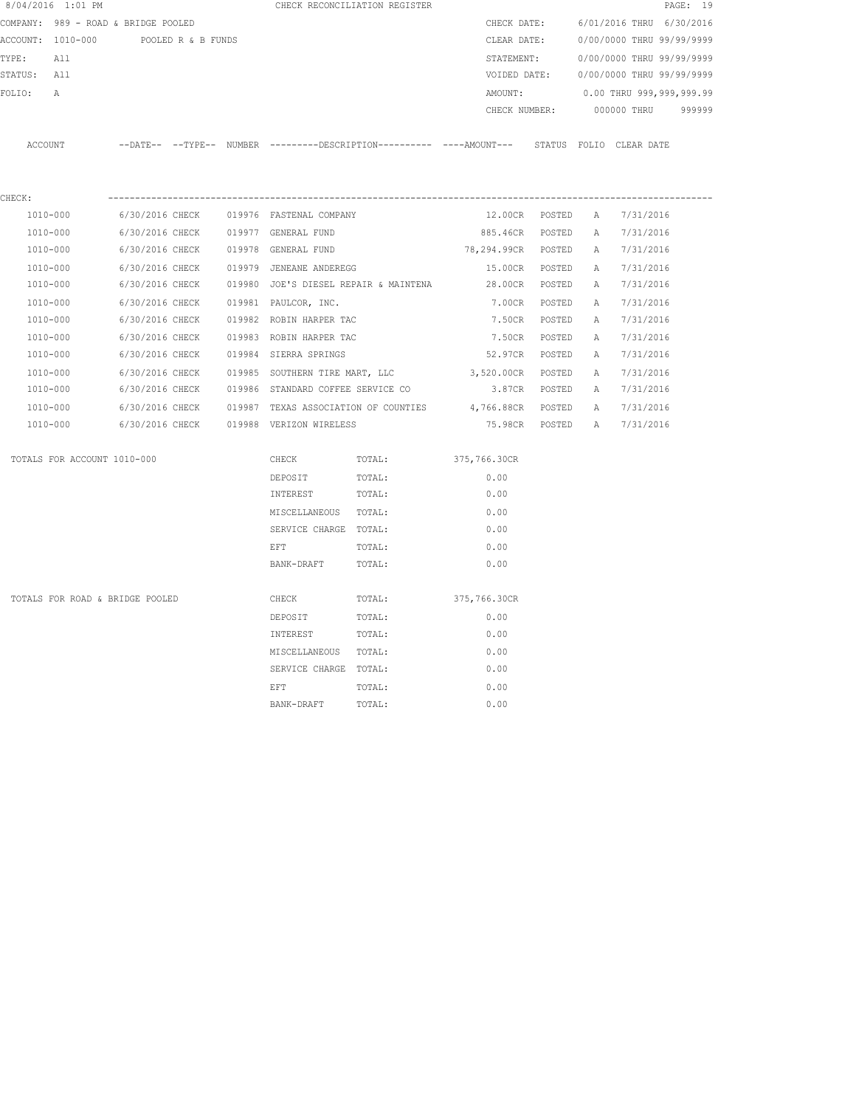|             | 8/04/2016 1:01 PM                   |                 |                    |                                         | CHECK RECONCILIATION REGISTER         |                                                                                            |                |   |                                        | PAGE: 19 |
|-------------|-------------------------------------|-----------------|--------------------|-----------------------------------------|---------------------------------------|--------------------------------------------------------------------------------------------|----------------|---|----------------------------------------|----------|
|             | COMPANY: 989 - ROAD & BRIDGE POOLED |                 |                    |                                         |                                       | CHECK DATE:                                                                                |                |   | 6/01/2016 THRU 6/30/2016               |          |
|             | ACCOUNT: 1010-000                   |                 | POOLED R & B FUNDS |                                         |                                       | CLEAR DATE:                                                                                |                |   | 0/00/0000 THRU 99/99/9999              |          |
| TYPE:       | All                                 |                 |                    |                                         |                                       | STATEMENT:                                                                                 |                |   | 0/00/0000 THRU 99/99/9999              |          |
| STATUS: All |                                     |                 |                    |                                         |                                       |                                                                                            |                |   | VOIDED DATE: 0/00/0000 THRU 99/99/9999 |          |
| FOLIO:      | $\mathbb{A}$                        |                 |                    |                                         |                                       | AMOUNT:                                                                                    |                |   | 0.00 THRU 999,999,999.99               |          |
|             |                                     |                 |                    |                                         |                                       | CHECK NUMBER:                                                                              |                |   | 000000 THRU                            | 999999   |
|             | ACCOUNT                             |                 |                    |                                         |                                       | --DATE-- --TYPE-- NUMBER --------DESCRIPTION--------- ----AMOUNT--- STATUS FOLIO CLEARDATE |                |   |                                        |          |
|             |                                     |                 |                    |                                         |                                       |                                                                                            |                |   |                                        |          |
| CHECK:      | $1010 - 000$                        | 6/30/2016 CHECK |                    | 019976 FASTENAL COMPANY                 |                                       | 12.00CR POSTED                                                                             |                | A | 7/31/2016                              |          |
|             | 1010-000                            | 6/30/2016 CHECK |                    | 019977 GENERAL FUND                     |                                       | 885.46CR POSTED                                                                            |                | A | 7/31/2016                              |          |
|             | 1010-000                            | 6/30/2016 CHECK |                    | 019978 GENERAL FUND                     |                                       | 78,294.99CR POSTED                                                                         |                | A | 7/31/2016                              |          |
|             | 1010-000                            | 6/30/2016 CHECK |                    | 019979 JENEANE ANDEREGG                 |                                       | 15.00CR POSTED                                                                             |                | A | 7/31/2016                              |          |
|             | 1010-000                            | 6/30/2016 CHECK |                    |                                         | 019980 JOE'S DIESEL REPAIR & MAINTENA | 28.00CR POSTED                                                                             |                | A | 7/31/2016                              |          |
|             | 1010-000                            | 6/30/2016 CHECK |                    | 019981 PAULCOR, INC.                    |                                       | 7.00CR POSTED                                                                              |                | A | 7/31/2016                              |          |
|             | 1010-000                            | 6/30/2016 CHECK |                    | 019982 ROBIN HARPER TAC                 |                                       |                                                                                            | 7.50CR POSTED  | A | 7/31/2016                              |          |
|             | 1010-000                            | 6/30/2016 CHECK |                    | 019983 ROBIN HARPER TAC                 |                                       |                                                                                            | 7.50CR POSTED  | А | 7/31/2016                              |          |
|             | 1010-000                            | 6/30/2016 CHECK |                    | 019984 SIERRA SPRINGS                   |                                       |                                                                                            | 52.97CR POSTED | A | 7/31/2016                              |          |
|             | 1010-000                            | 6/30/2016 CHECK |                    |                                         |                                       | 019985 SOUTHERN TIRE MART, LLC 3,520.00CR POSTED                                           |                | A | 7/31/2016                              |          |
|             | 1010-000                            | 6/30/2016 CHECK |                    | 019986 STANDARD COFFEE SERVICE CO       |                                       | 3.87CR POSTED                                                                              |                | A | 7/31/2016                              |          |
|             | 1010-000                            |                 |                    |                                         |                                       | 6/30/2016 CHECK 019987 TEXAS ASSOCIATION OF COUNTIES 4,766.88CR POSTED A                   |                |   | 7/31/2016                              |          |
|             | 1010-000                            |                 |                    | 6/30/2016 CHECK 019988 VERIZON WIRELESS |                                       |                                                                                            |                |   | 75.98CR POSTED A 7/31/2016             |          |
|             | TOTALS FOR ACCOUNT 1010-000         |                 |                    | CHECK                                   | TOTAL:                                | 375,766.30CR                                                                               |                |   |                                        |          |
|             |                                     |                 |                    | DEPOSIT                                 | TOTAL:                                | 0.00                                                                                       |                |   |                                        |          |
|             |                                     |                 |                    | INTEREST                                | TOTAL:                                | 0.00                                                                                       |                |   |                                        |          |
|             |                                     |                 |                    | MISCELLANEOUS TOTAL:                    |                                       | 0.00                                                                                       |                |   |                                        |          |
|             |                                     |                 |                    | SERVICE CHARGE TOTAL:                   |                                       | 0.00                                                                                       |                |   |                                        |          |
|             |                                     |                 |                    | EFT                                     | TOTAL:                                | 0.00                                                                                       |                |   |                                        |          |
|             |                                     |                 |                    | BANK-DRAFT                              | TOTAL:                                | 0.00                                                                                       |                |   |                                        |          |
|             | TOTALS FOR ROAD & BRIDGE POOLED     |                 |                    | CHECK                                   | TOTAL:                                | 375,766.30CR                                                                               |                |   |                                        |          |
|             |                                     |                 |                    | DEPOSIT                                 | TOTAL:                                | 0.00                                                                                       |                |   |                                        |          |
|             |                                     |                 |                    | INTEREST                                | TOTAL:                                | 0.00                                                                                       |                |   |                                        |          |
|             |                                     |                 |                    | MISCELLANEOUS TOTAL:                    |                                       | 0.00                                                                                       |                |   |                                        |          |
|             |                                     |                 |                    | SERVICE CHARGE TOTAL:                   |                                       | 0.00                                                                                       |                |   |                                        |          |
|             |                                     |                 |                    | EFT                                     | TOTAL:                                | 0.00                                                                                       |                |   |                                        |          |
|             |                                     |                 |                    | BANK-DRAFT                              | TOTAL:                                | 0.00                                                                                       |                |   |                                        |          |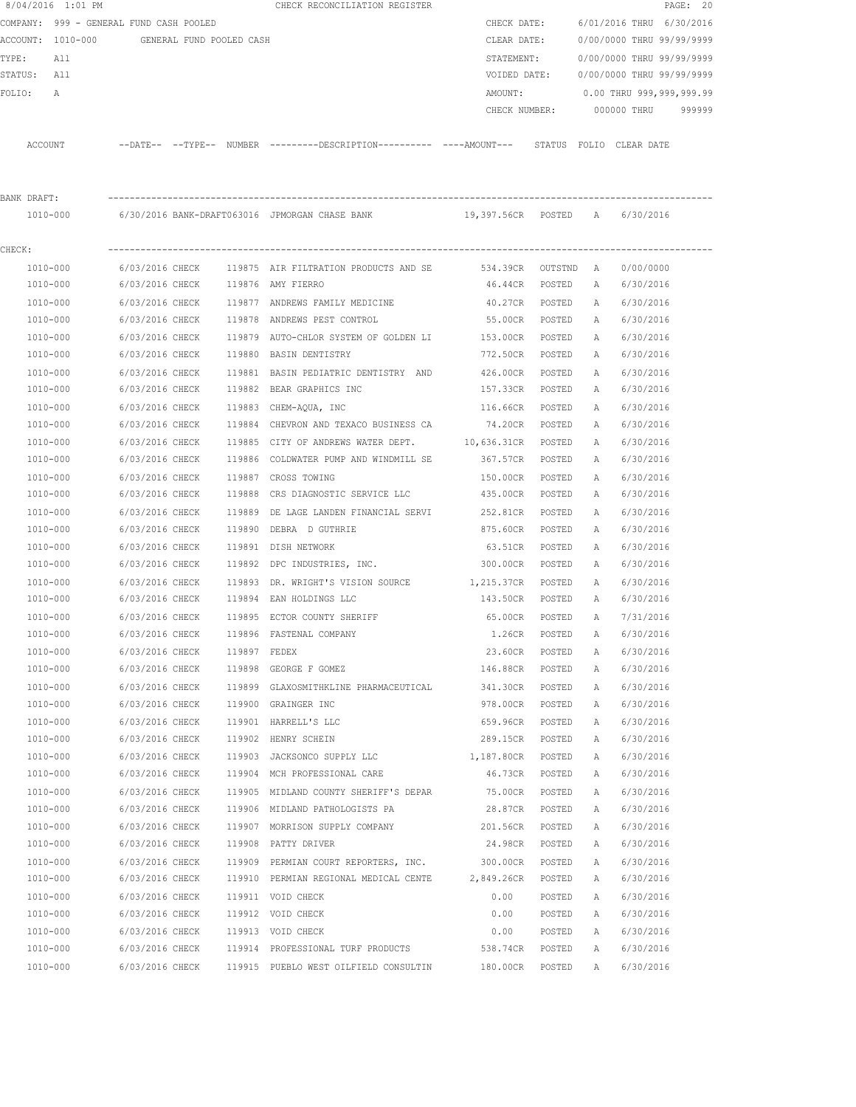|             | 8/04/2016 1:01 PM                          |                 |              | CHECK RECONCILIATION REGISTER                                                                |                    |        |              |                           | PAGE: 20 |
|-------------|--------------------------------------------|-----------------|--------------|----------------------------------------------------------------------------------------------|--------------------|--------|--------------|---------------------------|----------|
|             | COMPANY: 999 - GENERAL FUND CASH POOLED    |                 |              |                                                                                              | CHECK DATE:        |        |              | 6/01/2016 THRU 6/30/2016  |          |
|             | ACCOUNT: 1010-000 GENERAL FUND POOLED CASH |                 |              |                                                                                              | CLEAR DATE:        |        |              | 0/00/0000 THRU 99/99/9999 |          |
| TYPE:       | All                                        |                 |              |                                                                                              | STATEMENT:         |        |              | 0/00/0000 THRU 99/99/9999 |          |
| STATUS: All |                                            |                 |              |                                                                                              | VOIDED DATE:       |        |              | 0/00/0000 THRU 99/99/9999 |          |
| FOLIO:      | Α                                          |                 |              |                                                                                              | AMOUNT:            |        |              | 0.00 THRU 999,999,999.99  |          |
|             |                                            |                 |              |                                                                                              | CHECK NUMBER:      |        |              | 000000 THRU               | 999999   |
|             | ACCOUNT                                    |                 |              | --DATE-- --TYPE-- NUMBER ---------DESCRIPTION---------- ----AMOUNT--- STATUS FOLIO CLEARDATE |                    |        |              |                           |          |
| BANK DRAFT: |                                            |                 |              |                                                                                              |                    |        |              |                           |          |
|             | 1010-000                                   |                 |              | 6/30/2016 BANK-DRAFT063016 JPMORGAN CHASE BANK          19,397.56CR  POSTED   A              |                    |        |              | 6/30/2016                 |          |
| CHECK:      |                                            |                 |              |                                                                                              |                    |        |              |                           |          |
|             | 1010-000                                   | 6/03/2016 CHECK |              | 119875 AIR FILTRATION PRODUCTS AND SE                                                        | 534.39CR OUTSTND A |        |              | 0/00/0000                 |          |
|             | 1010-000                                   | 6/03/2016 CHECK |              | 119876 AMY FIERRO                                                                            | 46.44CR            | POSTED | A            | 6/30/2016                 |          |
|             | 1010-000                                   | 6/03/2016 CHECK |              | 119877 ANDREWS FAMILY MEDICINE                                                               | 40.27CR            | POSTED | A            | 6/30/2016                 |          |
|             | 1010-000                                   | 6/03/2016 CHECK |              | 119878 ANDREWS PEST CONTROL                                                                  | 55.00CR POSTED     |        | A            | 6/30/2016                 |          |
|             | 1010-000                                   | 6/03/2016 CHECK |              | 119879 AUTO-CHLOR SYSTEM OF GOLDEN LI                                                        | 153.00CR           | POSTED | A            | 6/30/2016                 |          |
|             | 1010-000                                   | 6/03/2016 CHECK |              | 119880 BASIN DENTISTRY                                                                       | 772.50CR POSTED    |        | A            | 6/30/2016                 |          |
|             | 1010-000                                   | 6/03/2016 CHECK |              | 119881 BASIN PEDIATRIC DENTISTRY AND 426.00CR                                                |                    | POSTED | A            | 6/30/2016                 |          |
|             | 1010-000                                   | 6/03/2016 CHECK |              | 119882 BEAR GRAPHICS INC                                                                     | 157.33CR POSTED    |        | A            | 6/30/2016                 |          |
|             | 1010-000                                   | 6/03/2016 CHECK |              | 119883 CHEM-AQUA, INC                                                                        | 116.66CR           | POSTED | $\mathbb{A}$ | 6/30/2016                 |          |
|             | 1010-000                                   | 6/03/2016 CHECK |              | 119884 CHEVRON AND TEXACO BUSINESS CA 74.20CR POSTED                                         |                    |        | A            | 6/30/2016                 |          |
|             | 1010-000                                   | 6/03/2016 CHECK |              | 119885 CITY OF ANDREWS WATER DEPT. 10,636.31CR                                               |                    | POSTED | Α            | 6/30/2016                 |          |
|             | 1010-000                                   | 6/03/2016 CHECK | 119886       | COLDWATER PUMP AND WINDMILL SE                                                               | 367.57CR           | POSTED | Α            | 6/30/2016                 |          |
|             | 1010-000                                   | 6/03/2016 CHECK |              | 119887 CROSS TOWING                                                                          | 150.00CR           | POSTED | A            | 6/30/2016                 |          |
|             | 1010-000                                   | 6/03/2016 CHECK |              | 119888 CRS DIAGNOSTIC SERVICE LLC                                                            | 435.00CR           | POSTED | A            | 6/30/2016                 |          |
|             | 1010-000                                   | 6/03/2016 CHECK |              | 119889 DE LAGE LANDEN FINANCIAL SERVI                                                        | 252.81CR           | POSTED | Α            | 6/30/2016                 |          |
|             | 1010-000                                   | 6/03/2016 CHECK | 119890       | DEBRA D GUTHRIE                                                                              | 875.60CR           | POSTED | А            | 6/30/2016                 |          |
|             | 1010-000                                   | 6/03/2016 CHECK | 119891       | DISH NETWORK                                                                                 | 63.51CR            | POSTED | Α            | 6/30/2016                 |          |
|             | 1010-000                                   | 6/03/2016 CHECK |              | 119892 DPC INDUSTRIES, INC.                                                                  | 300.00CR           | POSTED | А            | 6/30/2016                 |          |
|             | 1010-000                                   | 6/03/2016 CHECK |              | 119893 DR. WRIGHT'S VISION SOURCE 1,215.37CR                                                 |                    | POSTED | A            | 6/30/2016                 |          |
|             | 1010-000                                   | 6/03/2016 CHECK |              | 119894 EAN HOLDINGS LLC                                                                      | 143.50CR           | POSTED | A            | 6/30/2016                 |          |
|             | 1010-000                                   | 6/03/2016 CHECK |              | 119895 ECTOR COUNTY SHERIFF 65.00CR                                                          |                    | POSTED | $\mathbb{A}$ | 7/31/2016                 |          |
|             | 1010-000                                   | 6/03/2016 CHECK |              | 119896 FASTENAL COMPANY                                                                      | 1.26CR             | POSTED | А            | 6/30/2016                 |          |
|             | $1010 - 000$                               | 6/03/2016 CHECK | 119897 FEDEX |                                                                                              | 23.60CR            | POSTED | Α            | 6/30/2016                 |          |
|             | 1010-000                                   | 6/03/2016 CHECK |              | 119898 GEORGE F GOMEZ                                                                        | 146.88CR           | POSTED | Α            | 6/30/2016                 |          |
|             | 1010-000                                   | 6/03/2016 CHECK |              | 119899 GLAXOSMITHKLINE PHARMACEUTICAL                                                        | 341.30CR           | POSTED | Α            | 6/30/2016                 |          |
|             | 1010-000                                   | 6/03/2016 CHECK |              | 119900 GRAINGER INC                                                                          | 978.00CR           | POSTED | Α            | 6/30/2016                 |          |
|             | 1010-000                                   | 6/03/2016 CHECK |              | 119901 HARRELL'S LLC                                                                         | 659.96CR           | POSTED | Α            | 6/30/2016                 |          |
|             | 1010-000                                   | 6/03/2016 CHECK |              | 119902 HENRY SCHEIN                                                                          | 289.15CR           | POSTED | Α            | 6/30/2016                 |          |
|             | 1010-000                                   | 6/03/2016 CHECK |              | 119903 JACKSONCO SUPPLY LLC                                                                  | 1,187.80CR         | POSTED | Α            | 6/30/2016                 |          |
|             | 1010-000                                   | 6/03/2016 CHECK |              | 119904 MCH PROFESSIONAL CARE                                                                 | 46.73CR            | POSTED | Α            | 6/30/2016                 |          |
|             | $1010 - 000$                               | 6/03/2016 CHECK |              | 119905 MIDLAND COUNTY SHERIFF'S DEPAR                                                        | 75.00CR            | POSTED | Α            | 6/30/2016                 |          |
|             | 1010-000                                   | 6/03/2016 CHECK |              | 119906 MIDLAND PATHOLOGISTS PA                                                               | 28.87CR            | POSTED | Α            | 6/30/2016                 |          |
|             | 1010-000                                   | 6/03/2016 CHECK |              | 119907 MORRISON SUPPLY COMPANY                                                               | 201.56CR           | POSTED | Α            | 6/30/2016                 |          |
|             | 1010-000                                   | 6/03/2016 CHECK |              | 119908 PATTY DRIVER                                                                          | 24.98CR            | POSTED | Α            | 6/30/2016                 |          |
|             | 1010-000                                   | 6/03/2016 CHECK |              | 119909 PERMIAN COURT REPORTERS, INC.                                                         | 300.00CR           | POSTED | Α            | 6/30/2016                 |          |
|             | 1010-000                                   | 6/03/2016 CHECK |              | 119910 PERMIAN REGIONAL MEDICAL CENTE                                                        | 2,849.26CR         | POSTED | Α            | 6/30/2016                 |          |
|             | 1010-000                                   | 6/03/2016 CHECK |              | 119911 VOID CHECK                                                                            | 0.00               | POSTED | Α            | 6/30/2016                 |          |
|             | 1010-000                                   | 6/03/2016 CHECK |              | 119912 VOID CHECK                                                                            | 0.00               | POSTED | Α            | 6/30/2016                 |          |
|             | 1010-000                                   | 6/03/2016 CHECK |              | 119913 VOID CHECK                                                                            | 0.00               | POSTED | Α            | 6/30/2016                 |          |
|             | 1010-000                                   | 6/03/2016 CHECK |              | 119914 PROFESSIONAL TURF PRODUCTS                                                            | 538.74CR           | POSTED | Α            | 6/30/2016                 |          |
|             | 1010-000                                   | 6/03/2016 CHECK |              | 119915 PUEBLO WEST OILFIELD CONSULTIN                                                        | 180.00CR           | POSTED | Α            | 6/30/2016                 |          |
|             |                                            |                 |              |                                                                                              |                    |        |              |                           |          |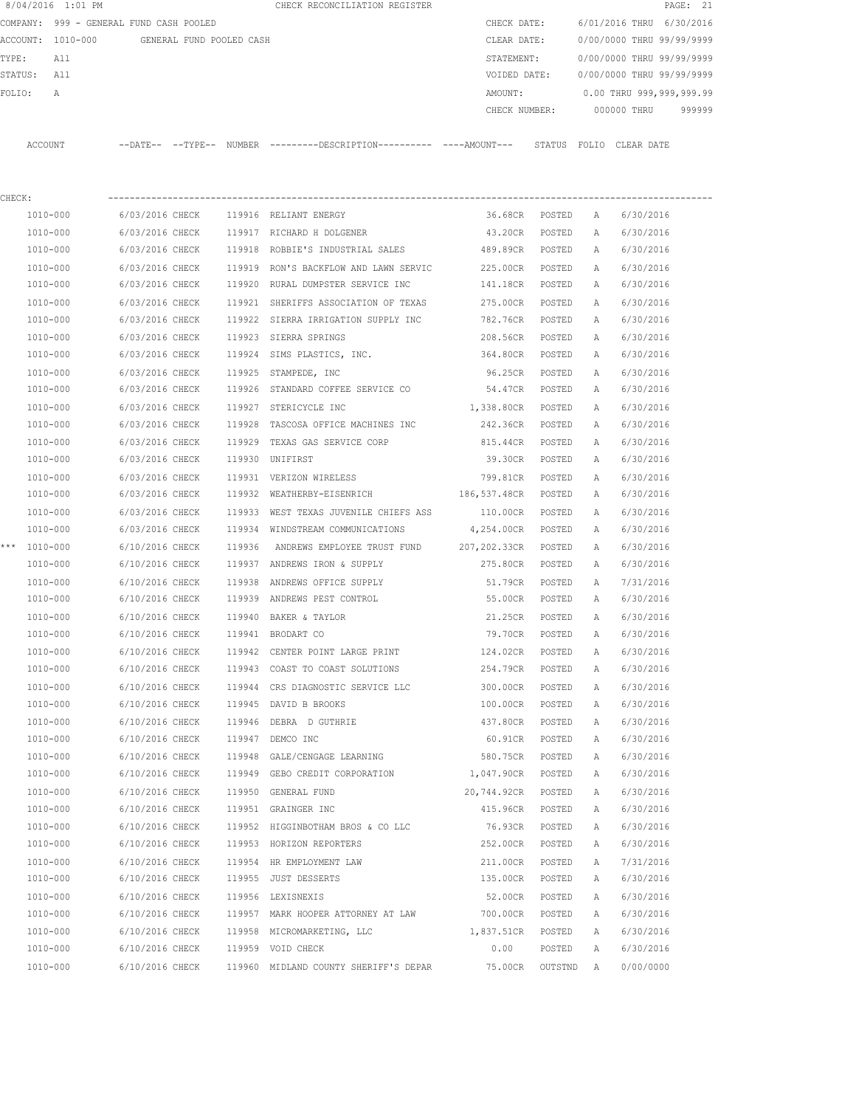|          | 8/04/2016 1:01 PM              |                     |                          |        | CHECK RECONCILIATION REGISTER |               |       |                           | PAGE: 21 |  |
|----------|--------------------------------|---------------------|--------------------------|--------|-------------------------------|---------------|-------|---------------------------|----------|--|
| COMPANY: | 999 - GENERAL FUND CASH POOLED |                     |                          |        |                               | CHECK DATE:   |       | 6/01/2016 THRU 6/30/2016  |          |  |
|          | ACCOUNT: 1010-000              |                     | GENERAL FUND POOLED CASH |        |                               | CLEAR DATE:   |       | 0/00/0000 THRU 99/99/9999 |          |  |
| TYPE:    | All                            |                     |                          |        |                               | STATEMENT:    |       | 0/00/0000 THRU 99/99/9999 |          |  |
| STATUS:  | All                            |                     |                          |        |                               | VOIDED DATE:  |       | 0/00/0000 THRU 99/99/9999 |          |  |
| FOLTO:   | A                              |                     |                          |        |                               | AMOUNT:       |       | 0.00 THRU 999,999,999.99  |          |  |
|          |                                |                     |                          |        |                               | CHECK NUMBER: |       | 000000 THRU               | 999999   |  |
|          |                                |                     |                          |        |                               |               |       |                           |          |  |
| ACCOUNT  |                                | $---DATE---TYPE---$ |                          | NUMBER |                               | STATUS        | FOLIO | CLEAR DATE                |          |  |
|          |                                |                     |                          |        |                               |               |       |                           |          |  |
|          |                                |                     |                          |        |                               |               |       |                           |          |  |

| CHECK: |              |                                       | --------------                                                                          |                     |                  |   |           |
|--------|--------------|---------------------------------------|-----------------------------------------------------------------------------------------|---------------------|------------------|---|-----------|
|        | 1010-000     |                                       | 6/03/2016 CHECK 119916 RELIANT ENERGY                                                   |                     | 36.68CR POSTED A |   | 6/30/2016 |
|        | 1010-000     |                                       | 6/03/2016 CHECK 119917 RICHARD H DOLGENER                                               | 43.20CR             | POSTED           | A | 6/30/2016 |
|        | 1010-000     |                                       | 6/03/2016 CHECK 119918 ROBBIE'S INDUSTRIAL SALES                                        | 489.89CR POSTED     |                  | A | 6/30/2016 |
|        | 1010-000     |                                       | 6/03/2016 CHECK 119919 RON'S BACKFLOW AND LAWN SERVIC                                   | 225.00CR POSTED     |                  | A | 6/30/2016 |
|        | 1010-000     | 6/03/2016 CHECK                       | 119920 RURAL DUMPSTER SERVICE INC                                                       | 141.18CR POSTED     |                  | A | 6/30/2016 |
|        | 1010-000     |                                       | 6/03/2016 CHECK 119921 SHERIFFS ASSOCIATION OF TEXAS                                    | 275.00CR POSTED     |                  | Α | 6/30/2016 |
|        | 1010-000     |                                       | 6/03/2016 CHECK 119922 SIERRA IRRIGATION SUPPLY INC                                     | 782.76CR POSTED     |                  | А | 6/30/2016 |
|        | 1010-000     | 6/03/2016 CHECK 119923 SIERRA SPRINGS |                                                                                         | 208.56CR POSTED     |                  | A | 6/30/2016 |
|        | 1010-000     |                                       | 6/03/2016 CHECK 119924 SIMS PLASTICS, INC. 364.80CR POSTED                              |                     |                  | A | 6/30/2016 |
|        | 1010-000     | 6/03/2016 CHECK 119925 STAMPEDE, INC  |                                                                                         | 96.25CR             | POSTED           | A | 6/30/2016 |
|        | 1010-000     |                                       | 6/03/2016 CHECK 119926 STANDARD COFFEE SERVICE CO                                       | 54.47CR POSTED      |                  | A | 6/30/2016 |
|        | 1010-000     | 6/03/2016 CHECK 119927 STERICYCLE INC |                                                                                         | 1,338.80CR POSTED   |                  | A | 6/30/2016 |
|        | 1010-000     |                                       | 6/03/2016 CHECK 119928 TASCOSA OFFICE MACHINES INC 242.36CR POSTED                      |                     |                  | A | 6/30/2016 |
|        | 1010-000     |                                       | 6/03/2016 CHECK 119929 TEXAS GAS SERVICE CORP                                           | 815.44CR POSTED     |                  | A | 6/30/2016 |
|        | 1010-000     | 6/03/2016 CHECK 119930 UNIFIRST       |                                                                                         | 39.30CR POSTED      |                  | A | 6/30/2016 |
|        | 1010-000     |                                       | 6/03/2016 CHECK 119931 VERIZON WIRELESS                                                 | 799.81CR POSTED     |                  | A | 6/30/2016 |
|        | 1010-000     |                                       | 6/03/2016 CHECK 119932 WEATHERBY-EISENRICH                                              | 186,537.48CR POSTED |                  | A | 6/30/2016 |
|        | 1010-000     |                                       | 6/03/2016 CHECK 119933 WEST TEXAS JUVENILE CHIEFS ASS                                   | 110.00CR POSTED     |                  | A | 6/30/2016 |
|        | 1010-000     |                                       | 6/03/2016 CHECK 119934 WINDSTREAM COMMUNICATIONS                                        | 4,254.00CR POSTED   |                  | A | 6/30/2016 |
|        | *** 1010-000 |                                       | 6/10/2016 CHECK 119936 ANDREWS EMPLOYEE TRUST FUND $207, 202.33$ CR POSTED              |                     |                  | A | 6/30/2016 |
|        | 1010-000     |                                       | 6/10/2016 CHECK 119937 ANDREWS IRON & SUPPLY                                            | 275.80CR POSTED     |                  | A | 6/30/2016 |
|        | 1010-000     |                                       | 6/10/2016 CHECK 119938 ANDREWS OFFICE SUPPLY                                            | 51.79CR             | POSTED           | A | 7/31/2016 |
|        | 1010-000     |                                       | 6/10/2016 CHECK 119939 ANDREWS PEST CONTROL 6/10/2016 CHECK 119939 ANDREWS PEST CONTROL |                     | POSTED           | A | 6/30/2016 |
|        | 1010-000     | 6/10/2016 CHECK 119940 BAKER & TAYLOR |                                                                                         | 21.25CR             | POSTED           | A | 6/30/2016 |
|        | 1010-000     | 6/10/2016 CHECK 119941 BRODART CO     |                                                                                         | 79.70CR             | POSTED           | A | 6/30/2016 |
|        | 1010-000     |                                       | 6/10/2016 CHECK 119942 CENTER POINT LARGE PRINT                                         | 124.02CR POSTED     |                  | A | 6/30/2016 |
|        | 1010-000     |                                       | 6/10/2016 CHECK 119943 COAST TO COAST SOLUTIONS                                         | 254.79CR POSTED     |                  | A | 6/30/2016 |
|        | 1010-000     |                                       | 6/10/2016 CHECK 119944 CRS DIAGNOSTIC SERVICE LLC                                       | 300.00CR POSTED     |                  | Α | 6/30/2016 |
|        | 1010-000     | 6/10/2016 CHECK 119945 DAVID B BROOKS |                                                                                         | 100.00CR POSTED     |                  | Α | 6/30/2016 |
|        | 1010-000     | 6/10/2016 CHECK                       | 119946 DEBRA D GUTHRIE                                                                  | 437.80CR POSTED     |                  | A | 6/30/2016 |
|        | 1010-000     | 6/10/2016 CHECK 119947                | DEMCO INC                                                                               | 60.91CR POSTED      |                  | Α | 6/30/2016 |
|        | 1010-000     | 6/10/2016 CHECK 119948                | GALE/CENGAGE LEARNING                                                                   | 580.75CR POSTED     |                  | A | 6/30/2016 |
|        | 1010-000     |                                       | 6/10/2016 CHECK 119949 GEBO CREDIT CORPORATION 1,047.90CR POSTED                        |                     |                  | A | 6/30/2016 |
|        | 1010-000     | 6/10/2016 CHECK 119950 GENERAL FUND   |                                                                                         | 20,744.92CR POSTED  |                  | A | 6/30/2016 |
|        | 1010-000     | 6/10/2016 CHECK 119951 GRAINGER INC   |                                                                                         | 415.96CR POSTED     |                  | A | 6/30/2016 |
|        | 1010-000     | 6/10/2016 CHECK                       | 119952 HIGGINBOTHAM BROS & CO LLC                                                       | 76.93CR             | POSTED           | А | 6/30/2016 |
|        | 1010-000     | 6/10/2016 CHECK                       | 119953 HORIZON REPORTERS                                                                | 252.00CR            | POSTED           | Α | 6/30/2016 |
|        | 1010-000     | 6/10/2016 CHECK                       | 119954 HR EMPLOYMENT LAW                                                                | 211.00CR            | POSTED           | Α | 7/31/2016 |
|        | 1010-000     | 6/10/2016 CHECK                       | 119955 JUST DESSERTS                                                                    | 135.00CR            | POSTED           | Α | 6/30/2016 |
|        | 1010-000     | 6/10/2016 CHECK                       | 119956 LEXISNEXIS                                                                       | 52.00CR             | POSTED           | Α | 6/30/2016 |
|        | 1010-000     | 6/10/2016 CHECK                       | 119957 MARK HOOPER ATTORNEY AT LAW                                                      | 700.00CR            | POSTED           | А | 6/30/2016 |
|        | 1010-000     | 6/10/2016 CHECK                       | 119958 MICROMARKETING, LLC                                                              | 1,837.51CR          | POSTED           | А | 6/30/2016 |
|        | 1010-000     | 6/10/2016 CHECK                       | 119959 VOID CHECK                                                                       | 0.00                | POSTED           | Α | 6/30/2016 |
|        | 1010-000     | 6/10/2016 CHECK                       | 119960 MIDLAND COUNTY SHERIFF'S DEPAR                                                   | 75.00CR             | OUTSTND          | Α | 0/00/0000 |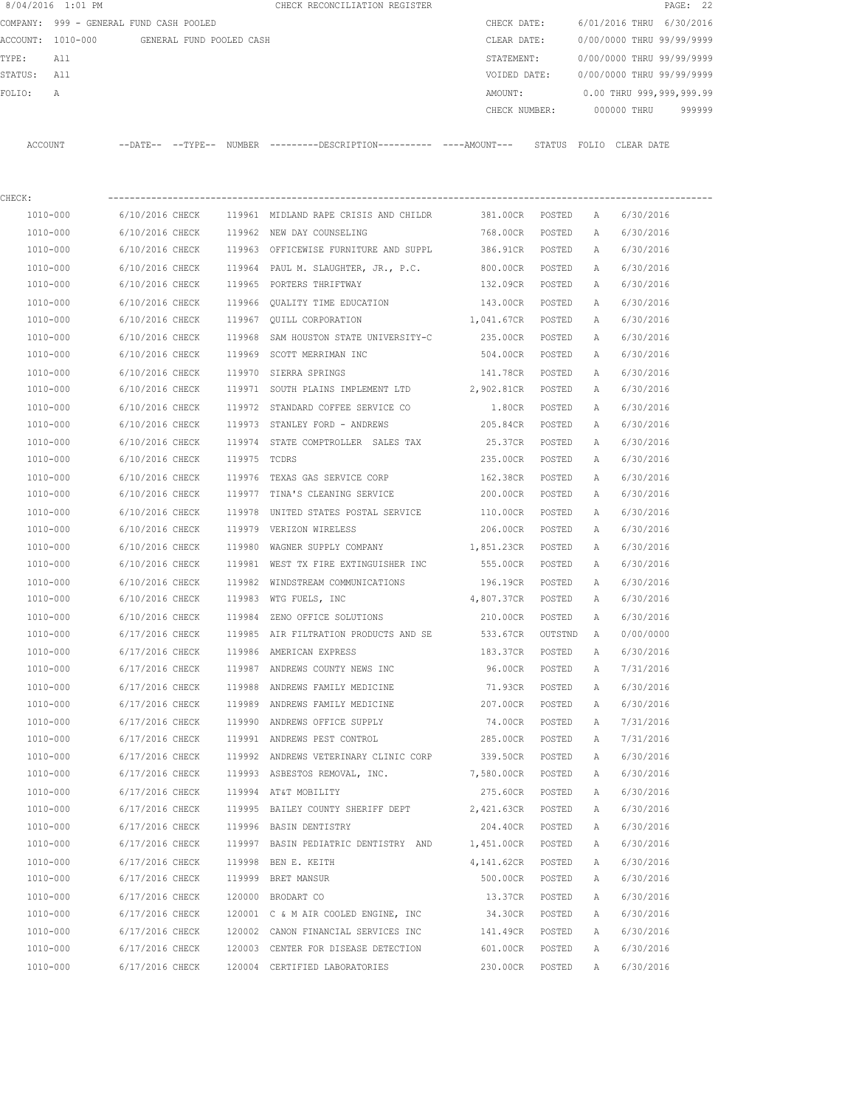|             | 8/04/2016 1:01 PM                       |                 |                          |              | CHECK RECONCILIATION REGISTER                                                                |                   |         |              |                           | PAGE: 22 |
|-------------|-----------------------------------------|-----------------|--------------------------|--------------|----------------------------------------------------------------------------------------------|-------------------|---------|--------------|---------------------------|----------|
|             | COMPANY: 999 - GENERAL FUND CASH POOLED |                 |                          |              |                                                                                              | CHECK DATE:       |         |              | 6/01/2016 THRU 6/30/2016  |          |
|             | ACCOUNT: 1010-000                       |                 | GENERAL FUND POOLED CASH |              |                                                                                              | CLEAR DATE:       |         |              | 0/00/0000 THRU 99/99/9999 |          |
| TYPE:       | All                                     |                 |                          |              |                                                                                              | STATEMENT:        |         |              | 0/00/0000 THRU 99/99/9999 |          |
| STATUS: All |                                         |                 |                          |              |                                                                                              | VOIDED DATE:      |         |              | 0/00/0000 THRU 99/99/9999 |          |
| FOLIO:      | Α                                       |                 |                          |              |                                                                                              | AMOUNT:           |         |              | 0.00 THRU 999,999,999.99  |          |
|             |                                         |                 |                          |              |                                                                                              | CHECK NUMBER:     |         |              | 000000 THRU               | 999999   |
|             | ACCOUNT                                 |                 |                          |              | --DATE-- --TYPE-- NUMBER ---------DESCRIPTION---------- ----AMOUNT--- STATUS FOLIO CLEARDATE |                   |         |              |                           |          |
| CHECK:      |                                         |                 |                          |              |                                                                                              |                   |         |              |                           |          |
|             | 1010-000                                | 6/10/2016 CHECK |                          |              | 119961 MIDLAND RAPE CRISIS AND CHILDR 381.00CR POSTED                                        |                   |         | A            | 6/30/2016                 |          |
|             | 1010-000                                |                 |                          |              | 6/10/2016 CHECK 119962 NEW DAY COUNSELING                                                    | 768.00CR          | POSTED  | A            | 6/30/2016                 |          |
|             | 1010-000                                |                 |                          |              | 6/10/2016 CHECK 119963 OFFICEWISE FURNITURE AND SUPPL                                        | 386.91CR          | POSTED  | A            | 6/30/2016                 |          |
|             | 1010-000                                | 6/10/2016 CHECK |                          |              | 119964 PAUL M. SLAUGHTER, JR., P.C.                                                          | 800.00CR POSTED   |         | Α            | 6/30/2016                 |          |
|             | 1010-000                                | 6/10/2016 CHECK |                          |              | 119965 PORTERS THRIFTWAY                                                                     | 132.09CR POSTED   |         | Α            | 6/30/2016                 |          |
|             | 1010-000                                | 6/10/2016 CHECK |                          |              | 119966 OUALITY TIME EDUCATION                                                                | 143.00CR POSTED   |         | A            | 6/30/2016                 |          |
|             | 1010-000                                | 6/10/2016 CHECK |                          |              | 119967 QUILL CORPORATION                                                                     | 1,041.67CR POSTED |         | Α            | 6/30/2016                 |          |
|             | 1010-000                                | 6/10/2016 CHECK |                          | 119968       | SAM HOUSTON STATE UNIVERSITY-C                                                               | 235.00CR POSTED   |         | A            | 6/30/2016                 |          |
|             | 1010-000                                | 6/10/2016 CHECK |                          |              | 119969 SCOTT MERRIMAN INC                                                                    | 504.00CR POSTED   |         | A            | 6/30/2016                 |          |
|             | 1010-000                                | 6/10/2016 CHECK |                          |              | 119970 SIERRA SPRINGS                                                                        | 141.78CR          | POSTED  | A            | 6/30/2016                 |          |
|             | 1010-000                                | 6/10/2016 CHECK |                          |              | 119971 SOUTH PLAINS IMPLEMENT LTD 2,902.81CR POSTED                                          |                   |         | А            | 6/30/2016                 |          |
|             | 1010-000                                | 6/10/2016 CHECK |                          |              | 119972 STANDARD COFFEE SERVICE CO                                                            | 1.80CR            | POSTED  | Α            | 6/30/2016                 |          |
|             | 1010-000                                | 6/10/2016 CHECK |                          |              | 119973 STANLEY FORD - ANDREWS                                                                | 205.84CR          | POSTED  | А            | 6/30/2016                 |          |
|             | 1010-000                                | 6/10/2016 CHECK |                          |              | 119974 STATE COMPTROLLER SALES TAX                                                           | 25.37CR           | POSTED  | A            | 6/30/2016                 |          |
|             | 1010-000                                | 6/10/2016 CHECK |                          | 119975 TCDRS |                                                                                              | 235.00CR          | POSTED  | А            | 6/30/2016                 |          |
|             | 1010-000                                | 6/10/2016 CHECK |                          |              | 119976 TEXAS GAS SERVICE CORP                                                                | 162.38CR          | POSTED  | Α            | 6/30/2016                 |          |
|             | 1010-000                                | 6/10/2016 CHECK |                          |              | 119977 TINA'S CLEANING SERVICE                                                               | 200.00CR          | POSTED  | Α            | 6/30/2016                 |          |
|             | 1010-000                                | 6/10/2016 CHECK |                          |              | 119978 UNITED STATES POSTAL SERVICE                                                          | 110.00CR POSTED   |         | Α            | 6/30/2016                 |          |
|             | 1010-000                                | 6/10/2016 CHECK |                          |              | 119979 VERIZON WIRELESS                                                                      | 206.00CR POSTED   |         | A            | 6/30/2016                 |          |
|             | 1010-000                                | 6/10/2016 CHECK |                          | 119980       | WAGNER SUPPLY COMPANY                                                                        | 1,851.23CR POSTED |         | A            | 6/30/2016                 |          |
|             | 1010-000                                | 6/10/2016 CHECK |                          |              | 119981 WEST TX FIRE EXTINGUISHER INC                                                         | 555.00CR POSTED   |         | А            | 6/30/2016                 |          |
|             | 1010-000                                | 6/10/2016 CHECK |                          |              | 119982 WINDSTREAM COMMUNICATIONS                                                             | 196.19CR          | POSTED  | A            | 6/30/2016                 |          |
|             | 1010-000                                | 6/10/2016 CHECK |                          |              | 119983 WTG FUELS, INC                                                                        | 4,807.37CR POSTED |         | A            | 6/30/2016                 |          |
|             | 1010-000                                | 6/10/2016 CHECK |                          |              | 119984 ZENO OFFICE SOLUTIONS                                                                 | 210.00CR          | POSTED  | $\mathbb{A}$ | 6/30/2016                 |          |
|             | 1010-000                                | 6/17/2016 CHECK |                          |              | 119985 AIR FILTRATION PRODUCTS AND SE                                                        | 533.67CR          | OUTSTND | $\mathbf{A}$ | 0/00/0000                 |          |
|             | 1010-000                                | 6/17/2016 CHECK |                          |              | 119986 AMERICAN EXPRESS                                                                      | 183.37CR          | POSTED  | Α            | 6/30/2016                 |          |
|             | 1010-000                                | 6/17/2016 CHECK |                          |              | 119987 ANDREWS COUNTY NEWS INC                                                               | 96.00CR           | POSTED  | Α            | 7/31/2016                 |          |
|             | 1010-000                                | 6/17/2016 CHECK |                          |              | 119988 ANDREWS FAMILY MEDICINE                                                               | 71.93CR           | POSTED  | Α            | 6/30/2016                 |          |
|             | 1010-000                                | 6/17/2016 CHECK |                          |              | 119989 ANDREWS FAMILY MEDICINE                                                               | 207.00CR          | POSTED  | Α            | 6/30/2016                 |          |
|             | 1010-000                                | 6/17/2016 CHECK |                          |              | 119990 ANDREWS OFFICE SUPPLY                                                                 | 74.00CR           | POSTED  | Α            | 7/31/2016                 |          |
|             | 1010-000                                | 6/17/2016 CHECK |                          |              | 119991 ANDREWS PEST CONTROL                                                                  | 285.00CR          | POSTED  | Α            | 7/31/2016                 |          |
|             | 1010-000                                | 6/17/2016 CHECK |                          |              | 119992 ANDREWS VETERINARY CLINIC CORP                                                        | 339.50CR          | POSTED  | Α            | 6/30/2016                 |          |
|             | 1010-000                                | 6/17/2016 CHECK |                          |              | 119993 ASBESTOS REMOVAL, INC.                                                                | 7,580.00CR        | POSTED  | Α            | 6/30/2016                 |          |
|             | $1010 - 000$                            | 6/17/2016 CHECK |                          |              | 119994 AT&T MOBILITY                                                                         | 275.60CR          | POSTED  | Α            | 6/30/2016                 |          |
|             | 1010-000                                | 6/17/2016 CHECK |                          |              | 119995 BAILEY COUNTY SHERIFF DEPT 2,421.63CR                                                 |                   | POSTED  | Α            | 6/30/2016                 |          |
|             | 1010-000                                | 6/17/2016 CHECK |                          |              | 119996 BASIN DENTISTRY                                                                       | 204.40CR          | POSTED  | Α            | 6/30/2016                 |          |
|             | 1010-000                                | 6/17/2016 CHECK |                          |              | 119997 BASIN PEDIATRIC DENTISTRY AND                                                         | 1,451.00CR        | POSTED  | Α            | 6/30/2016                 |          |
|             | 1010-000                                | 6/17/2016 CHECK |                          |              | 119998 BEN E. KEITH                                                                          | 4,141.62CR        | POSTED  | Α            | 6/30/2016                 |          |
|             | 1010-000                                | 6/17/2016 CHECK |                          |              | 119999 BRET MANSUR                                                                           | 500.00CR          | POSTED  | Α            | 6/30/2016                 |          |
|             | 1010-000                                | 6/17/2016 CHECK |                          |              | 120000 BRODART CO                                                                            | 13.37CR           | POSTED  | Α            | 6/30/2016                 |          |
|             | 1010-000                                | 6/17/2016 CHECK |                          |              | 120001 C & M AIR COOLED ENGINE, INC                                                          | 34.30CR           | POSTED  | Α            | 6/30/2016                 |          |
|             | 1010-000                                | 6/17/2016 CHECK |                          |              | 120002 CANON FINANCIAL SERVICES INC                                                          | 141.49CR          | POSTED  | Α            | 6/30/2016                 |          |
|             | 1010-000                                | 6/17/2016 CHECK |                          |              | 120003 CENTER FOR DISEASE DETECTION                                                          | 601.00CR          | POSTED  | Α            | 6/30/2016                 |          |
|             | 1010-000                                | 6/17/2016 CHECK |                          |              | 120004 CERTIFIED LABORATORIES                                                                | 230.00CR          | POSTED  | Α            | 6/30/2016                 |          |
|             |                                         |                 |                          |              |                                                                                              |                   |         |              |                           |          |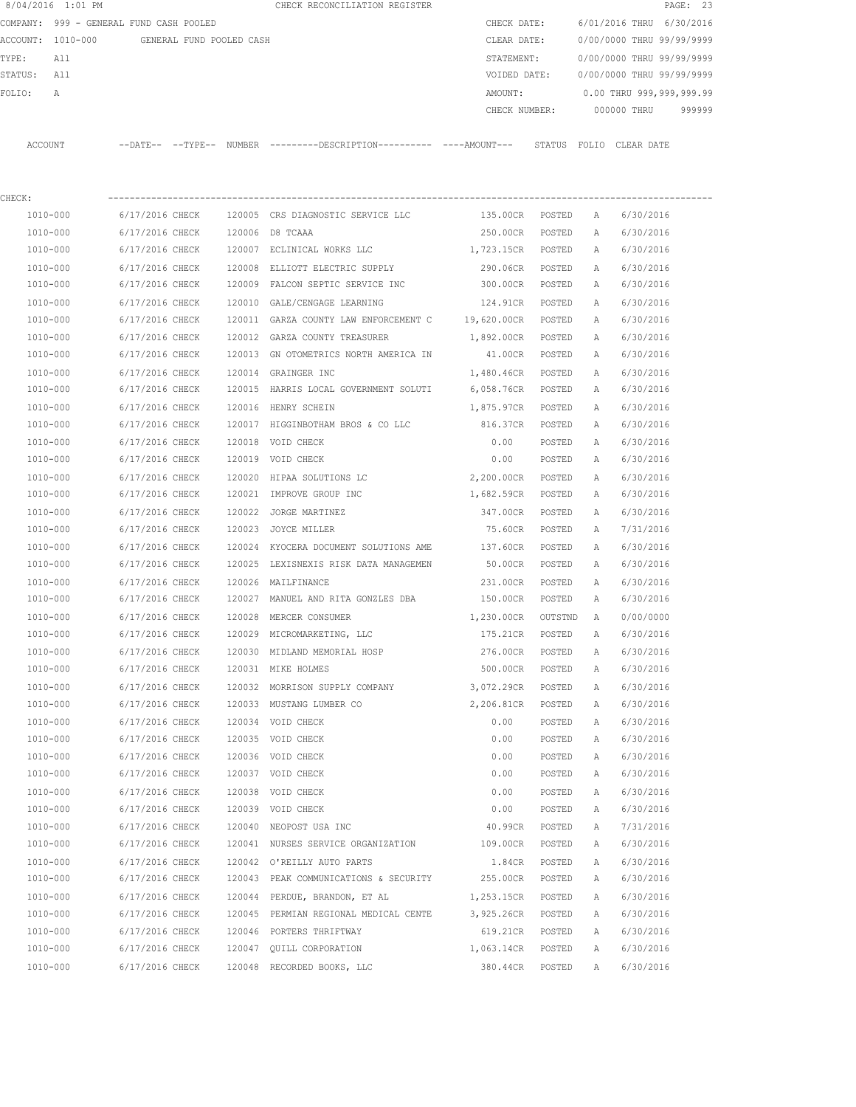|                                   | 8/04/2016 1:01 PM                       |                 |                          |        | CHECK RECONCILIATION REGISTER                                                                |                 |         |                           |                           | PAGE: 23 |  |  |
|-----------------------------------|-----------------------------------------|-----------------|--------------------------|--------|----------------------------------------------------------------------------------------------|-----------------|---------|---------------------------|---------------------------|----------|--|--|
|                                   | COMPANY: 999 - GENERAL FUND CASH POOLED |                 |                          |        |                                                                                              | CHECK DATE:     |         | 6/01/2016 THRU 6/30/2016  |                           |          |  |  |
| ACCOUNT: 1010-000<br>TYPE:<br>All |                                         |                 | GENERAL FUND POOLED CASH |        |                                                                                              | CLEAR DATE:     |         | 0/00/0000 THRU 99/99/9999 |                           |          |  |  |
|                                   |                                         |                 |                          |        |                                                                                              | STATEMENT:      |         | 0/00/0000 THRU 99/99/9999 |                           |          |  |  |
| STATUS:                           | All                                     |                 |                          |        |                                                                                              | VOIDED DATE:    |         |                           | 0/00/0000 THRU 99/99/9999 |          |  |  |
| FOLIO:                            | А                                       |                 |                          |        |                                                                                              | AMOUNT:         |         |                           | 0.00 THRU 999,999,999.99  |          |  |  |
|                                   |                                         |                 |                          |        |                                                                                              | CHECK NUMBER:   |         |                           | 000000 THRU               | 999999   |  |  |
|                                   | ACCOUNT                                 |                 |                          |        | --DATE-- --TYPE-- NUMBER ---------DESCRIPTION---------- ----AMOUNT--- STATUS FOLIO CLEARDATE |                 |         |                           |                           |          |  |  |
| CHECK:                            |                                         |                 |                          |        |                                                                                              |                 |         |                           |                           |          |  |  |
|                                   | 1010-000                                | 6/17/2016 CHECK |                          |        | 120005 CRS DIAGNOSTIC SERVICE LLC                                                            | 135.00CR POSTED |         | А                         | 6/30/2016                 |          |  |  |
|                                   | 1010-000                                | 6/17/2016 CHECK |                          |        | 120006 D8 TCAAA                                                                              | 250.00CR        | POSTED  | A                         | 6/30/2016                 |          |  |  |
|                                   | 1010-000                                | 6/17/2016 CHECK |                          |        | 120007 ECLINICAL WORKS LLC                                                                   | 1,723.15CR      | POSTED  | A                         | 6/30/2016                 |          |  |  |
|                                   | 1010-000                                | 6/17/2016 CHECK |                          | 120008 | ELLIOTT ELECTRIC SUPPLY                                                                      | 290.06CR        | POSTED  | А                         | 6/30/2016                 |          |  |  |
|                                   | 1010-000                                | 6/17/2016 CHECK |                          |        | 120009 FALCON SEPTIC SERVICE INC                                                             | 300.00CR        | POSTED  | А                         | 6/30/2016                 |          |  |  |
|                                   | 1010-000                                | 6/17/2016 CHECK |                          |        | 120010 GALE/CENGAGE LEARNING                                                                 | 124.91CR        | POSTED  | Α                         | 6/30/2016                 |          |  |  |
|                                   | 1010-000                                | 6/17/2016 CHECK |                          |        | 120011 GARZA COUNTY LAW ENFORCEMENT C 19,620.00CR                                            |                 | POSTED  | Α                         | 6/30/2016                 |          |  |  |
|                                   | 1010-000                                | 6/17/2016 CHECK |                          |        | 120012 GARZA COUNTY TREASURER                                                                | 1,892.00CR      | POSTED  | Α                         | 6/30/2016                 |          |  |  |
|                                   | 1010-000                                | 6/17/2016 CHECK |                          |        | 120013 GN OTOMETRICS NORTH AMERICA IN                                                        | 41.00CR         | POSTED  | А                         | 6/30/2016                 |          |  |  |
|                                   | 1010-000                                | 6/17/2016 CHECK |                          |        | 120014 GRAINGER INC                                                                          | 1,480.46CR      | POSTED  | Α                         | 6/30/2016                 |          |  |  |
|                                   | 1010-000                                | 6/17/2016 CHECK |                          |        | 120015 HARRIS LOCAL GOVERNMENT SOLUTI 6,058.76CR                                             |                 | POSTED  | Α                         | 6/30/2016                 |          |  |  |
|                                   | 1010-000                                | 6/17/2016 CHECK |                          |        | 120016 HENRY SCHEIN                                                                          | 1,875.97CR      | POSTED  | Α                         | 6/30/2016                 |          |  |  |
|                                   | 1010-000                                | 6/17/2016 CHECK |                          |        | 120017 HIGGINBOTHAM BROS & CO LLC                                                            | 816.37CR        | POSTED  | Α                         | 6/30/2016                 |          |  |  |
|                                   | 1010-000                                | 6/17/2016 CHECK |                          | 120018 | VOID CHECK                                                                                   | 0.00            | POSTED  | Α                         | 6/30/2016                 |          |  |  |
|                                   | 1010-000                                | 6/17/2016 CHECK |                          |        | 120019 VOID CHECK                                                                            | 0.00            | POSTED  | A                         | 6/30/2016                 |          |  |  |
|                                   | 1010-000                                | 6/17/2016 CHECK |                          | 120020 | HIPAA SOLUTIONS LC                                                                           | 2,200.00CR      | POSTED  | Α                         | 6/30/2016                 |          |  |  |
|                                   | 1010-000                                | 6/17/2016 CHECK |                          | 120021 | IMPROVE GROUP INC                                                                            | 1,682.59CR      | POSTED  | Α                         | 6/30/2016                 |          |  |  |
|                                   | 1010-000                                | 6/17/2016 CHECK |                          | 120022 | JORGE MARTINEZ                                                                               | 347.00CR        | POSTED  | Α                         | 6/30/2016                 |          |  |  |
|                                   | 1010-000                                | 6/17/2016 CHECK |                          | 120023 | JOYCE MILLER                                                                                 | 75.60CR         | POSTED  | А                         | 7/31/2016                 |          |  |  |
|                                   | 1010-000                                | 6/17/2016 CHECK |                          | 120024 | KYOCERA DOCUMENT SOLUTIONS AME                                                               | 137.60CR        | POSTED  | Α                         | 6/30/2016                 |          |  |  |
|                                   | 1010-000                                | 6/17/2016 CHECK |                          |        | 120025 LEXISNEXIS RISK DATA MANAGEMEN                                                        | 50.00CR         | POSTED  | Α                         | 6/30/2016                 |          |  |  |
|                                   | 1010-000                                | 6/17/2016 CHECK |                          |        | 120026 MAILFINANCE                                                                           | 231.00CR        | POSTED  | Α                         | 6/30/2016                 |          |  |  |
|                                   | 1010-000                                | 6/17/2016 CHECK |                          |        | 120027 MANUEL AND RITA GONZLES DBA                                                           | 150.00CR        | POSTED  | Α                         | 6/30/2016                 |          |  |  |
|                                   | 1010-000                                | 6/17/2016 CHECK |                          |        | 120028 MERCER CONSUMER                                                                       | 1,230.00CR      | OUTSTND | A                         | 0/00/0000                 |          |  |  |
|                                   | 1010-000                                | 6/17/2016 CHECK |                          |        | 120029 MICROMARKETING, LLC                                                                   | 175.21CR        | POSTED  | Α                         | 6/30/2016                 |          |  |  |
|                                   | 1010-000                                | 6/17/2016 CHECK |                          |        | 120030 MIDLAND MEMORIAL HOSP                                                                 | 276.00CR        | POSTED  | Α                         | 6/30/2016                 |          |  |  |
|                                   | 1010-000                                | 6/17/2016 CHECK |                          |        | 120031 MIKE HOLMES                                                                           | 500.00CR        | POSTED  | Α                         | 6/30/2016                 |          |  |  |
|                                   | 1010-000                                | 6/17/2016 CHECK |                          |        | 120032 MORRISON SUPPLY COMPANY                                                               | 3,072.29CR      | POSTED  | Α                         | 6/30/2016                 |          |  |  |
|                                   | 1010-000                                | 6/17/2016 CHECK |                          |        | 120033 MUSTANG LUMBER CO                                                                     | 2,206.81CR      | POSTED  | Α                         | 6/30/2016                 |          |  |  |
|                                   | 1010-000                                | 6/17/2016 CHECK |                          |        | 120034 VOID CHECK                                                                            | 0.00            | POSTED  | Α                         | 6/30/2016                 |          |  |  |
|                                   | 1010-000                                | 6/17/2016 CHECK |                          |        | 120035 VOID CHECK                                                                            | 0.00            | POSTED  | Α                         | 6/30/2016                 |          |  |  |
|                                   | 1010-000                                | 6/17/2016 CHECK |                          |        | 120036 VOID CHECK                                                                            | 0.00            | POSTED  | Α                         | 6/30/2016                 |          |  |  |
|                                   | 1010-000                                | 6/17/2016 CHECK |                          |        | 120037 VOID CHECK                                                                            | 0.00            | POSTED  | Α                         | 6/30/2016                 |          |  |  |
|                                   | 1010-000                                | 6/17/2016 CHECK |                          |        | 120038 VOID CHECK                                                                            | 0.00            | POSTED  | Α                         | 6/30/2016                 |          |  |  |
|                                   | 1010-000                                | 6/17/2016 CHECK |                          |        | 120039 VOID CHECK                                                                            | 0.00            | POSTED  | Α                         | 6/30/2016                 |          |  |  |
|                                   | 1010-000                                | 6/17/2016 CHECK |                          |        | 120040 NEOPOST USA INC                                                                       | 40.99CR         | POSTED  | Α                         | 7/31/2016                 |          |  |  |
|                                   | 1010-000                                | 6/17/2016 CHECK |                          |        | 120041 NURSES SERVICE ORGANIZATION                                                           | 109.00CR        | POSTED  | Α                         | 6/30/2016                 |          |  |  |
|                                   | 1010-000                                | 6/17/2016 CHECK |                          |        | 120042 O'REILLY AUTO PARTS                                                                   | 1.84CR          | POSTED  | Α                         | 6/30/2016                 |          |  |  |
|                                   | 1010-000                                | 6/17/2016 CHECK |                          |        | 120043 PEAK COMMUNICATIONS & SECURITY                                                        | 255.00CR        | POSTED  | Α                         | 6/30/2016                 |          |  |  |
|                                   | 1010-000                                | 6/17/2016 CHECK |                          |        | 120044 PERDUE, BRANDON, ET AL                                                                | 1,253.15CR      | POSTED  | Α                         | 6/30/2016                 |          |  |  |
|                                   | 1010-000                                | 6/17/2016 CHECK |                          |        | 120045 PERMIAN REGIONAL MEDICAL CENTE                                                        | 3,925.26CR      | POSTED  | Α                         | 6/30/2016                 |          |  |  |
|                                   | 1010-000                                | 6/17/2016 CHECK |                          |        | 120046 PORTERS THRIFTWAY                                                                     | 619.21CR        | POSTED  | Α                         | 6/30/2016                 |          |  |  |
|                                   | 1010-000                                | 6/17/2016 CHECK |                          |        | 120047 QUILL CORPORATION                                                                     | 1,063.14CR      | POSTED  | Α                         | 6/30/2016                 |          |  |  |
|                                   | 1010-000                                | 6/17/2016 CHECK |                          |        | 120048 RECORDED BOOKS, LLC                                                                   | 380.44CR POSTED |         | Α                         | 6/30/2016                 |          |  |  |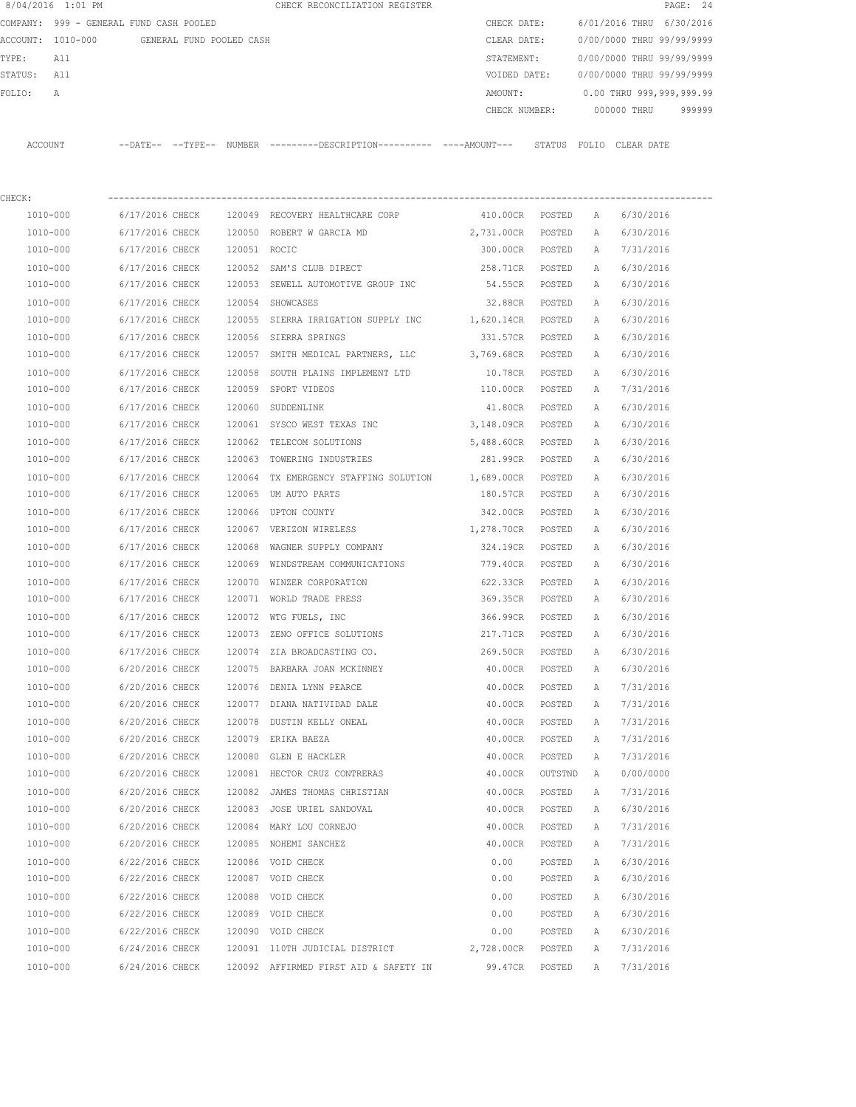|                                            | 8/04/2016 1:01 PM |                              |  |        | CHECK RECONCILIATION REGISTER                                                               |                   |               |                           |                           | PAGE: 24 |  |  |
|--------------------------------------------|-------------------|------------------------------|--|--------|---------------------------------------------------------------------------------------------|-------------------|---------------|---------------------------|---------------------------|----------|--|--|
| COMPANY: 999 - GENERAL FUND CASH POOLED    |                   |                              |  |        |                                                                                             |                   | CHECK DATE:   | 6/01/2016 THRU 6/30/2016  |                           |          |  |  |
| ACCOUNT: 1010-000 GENERAL FUND POOLED CASH |                   |                              |  |        |                                                                                             | CLEAR DATE:       |               | 0/00/0000 THRU 99/99/9999 |                           |          |  |  |
| TYPE:<br>All                               |                   |                              |  |        |                                                                                             | STATEMENT:        |               | 0/00/0000 THRU 99/99/9999 |                           |          |  |  |
| STATUS: All                                |                   |                              |  |        |                                                                                             | VOIDED DATE:      |               |                           | 0/00/0000 THRU 99/99/9999 |          |  |  |
| FOLIO:                                     | Α                 |                              |  |        |                                                                                             | AMOUNT:           |               |                           | 0.00 THRU 999,999,999.99  |          |  |  |
|                                            |                   |                              |  |        |                                                                                             | CHECK NUMBER:     |               |                           | 000000 THRU               | 999999   |  |  |
|                                            | ACCOUNT           |                              |  |        | --DATE-- --TYPE-- NUMBER ---------DESCRIPTION--------- ----AMOUNT--- STATUS FOLIO CLEARDATE |                   |               |                           |                           |          |  |  |
| CHECK:                                     |                   |                              |  |        |                                                                                             |                   |               |                           |                           |          |  |  |
|                                            | 1010-000          |                              |  |        | 6/17/2016 CHECK 120049 RECOVERY HEALTHCARE CORP                                             | 410.00CR POSTED   |               | A                         | 6/30/2016                 |          |  |  |
|                                            | 1010-000          |                              |  |        | 6/17/2016 CHECK 120050 ROBERT W GARCIA MD                                                   | 2,731.00CR        | POSTED        | A                         | 6/30/2016                 |          |  |  |
|                                            | 1010-000          | 6/17/2016 CHECK 120051 ROCIC |  |        |                                                                                             | 300.00CR          | POSTED        | A                         | 7/31/2016                 |          |  |  |
|                                            | 1010-000          | 6/17/2016 CHECK              |  |        | 120052 SAM'S CLUB DIRECT                                                                    | 258.71CR POSTED   |               | A                         | 6/30/2016                 |          |  |  |
|                                            | 1010-000          | 6/17/2016 CHECK              |  |        | 120053 SEWELL AUTOMOTIVE GROUP INC                                                          | 54.55CR POSTED    |               | A                         | 6/30/2016                 |          |  |  |
|                                            | 1010-000          | 6/17/2016 CHECK              |  |        | 120054 SHOWCASES                                                                            | 32.88CR POSTED    |               | A                         | 6/30/2016                 |          |  |  |
|                                            | 1010-000          | 6/17/2016 CHECK              |  |        | 120055 SIERRA IRRIGATION SUPPLY INC                                                         | 1,620.14CR POSTED |               | A                         | 6/30/2016                 |          |  |  |
|                                            | 1010-000          | 6/17/2016 CHECK              |  |        | 120056 SIERRA SPRINGS                                                                       | 331.57CR POSTED   |               | A                         | 6/30/2016                 |          |  |  |
|                                            | 1010-000          | 6/17/2016 CHECK              |  |        | 120057 SMITH MEDICAL PARTNERS, LLC                                                          | 3,769.68CR POSTED |               | A                         | 6/30/2016                 |          |  |  |
|                                            | 1010-000          | 6/17/2016 CHECK              |  | 120058 | SOUTH PLAINS IMPLEMENT LTD                                                                  | 10.78CR           | POSTED        | A                         | 6/30/2016                 |          |  |  |
|                                            | 1010-000          | 6/17/2016 CHECK              |  |        | 120059 SPORT VIDEOS                                                                         | 110.00CR          | POSTED        | А                         | 7/31/2016                 |          |  |  |
|                                            | 1010-000          | 6/17/2016 CHECK              |  |        | 120060 SUDDENLINK                                                                           | 41.80CR POSTED    |               | A                         | 6/30/2016                 |          |  |  |
|                                            | 1010-000          | 6/17/2016 CHECK              |  |        | 120061 SYSCO WEST TEXAS INC                                                                 | 3,148.09CR POSTED |               | A                         | 6/30/2016                 |          |  |  |
|                                            | 1010-000          | 6/17/2016 CHECK              |  |        | 120062 TELECOM SOLUTIONS                                                                    | 5,488.60CR POSTED |               | A                         | 6/30/2016                 |          |  |  |
|                                            | 1010-000          | 6/17/2016 CHECK              |  |        | 120063 TOWERING INDUSTRIES                                                                  | 281.99CR POSTED   |               | A                         | 6/30/2016                 |          |  |  |
|                                            | 1010-000          | 6/17/2016 CHECK              |  |        | 120064 TX EMERGENCY STAFFING SOLUTION                                                       | 1,689.00CR POSTED |               | Α                         | 6/30/2016                 |          |  |  |
|                                            | 1010-000          | 6/17/2016 CHECK              |  |        | 120065 UM AUTO PARTS                                                                        | 180.57CR POSTED   |               | Α                         | 6/30/2016                 |          |  |  |
|                                            | 1010-000          | 6/17/2016 CHECK              |  |        | 120066 UPTON COUNTY                                                                         | 342.00CR POSTED   |               | Α                         | 6/30/2016                 |          |  |  |
|                                            | 1010-000          | 6/17/2016 CHECK              |  |        | 120067 VERIZON WIRELESS                                                                     | 1,278.70CR POSTED |               | $\mathbb{A}$              | 6/30/2016                 |          |  |  |
|                                            | 1010-000          | 6/17/2016 CHECK              |  | 120068 | WAGNER SUPPLY COMPANY                                                                       | 324.19CR          | POSTED        | A                         | 6/30/2016                 |          |  |  |
|                                            | 1010-000          | 6/17/2016 CHECK              |  |        | 120069 WINDSTREAM COMMUNICATIONS                                                            | 779.40CR          | POSTED        | A                         | 6/30/2016                 |          |  |  |
|                                            | 1010-000          | 6/17/2016 CHECK              |  |        | 120070 WINZER CORPORATION                                                                   | 622.33CR          | POSTED        | A                         | 6/30/2016                 |          |  |  |
|                                            | 1010-000          | 6/17/2016 CHECK              |  |        | 120071 WORLD TRADE PRESS                                                                    | 369.35CR POSTED   |               | A                         | 6/30/2016                 |          |  |  |
|                                            | 1010-000          | 6/17/2016 CHECK              |  |        | 120072 WTG FUELS, INC                                                                       | 366.99CR          | POSTED        | A                         | 6/30/2016                 |          |  |  |
|                                            | 1010-000          | 6/17/2016 CHECK              |  |        | 120073 ZENO OFFICE SOLUTIONS                                                                | 217.71CR          | POSTED        | Α                         | 6/30/2016                 |          |  |  |
|                                            | 1010-000          | 6/17/2016 CHECK              |  |        | 120074 ZIA BROADCASTING CO.                                                                 | 269.50CR          | POSTED        | Α                         | 6/30/2016                 |          |  |  |
|                                            | 1010-000          | 6/20/2016 CHECK              |  |        | 120075 BARBARA JOAN MCKINNEY                                                                | 40.00CR           | $\tt{POSTED}$ | Α                         | 6/30/2016                 |          |  |  |
|                                            | 1010-000          | 6/20/2016 CHECK              |  |        | 120076 DENIA LYNN PEARCE                                                                    | 40.00CR           | POSTED        | Α                         | 7/31/2016                 |          |  |  |
|                                            | 1010-000          | 6/20/2016 CHECK              |  |        | 120077 DIANA NATIVIDAD DALE                                                                 | 40.00CR           | POSTED        | Α                         | 7/31/2016                 |          |  |  |
|                                            | 1010-000          | 6/20/2016 CHECK              |  |        | 120078 DUSTIN KELLY ONEAL                                                                   | 40.00CR           | POSTED        | Α                         | 7/31/2016                 |          |  |  |
|                                            | 1010-000          | 6/20/2016 CHECK              |  |        | 120079 ERIKA BAEZA                                                                          | 40.00CR           | POSTED        | Α                         | 7/31/2016                 |          |  |  |
|                                            | 1010-000          | 6/20/2016 CHECK              |  |        | 120080 GLEN E HACKLER                                                                       | 40.00CR           | POSTED        | Α                         | 7/31/2016                 |          |  |  |
|                                            | 1010-000          | 6/20/2016 CHECK              |  |        | 120081 HECTOR CRUZ CONTRERAS                                                                | 40.00CR           | OUTSTND       | Α                         | 0/00/0000                 |          |  |  |
|                                            | 1010-000          | 6/20/2016 CHECK              |  |        | 120082 JAMES THOMAS CHRISTIAN                                                               | 40.00CR           | POSTED        | Α                         | 7/31/2016                 |          |  |  |
|                                            | 1010-000          | 6/20/2016 CHECK              |  |        | 120083 JOSE URIEL SANDOVAL                                                                  | 40.00CR           | POSTED        | Α                         | 6/30/2016                 |          |  |  |
|                                            | 1010-000          | 6/20/2016 CHECK              |  |        | 120084 MARY LOU CORNEJO                                                                     | 40.00CR           | POSTED        | Α                         | 7/31/2016                 |          |  |  |
|                                            | 1010-000          | 6/20/2016 CHECK              |  |        | 120085 NOHEMI SANCHEZ                                                                       | 40.00CR           | POSTED        | Α                         | 7/31/2016                 |          |  |  |
|                                            | 1010-000          | 6/22/2016 CHECK              |  |        | 120086 VOID CHECK                                                                           | 0.00              | POSTED        | Α                         | 6/30/2016                 |          |  |  |
|                                            | 1010-000          | 6/22/2016 CHECK              |  |        | 120087 VOID CHECK                                                                           | 0.00              | POSTED        | Α                         | 6/30/2016                 |          |  |  |
|                                            | 1010-000          | 6/22/2016 CHECK              |  |        | 120088 VOID CHECK                                                                           | 0.00              | POSTED        | Α                         | 6/30/2016                 |          |  |  |
|                                            | 1010-000          | 6/22/2016 CHECK              |  |        | 120089 VOID CHECK                                                                           | 0.00              | POSTED        | Α                         | 6/30/2016                 |          |  |  |
|                                            | 1010-000          | 6/22/2016 CHECK              |  |        | 120090 VOID CHECK                                                                           | 0.00              | POSTED        | Α                         | 6/30/2016                 |          |  |  |
|                                            | 1010-000          | 6/24/2016 CHECK              |  |        | 120091 110TH JUDICIAL DISTRICT                                                              | 2,728.00CR        | POSTED        | Α                         | 7/31/2016                 |          |  |  |
|                                            | 1010-000          | 6/24/2016 CHECK              |  |        | 120092 AFFIRMED FIRST AID & SAFETY IN                                                       | 99.47CR           | POSTED        | Α                         | 7/31/2016                 |          |  |  |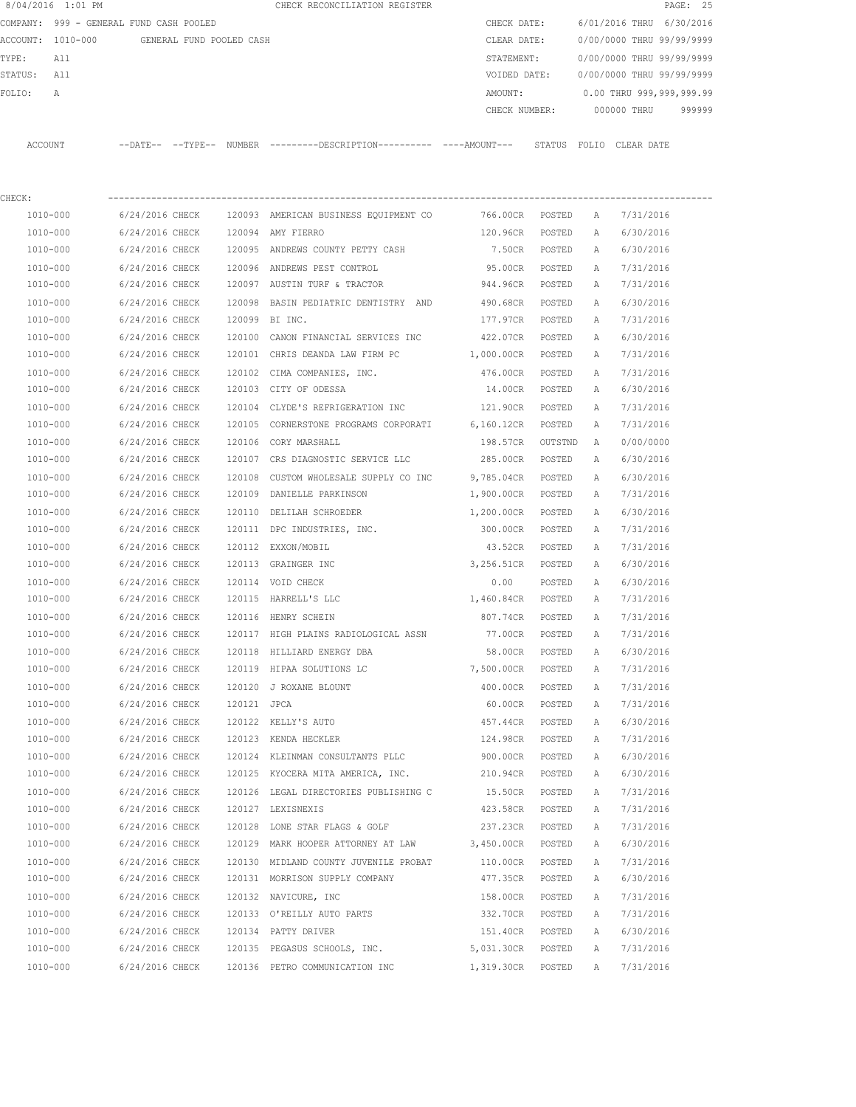|         | 8/04/2016 1:01 PM                       |                     |                          |        | CHECK RECONCILIATION REGISTER                |             |               |                  |                           | PAGE: 25 |        |
|---------|-----------------------------------------|---------------------|--------------------------|--------|----------------------------------------------|-------------|---------------|------------------|---------------------------|----------|--------|
|         | COMPANY: 999 - GENERAL FUND CASH POOLED |                     |                          |        |                                              | CHECK DATE: |               |                  | 6/01/2016 THRU 6/30/2016  |          |        |
|         | ACCOUNT: 1010-000                       |                     | GENERAL FUND POOLED CASH |        |                                              | CLEAR DATE: |               |                  | 0/00/0000 THRU 99/99/9999 |          |        |
| TYPE:   | All                                     |                     |                          |        |                                              | STATEMENT:  |               |                  | 0/00/0000 THRU 99/99/9999 |          |        |
| STATUS: | All                                     |                     |                          |        |                                              |             | VOIDED DATE:  |                  | 0/00/0000 THRU 99/99/9999 |          |        |
| FOLIO:  | $\mathbb{A}$                            |                     |                          |        |                                              | AMOUNT:     |               |                  | 0.00 THRU 999,999,999.99  |          |        |
|         |                                         |                     |                          |        |                                              |             | CHECK NUMBER: |                  | 000000 THRU               |          | 999999 |
|         |                                         |                     |                          |        |                                              |             |               |                  |                           |          |        |
| ACCOUNT |                                         | $---DATE---TYPE---$ |                          | NUMBER | ---------DESCRIPTION---------- ----AMOUNT--- |             | STATUS        | FOLIO CLEAR DATE |                           |          |        |
|         |                                         |                     |                          |        |                                              |             |               |                  |                           |          |        |
|         |                                         |                     |                          |        |                                              |             |               |                  |                           |          |        |

| CHECK:   |                                       |                |                                                                         |                   |        |   |           |
|----------|---------------------------------------|----------------|-------------------------------------------------------------------------|-------------------|--------|---|-----------|
| 1010-000 |                                       |                | 6/24/2016 CHECK 120093 AMERICAN BUSINESS EQUIPMENT CO 766.00CR POSTED A |                   |        |   | 7/31/2016 |
| 1010-000 | 6/24/2016 CHECK 120094 AMY FIERRO     |                |                                                                         | 120.96CR POSTED   |        | A | 6/30/2016 |
| 1010-000 |                                       |                | 6/24/2016 CHECK 120095 ANDREWS COUNTY PETTY CASH                        | 7.50CR POSTED     |        | A | 6/30/2016 |
| 1010-000 |                                       |                | 6/24/2016 CHECK 120096 ANDREWS PEST CONTROL                             | 95.00CR POSTED    |        | A | 7/31/2016 |
| 1010-000 |                                       |                | $6/24/2016$ CHECK 120097 AUSTIN TURF & TRACTOR                          | 944.96CR POSTED   |        | A | 7/31/2016 |
| 1010-000 |                                       |                | 6/24/2016 CHECK 120098 BASIN PEDIATRIC DENTISTRY AND                    | 490.68CR POSTED   |        | A | 6/30/2016 |
| 1010-000 | 6/24/2016 CHECK                       | 120099 BI INC. |                                                                         | 177.97CR          | POSTED | A | 7/31/2016 |
| 1010-000 |                                       |                | 6/24/2016 CHECK 120100 CANON FINANCIAL SERVICES INC 422.07CR POSTED     |                   |        | Α | 6/30/2016 |
| 1010-000 |                                       |                | $6/24/2016$ CHECK 120101 CHRIS DEANDA LAW FIRM PC 1,000.00CR POSTED     |                   |        | A | 7/31/2016 |
| 1010-000 |                                       |                | 6/24/2016 CHECK 120102 CIMA COMPANIES, INC.                             | 476.00CR POSTED   |        | A | 7/31/2016 |
| 1010-000 | 6/24/2016 CHECK 120103 CITY OF ODESSA |                |                                                                         | 14.00CR           | POSTED | A | 6/30/2016 |
| 1010-000 |                                       |                | 6/24/2016 CHECK 120104 CLYDE'S REFRIGERATION INC 121.90CR POSTED        |                   |        | Α | 7/31/2016 |
| 1010-000 |                                       |                | 6/24/2016 CHECK 120105 CORNERSTONE PROGRAMS CORPORATI 6,160.12CR POSTED |                   |        | Α | 7/31/2016 |
| 1010-000 | 6/24/2016 CHECK 120106 CORY MARSHALL  |                |                                                                         | 198.57CR OUTSTND  |        | A | 0/00/0000 |
| 1010-000 |                                       |                | 6/24/2016 CHECK 120107 CRS DIAGNOSTIC SERVICE LLC                       | 285.00CR POSTED   |        | Α | 6/30/2016 |
| 1010-000 |                                       |                | 6/24/2016 CHECK 120108 CUSTOM WHOLESALE SUPPLY CO INC                   | 9,785.04CR POSTED |        | A | 6/30/2016 |
| 1010-000 |                                       |                | 6/24/2016 CHECK 120109 DANIELLE PARKINSON                               | 1,900.00CR POSTED |        | A | 7/31/2016 |
| 1010-000 |                                       |                | 6/24/2016 CHECK 120110 DELILAH SCHROEDER                                | 1,200.00CR POSTED |        | A | 6/30/2016 |
| 1010-000 |                                       |                | 6/24/2016 CHECK 120111 DPC INDUSTRIES, INC.                             | 300.00CR POSTED   |        | A | 7/31/2016 |
| 1010-000 | 6/24/2016 CHECK                       |                | 120112 EXXON/MOBIL                                                      | 43.52CR POSTED    |        | A | 7/31/2016 |
| 1010-000 |                                       |                | 6/24/2016 CHECK 120113 GRAINGER INC                                     | 3,256.51CR POSTED |        | A | 6/30/2016 |
| 1010-000 | 6/24/2016 CHECK 120114 VOID CHECK     |                |                                                                         | 0.00              | POSTED | A | 6/30/2016 |
| 1010-000 |                                       |                | 6/24/2016 CHECK 120115 HARRELL'S LLC                                    | 1,460.84CR POSTED |        | A | 7/31/2016 |
| 1010-000 | 6/24/2016 CHECK 120116 HENRY SCHEIN   |                |                                                                         | 807.74CR POSTED   |        | A | 7/31/2016 |
| 1010-000 |                                       |                | 6/24/2016 CHECK 120117 HIGH PLAINS RADIOLOGICAL ASSN                    | 77.00CR POSTED    |        | A | 7/31/2016 |
| 1010-000 |                                       |                | 6/24/2016 CHECK 120118 HILLIARD ENERGY DBA                              | 58.00CR POSTED    |        | Α | 6/30/2016 |
| 1010-000 | 6/24/2016 CHECK                       |                | 120119 HIPAA SOLUTIONS LC                                               | 7,500.00CR POSTED |        | Α | 7/31/2016 |
| 1010-000 | 6/24/2016 CHECK                       |                | 120120 J ROXANE BLOUNT                                                  | 400.00CR POSTED   |        | A | 7/31/2016 |
| 1010-000 | 6/24/2016 CHECK                       | 120121 JPCA    |                                                                         | 60.00CR POSTED    |        | A | 7/31/2016 |
| 1010-000 | 6/24/2016 CHECK                       |                | 120122 KELLY'S AUTO                                                     | 457.44CR POSTED   |        | Α | 6/30/2016 |
| 1010-000 | 6/24/2016 CHECK                       |                | 120123 KENDA HECKLER                                                    | 124.98CR POSTED   |        | Α | 7/31/2016 |
| 1010-000 | 6/24/2016 CHECK                       |                | 120124 KLEINMAN CONSULTANTS PLLC 500.00CR POSTED                        |                   |        | A | 6/30/2016 |
| 1010-000 |                                       |                | $6/24/2016$ CHECK 120125 KYOCERA MITA AMERICA, INC. 210.94CR POSTED     |                   |        | A | 6/30/2016 |
| 1010-000 |                                       |                | 6/24/2016 CHECK 120126 LEGAL DIRECTORIES PUBLISHING C 15.50CR           |                   | POSTED | A | 7/31/2016 |
| 1010-000 | 6/24/2016 CHECK 120127 LEXISNEXIS     |                |                                                                         | 423.58CR          | POSTED | A | 7/31/2016 |
| 1010-000 | 6/24/2016 CHECK                       |                | 120128 LONE STAR FLAGS & GOLF                                           | 237.23CR          | POSTED | Α | 7/31/2016 |
| 1010-000 | 6/24/2016 CHECK                       | 120129         | MARK HOOPER ATTORNEY AT LAW                                             | 3,450.00CR        | POSTED | Α | 6/30/2016 |
| 1010-000 | 6/24/2016 CHECK                       |                | 120130 MIDLAND COUNTY JUVENILE PROBAT                                   | 110.00CR          | POSTED | Α | 7/31/2016 |
| 1010-000 | 6/24/2016 CHECK                       |                | 120131 MORRISON SUPPLY COMPANY                                          | 477.35CR          | POSTED | Α | 6/30/2016 |
| 1010-000 | 6/24/2016 CHECK                       |                | 120132 NAVICURE, INC                                                    | 158.00CR          | POSTED | Α | 7/31/2016 |
| 1010-000 | 6/24/2016 CHECK                       |                | 120133 O'REILLY AUTO PARTS                                              | 332.70CR          | POSTED | Α | 7/31/2016 |
| 1010-000 | 6/24/2016 CHECK                       | 120134         | PATTY DRIVER                                                            | 151.40CR          | POSTED | Α | 6/30/2016 |
| 1010-000 | 6/24/2016 CHECK                       | 120135         | PEGASUS SCHOOLS, INC.                                                   | 5,031.30CR        | POSTED | Α | 7/31/2016 |
| 1010-000 | 6/24/2016 CHECK                       |                | 120136 PETRO COMMUNICATION INC                                          | 1,319.30CR        | POSTED | Α | 7/31/2016 |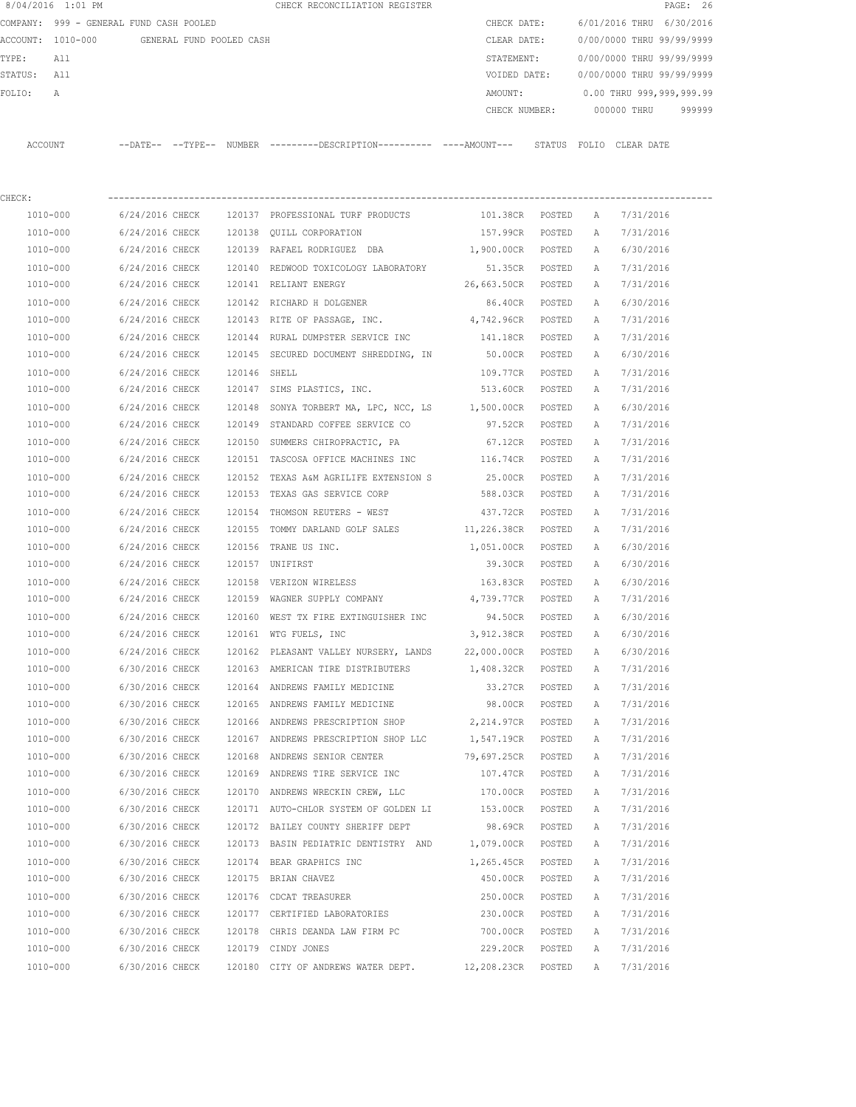| 8/04/2016 1:01 PM    |                                            |                  | CHECK RECONCILIATION REGISTER                                                               |                         |                  |                          | PAGE: 26                  |        |  |
|----------------------|--------------------------------------------|------------------|---------------------------------------------------------------------------------------------|-------------------------|------------------|--------------------------|---------------------------|--------|--|
|                      | COMPANY: 999 - GENERAL FUND CASH POOLED    |                  |                                                                                             | CHECK DATE:             |                  | 6/01/2016 THRU 6/30/2016 |                           |        |  |
|                      | ACCOUNT: 1010-000 GENERAL FUND POOLED CASH |                  |                                                                                             | CLEAR DATE:             |                  |                          | 0/00/0000 THRU 99/99/9999 |        |  |
| TYPE:<br>All         |                                            |                  |                                                                                             | STATEMENT:              |                  |                          | 0/00/0000 THRU 99/99/9999 |        |  |
| STATUS: All          |                                            |                  |                                                                                             | VOIDED DATE:            |                  |                          | 0/00/0000 THRU 99/99/9999 |        |  |
| FOLIO:<br>А          |                                            |                  |                                                                                             | AMOUNT:                 |                  |                          | 0.00 THRU 999,999,999.99  |        |  |
|                      |                                            |                  |                                                                                             |                         | CHECK NUMBER:    |                          | 000000 THRU               | 999999 |  |
| ACCOUNT              |                                            |                  | --DATE-- --TYPE-- NUMBER --------DESCRIPTION---------- ---AMOUNT--- STATUS FOLIO CLEAR-DATE |                         |                  |                          |                           |        |  |
| CHECK:               |                                            |                  |                                                                                             |                         |                  |                          |                           |        |  |
| 1010-000             | 6/24/2016 CHECK                            |                  | 120137 PROFESSIONAL TURF PRODUCTS                                                           | 101.38CR POSTED         |                  | A                        | 7/31/2016                 |        |  |
| 1010-000             | 6/24/2016 CHECK                            |                  | 120138 OUILL CORPORATION                                                                    | 157.99CR POSTED         |                  | A                        | 7/31/2016                 |        |  |
| 1010-000             | 6/24/2016 CHECK                            |                  | 120139 RAFAEL RODRIGUEZ DBA                                                                 | 1,900.00CR POSTED       |                  | A                        | 6/30/2016                 |        |  |
| 1010-000             | 6/24/2016 CHECK                            |                  | 120140 REDWOOD TOXICOLOGY LABORATORY                                                        | 51.35CR POSTED          |                  | A                        | 7/31/2016                 |        |  |
| $1010 - 000$         | 6/24/2016 CHECK                            |                  | 120141 RELIANT ENERGY                                                                       | 26,663.50CR POSTED      |                  | A                        | 7/31/2016                 |        |  |
| 1010-000             | 6/24/2016 CHECK                            |                  | 120142 RICHARD H DOLGENER                                                                   | 86.40CR POSTED          |                  | Α                        | 6/30/2016                 |        |  |
| 1010-000             | 6/24/2016 CHECK                            |                  | 120143 RITE OF PASSAGE, INC.                                                                | 4,742.96CR POSTED       |                  | Α                        | 7/31/2016                 |        |  |
| 1010-000             | 6/24/2016 CHECK                            |                  | 120144 RURAL DUMPSTER SERVICE INC                                                           | 141.18CR                | POSTED           | A                        | 7/31/2016                 |        |  |
| 1010-000             | 6/24/2016 CHECK                            |                  | 120145 SECURED DOCUMENT SHREDDING, IN                                                       | 50.00CR POSTED          |                  | A                        | 6/30/2016                 |        |  |
| 1010-000             | 6/24/2016 CHECK                            | 120146 SHELL     |                                                                                             | 109.77CR                | POSTED           | Α                        | 7/31/2016                 |        |  |
| 1010-000             | 6/24/2016 CHECK                            |                  | 120147 SIMS PLASTICS, INC. 513.60CR POSTED                                                  |                         |                  | Α                        | 7/31/2016                 |        |  |
| 1010-000             | 6/24/2016 CHECK                            |                  | 120148 SONYA TORBERT MA, LPC, NCC, LS 1,500.00CR POSTED                                     |                         |                  | Α                        | 6/30/2016                 |        |  |
| 1010-000             | 6/24/2016 CHECK                            |                  | 120149 STANDARD COFFEE SERVICE CO                                                           | 97.52CR POSTED          |                  | Α                        | 7/31/2016                 |        |  |
| 1010-000             | 6/24/2016 CHECK                            |                  | 120150 SUMMERS CHIROPRACTIC, PA                                                             | 67.12CR                 | POSTED           | Α                        | 7/31/2016                 |        |  |
| 1010-000             | 6/24/2016 CHECK                            |                  | 120151 TASCOSA OFFICE MACHINES INC                                                          | 116.74CR                | POSTED           | Α                        | 7/31/2016                 |        |  |
| 1010-000             | 6/24/2016 CHECK                            |                  | 120152 TEXAS A&M AGRILIFE EXTENSION S                                                       | 25.00CR                 | POSTED           | Α                        | 7/31/2016                 |        |  |
| 1010-000             | 6/24/2016 CHECK                            |                  | 120153 TEXAS GAS SERVICE CORP                                                               | 588.03CR                | POSTED           | Α                        | 7/31/2016                 |        |  |
|                      |                                            |                  |                                                                                             |                         |                  |                          |                           |        |  |
| 1010-000<br>1010-000 | 6/24/2016 CHECK<br>6/24/2016 CHECK         | 120154<br>120155 | THOMSON REUTERS - WEST                                                                      | 437.72CR<br>11,226.38CR | POSTED           | Α                        | 7/31/2016<br>7/31/2016    |        |  |
|                      |                                            |                  | TOMMY DARLAND GOLF SALES                                                                    |                         | POSTED           | А                        |                           |        |  |
| 1010-000<br>1010-000 | 6/24/2016 CHECK<br>6/24/2016 CHECK         | 120156           | TRANE US INC.<br>120157 UNIFIRST                                                            | 1,051.00CR<br>39.30CR   | POSTED<br>POSTED | A<br>Α                   | 6/30/2016<br>6/30/2016    |        |  |
|                      |                                            |                  |                                                                                             |                         |                  |                          |                           |        |  |
| 1010-000             | 6/24/2016 CHECK                            |                  | 120158 VERIZON WIRELESS                                                                     | 163.83CR                | POSTED           | Α                        | 6/30/2016                 |        |  |
| 1010-000             |                                            |                  | 6/24/2016 CHECK 120159 WAGNER SUPPLY COMPANY 4,739.77CR POSTED                              |                         |                  | Α                        | 7/31/2016                 |        |  |
| 1010-000             |                                            |                  | 6/24/2016 CHECK 120160 WEST TX FIRE EXTINGUISHER INC 94.50CR POSTED                         |                         |                  | Α                        | 6/30/2016                 |        |  |
| 1010-000             | 6/24/2016 CHECK                            |                  | 120161 WTG FUELS, INC                                                                       | 3,912.38CR              | POSTED           | А                        | 6/30/2016                 |        |  |
| 1010-000             | 6/24/2016 CHECK                            |                  | 120162 PLEASANT VALLEY NURSERY, LANDS 22,000.00CR                                           |                         | POSTED           | Α                        | 6/30/2016                 |        |  |
| 1010-000             | 6/30/2016 CHECK                            |                  | 120163 AMERICAN TIRE DISTRIBUTERS                                                           | 1,408.32CR POSTED       |                  | Α                        | 7/31/2016                 |        |  |
| $1010 - 000$         | 6/30/2016 CHECK                            |                  | 120164 ANDREWS FAMILY MEDICINE                                                              | 33.27CR                 | POSTED           | Α                        | 7/31/2016                 |        |  |
| 1010-000             | 6/30/2016 CHECK                            |                  | 120165 ANDREWS FAMILY MEDICINE                                                              | 98.00CR                 | POSTED           | Α                        | 7/31/2016                 |        |  |
| 1010-000             | 6/30/2016 CHECK                            |                  | 120166 ANDREWS PRESCRIPTION SHOP                                                            | 2,214.97CR POSTED       |                  | Α                        | 7/31/2016                 |        |  |
| 1010-000             | 6/30/2016 CHECK                            |                  | 120167 ANDREWS PRESCRIPTION SHOP LLC                                                        | 1,547.19CR POSTED       |                  | Α                        | 7/31/2016                 |        |  |
| 1010-000             | 6/30/2016 CHECK                            |                  | 120168 ANDREWS SENIOR CENTER                                                                | 79,697.25CR             | POSTED           | Α                        | 7/31/2016                 |        |  |
| 1010-000             | 6/30/2016 CHECK                            |                  | 120169 ANDREWS TIRE SERVICE INC                                                             | 107.47CR                | POSTED           | Α                        | 7/31/2016                 |        |  |
| $1010 - 000$         | 6/30/2016 CHECK                            |                  | 120170 ANDREWS WRECKIN CREW, LLC                                                            | 170.00CR                | POSTED           | Α                        | 7/31/2016                 |        |  |
| 1010-000             | 6/30/2016 CHECK                            |                  | 120171 AUTO-CHLOR SYSTEM OF GOLDEN LI 153.00CR                                              |                         | POSTED           | Α                        | 7/31/2016                 |        |  |
| 1010-000             | 6/30/2016 CHECK                            |                  | 120172 BAILEY COUNTY SHERIFF DEPT                                                           | 98.69CR                 | POSTED           | Α                        | 7/31/2016                 |        |  |
| 1010-000             | 6/30/2016 CHECK                            |                  | 120173 BASIN PEDIATRIC DENTISTRY AND                                                        | 1,079.00CR              | POSTED           | Α                        | 7/31/2016                 |        |  |
| 1010-000             | 6/30/2016 CHECK                            |                  | 120174 BEAR GRAPHICS INC                                                                    | 1,265.45CR              | POSTED           | Α                        | 7/31/2016                 |        |  |
| 1010-000             | 6/30/2016 CHECK                            |                  | 120175 BRIAN CHAVEZ                                                                         | 450.00CR                | POSTED           | Α                        | 7/31/2016                 |        |  |
| 1010-000             | 6/30/2016 CHECK                            |                  | 120176 CDCAT TREASURER                                                                      | 250.00CR                | POSTED           | Α                        | 7/31/2016                 |        |  |
| 1010-000             | 6/30/2016 CHECK                            |                  | 120177 CERTIFIED LABORATORIES                                                               | 230.00CR                | POSTED           | Α                        | 7/31/2016                 |        |  |
| 1010-000             | 6/30/2016 CHECK                            |                  | 120178 CHRIS DEANDA LAW FIRM PC                                                             | 700.00CR                | POSTED           | Α                        | 7/31/2016                 |        |  |
| 1010-000             | 6/30/2016 CHECK                            |                  | 120179 CINDY JONES                                                                          | 229.20CR POSTED         |                  | A                        | 7/31/2016                 |        |  |

1010-000 6/30/2016 CHECK 120180 CITY OF ANDREWS WATER DEPT. 12,208.23CR POSTED A 7/31/2016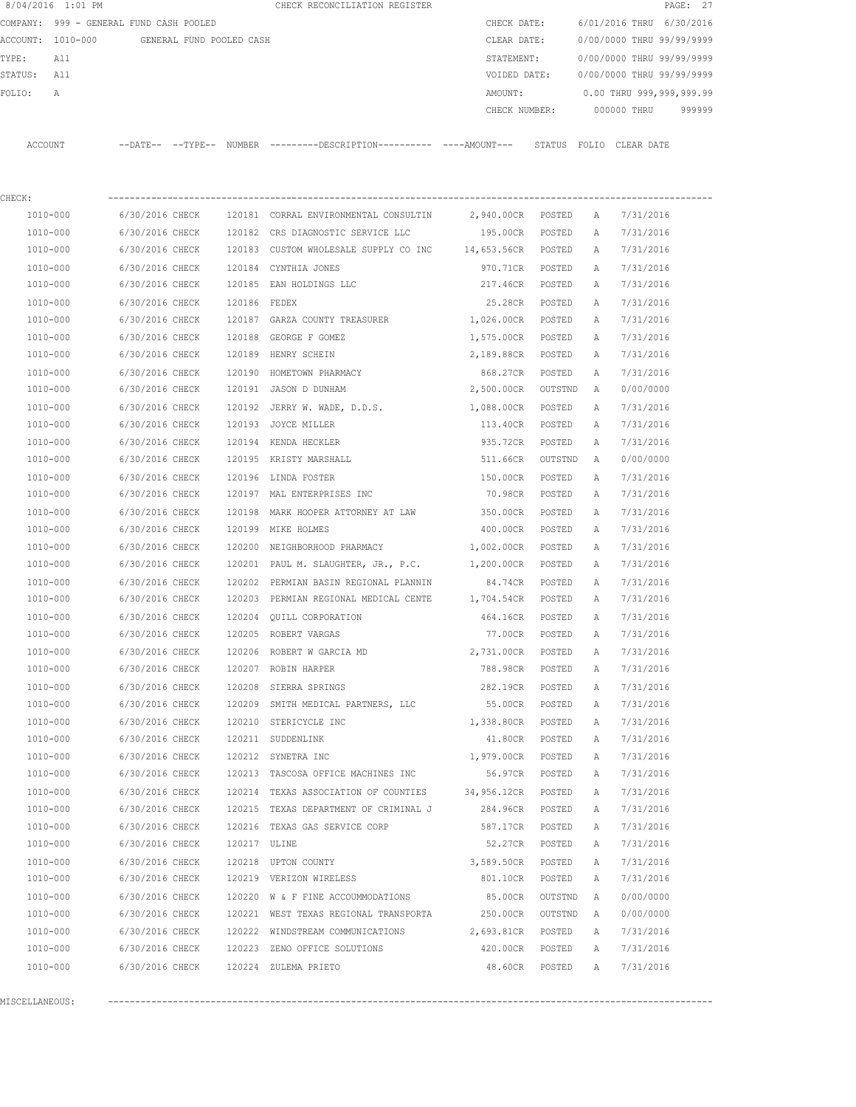|                                                                                          | 8/04/2016 1:01 PM |                 |  |              | CHECK RECONCILIATION REGISTER                                                              |                    |         |   |                           | PAGE: 27 |
|------------------------------------------------------------------------------------------|-------------------|-----------------|--|--------------|--------------------------------------------------------------------------------------------|--------------------|---------|---|---------------------------|----------|
| COMPANY: 999 - GENERAL FUND CASH POOLED<br>ACCOUNT: 1010-000<br>GENERAL FUND POOLED CASH |                   |                 |  |              |                                                                                            | CHECK DATE:        |         |   | 6/01/2016 THRU 6/30/2016  |          |
|                                                                                          |                   |                 |  |              |                                                                                            | CLEAR DATE:        |         |   | 0/00/0000 THRU 99/99/9999 |          |
| TYPE:                                                                                    | All               |                 |  |              |                                                                                            | STATEMENT:         |         |   | 0/00/0000 THRU 99/99/9999 |          |
| STATUS: All                                                                              |                   |                 |  |              |                                                                                            | VOIDED DATE:       |         |   | 0/00/0000 THRU 99/99/9999 |          |
| FOLIO:                                                                                   | A                 |                 |  |              |                                                                                            | AMOUNT:            |         |   | 0.00 THRU 999,999,999.99  |          |
|                                                                                          |                   |                 |  |              |                                                                                            | CHECK NUMBER:      |         |   | 000000 THRU               | 999999   |
|                                                                                          | ACCOUNT           |                 |  |              | --DATE-- --TYPE-- NUMBER --------DESCRIPTION--------- ----AMOUNT--- STATUS FOLIO CLEARDATE |                    |         |   |                           |          |
| CHECK:                                                                                   |                   |                 |  |              |                                                                                            |                    |         |   |                           |          |
|                                                                                          | 1010-000          |                 |  |              | 6/30/2016 CHECK 120181 CORRAL ENVIRONMENTAL CONSULTIN 2,940.00CR POSTED                    |                    |         | Α | 7/31/2016                 |          |
|                                                                                          | 1010-000          |                 |  |              | 6/30/2016 CHECK 120182 CRS DIAGNOSTIC SERVICE LLC                                          | 195.00CR POSTED    |         | Α | 7/31/2016                 |          |
|                                                                                          | 1010-000          | 6/30/2016 CHECK |  |              | 120183 CUSTOM WHOLESALE SUPPLY CO INC 14,653.56CR POSTED                                   |                    |         | A | 7/31/2016                 |          |
|                                                                                          | 1010-000          | 6/30/2016 CHECK |  |              | 120184 CYNTHIA JONES                                                                       | 970.71CR POSTED    |         | A | 7/31/2016                 |          |
|                                                                                          | 1010-000          | 6/30/2016 CHECK |  |              | 120185 EAN HOLDINGS LLC                                                                    | 217.46CR POSTED    |         | A | 7/31/2016                 |          |
|                                                                                          | 1010-000          | 6/30/2016 CHECK |  | 120186 FEDEX |                                                                                            | 25.28CR POSTED     |         | A | 7/31/2016                 |          |
|                                                                                          | 1010-000          | 6/30/2016 CHECK |  |              | 120187 GARZA COUNTY TREASURER                                                              | 1,026.00CR POSTED  |         | A | 7/31/2016                 |          |
|                                                                                          | 1010-000          | 6/30/2016 CHECK |  |              | 120188 GEORGE F GOMEZ                                                                      | 1,575.00CR POSTED  |         | Α | 7/31/2016                 |          |
|                                                                                          | 1010-000          | 6/30/2016 CHECK |  |              | 120189 HENRY SCHEIN                                                                        | 2,189.88CR POSTED  |         | Α | 7/31/2016                 |          |
|                                                                                          | 1010-000          | 6/30/2016 CHECK |  |              | 120190 HOMETOWN PHARMACY                                                                   | 868.27CR POSTED    |         | Α | 7/31/2016                 |          |
|                                                                                          | 1010-000          | 6/30/2016 CHECK |  |              | 120191 JASON D DUNHAM                                                                      | 2,500.00CR OUTSTND |         | A | 0/00/0000                 |          |
|                                                                                          | 1010-000          | 6/30/2016 CHECK |  |              | 120192 JERRY W. WADE, D.D.S. 1,088.00CR POSTED                                             |                    |         | Α | 7/31/2016                 |          |
|                                                                                          | 1010-000          | 6/30/2016 CHECK |  |              | 120193 JOYCE MILLER                                                                        | 113.40CR POSTED    |         | Α | 7/31/2016                 |          |
|                                                                                          | 1010-000          | 6/30/2016 CHECK |  |              | 120194 KENDA HECKLER                                                                       | 935.72CR           | POSTED  | Α | 7/31/2016                 |          |
|                                                                                          | 1010-000          | 6/30/2016 CHECK |  |              | 120195 KRISTY MARSHALL                                                                     | 511.66CR           | OUTSTND | A | 0/00/0000                 |          |
|                                                                                          | 1010-000          | 6/30/2016 CHECK |  |              | 120196 LINDA FOSTER                                                                        | 150.00CR           | POSTED  | Α | 7/31/2016                 |          |
|                                                                                          | 1010-000          | 6/30/2016 CHECK |  |              | 120197 MAL ENTERPRISES INC                                                                 | 70.98CR            | POSTED  | Α | 7/31/2016                 |          |
|                                                                                          | 1010-000          | 6/30/2016 CHECK |  | 120198       | MARK HOOPER ATTORNEY AT LAW                                                                | 350.00CR           | POSTED  | Α | 7/31/2016                 |          |
|                                                                                          | 1010-000          | 6/30/2016 CHECK |  |              | 120199 MIKE HOLMES                                                                         | 400.00CR           | POSTED  | Α | 7/31/2016                 |          |
|                                                                                          | 1010-000          | 6/30/2016 CHECK |  | 120200       | NEIGHBORHOOD PHARMACY                                                                      | 1,002.00CR         | POSTED  | Α | 7/31/2016                 |          |
|                                                                                          | 1010-000          | 6/30/2016 CHECK |  |              | 120201 PAUL M. SLAUGHTER, JR., P.C. $1,200.00CR$                                           |                    | POSTED  | Α | 7/31/2016                 |          |
|                                                                                          | 1010-000          | 6/30/2016 CHECK |  |              | 120202 PERMIAN BASIN REGIONAL PLANNIN                                                      | 84.74CR            | POSTED  | Α | 7/31/2016                 |          |
|                                                                                          | 1010-000          | 6/30/2016 CHECK |  |              | 120203 PERMIAN REGIONAL MEDICAL CENTE 1,704.54CR POSTED                                    |                    |         | A | 7/31/2016                 |          |
|                                                                                          | 1010-000          | 6/30/2016 CHECK |  |              | 120204 QUILL CORPORATION                                                                   | 464.16CR POSTED    |         | A | 7/31/2016                 |          |
|                                                                                          | 1010-000          | 6/30/2016 CHECK |  |              | 120205 ROBERT VARGAS                                                                       | 77.00CR            | POSTED  | А | 7/31/2016                 |          |
|                                                                                          | 1010-000          | 6/30/2016 CHECK |  |              | 120206 ROBERT W GARCIA MD                                                                  | 2,731.00CR         | POSTED  | Α | 7/31/2016                 |          |
|                                                                                          | 1010-000          | 6/30/2016 CHECK |  |              | 120207 ROBIN HARPER                                                                        | 788.98CR           | POSTED  | Α | 7/31/2016                 |          |
|                                                                                          | 1010-000          | 6/30/2016 CHECK |  |              | 120208 SIERRA SPRINGS                                                                      | 282.19CR           | POSTED  | Α | 7/31/2016                 |          |
|                                                                                          | 1010-000          | 6/30/2016 CHECK |  |              | 120209 SMITH MEDICAL PARTNERS, LLC                                                         | 55.00CR            | POSTED  | Α | 7/31/2016                 |          |
|                                                                                          | 1010-000          | 6/30/2016 CHECK |  |              | 120210 STERICYCLE INC                                                                      | 1,338.80CR         | POSTED  | Α | 7/31/2016                 |          |
|                                                                                          | 1010-000          | 6/30/2016 CHECK |  |              | 120211 SUDDENLINK                                                                          | 41.80CR            | POSTED  | Α | 7/31/2016                 |          |
|                                                                                          | 1010-000          | 6/30/2016 CHECK |  |              | 120212 SYNETRA INC                                                                         | 1,979.00CR         | POSTED  | Α | 7/31/2016                 |          |
|                                                                                          | 1010-000          | 6/30/2016 CHECK |  |              | 120213 TASCOSA OFFICE MACHINES INC                                                         | 56.97CR            | POSTED  | Α | 7/31/2016                 |          |
|                                                                                          | 1010-000          | 6/30/2016 CHECK |  |              | 120214 TEXAS ASSOCIATION OF COUNTIES 34,956.12CR                                           |                    | POSTED  | Α | 7/31/2016                 |          |
|                                                                                          | 1010-000          | 6/30/2016 CHECK |  |              | 120215 TEXAS DEPARTMENT OF CRIMINAL J                                                      | 284.96CR           | POSTED  | Α | 7/31/2016                 |          |
|                                                                                          | 1010-000          | 6/30/2016 CHECK |  |              | 120216 TEXAS GAS SERVICE CORP                                                              | 587.17CR           | POSTED  | Α | 7/31/2016                 |          |
|                                                                                          | 1010-000          | 6/30/2016 CHECK |  | 120217 ULINE |                                                                                            | 52.27CR            | POSTED  | Α | 7/31/2016                 |          |
|                                                                                          | 1010-000          | 6/30/2016 CHECK |  |              | 120218 UPTON COUNTY                                                                        | 3,589.50CR         | POSTED  | Α | 7/31/2016                 |          |
|                                                                                          | 1010-000          | 6/30/2016 CHECK |  |              | 120219 VERIZON WIRELESS                                                                    | 801.10CR           | POSTED  | Α | 7/31/2016                 |          |
|                                                                                          | 1010-000          | 6/30/2016 CHECK |  |              | 120220 W & F FINE ACCOUMMODATIONS                                                          | 85.00CR            | OUTSTND | Α | 0/00/0000                 |          |
|                                                                                          | 1010-000          | 6/30/2016 CHECK |  |              | 120221 WEST TEXAS REGIONAL TRANSPORTA                                                      | 250.00CR           | OUTSTND | Α | 0/00/0000                 |          |
|                                                                                          | 1010-000          | 6/30/2016 CHECK |  |              | 120222 WINDSTREAM COMMUNICATIONS                                                           | 2,693.81CR         | POSTED  | Α | 7/31/2016                 |          |
|                                                                                          | 1010-000          | 6/30/2016 CHECK |  |              | 120223 ZENO OFFICE SOLUTIONS                                                               | 420.00CR           | POSTED  | Α | 7/31/2016                 |          |
|                                                                                          | 1010-000          | 6/30/2016 CHECK |  |              | 120224 ZULEMA PRIETO                                                                       | 48.60CR            | POSTED  | Α | 7/31/2016                 |          |
|                                                                                          |                   |                 |  |              |                                                                                            |                    |         |   |                           |          |

MISCELLANEOUS: ----------------------------------------------------------------------------------------------------------------